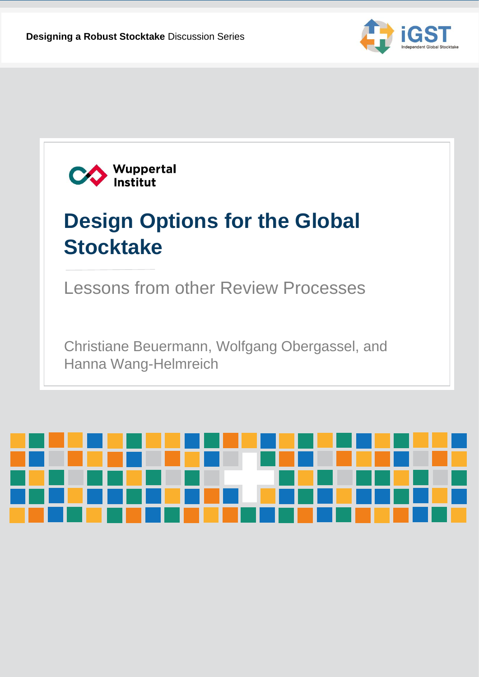



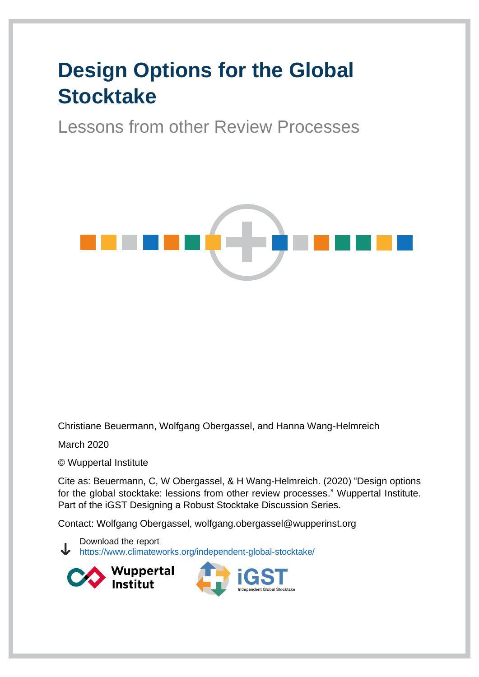# **Design Options for the Global Stocktake**

Lessons from other Review Processes



Christiane Beuermann, Wolfgang Obergassel, and Hanna Wang-Helmreich

March 2020

© Wuppertal Institute

Cite as: Beuermann, C, W Obergassel, & H Wang-Helmreich. (2020) "Design options for the global stocktake: lessions from other review processes." Wuppertal Institute. Part of the iGST Designing a Robust Stocktake Discussion Series.

Contact: Wolfgang Obergassel, wolfgang.obergassel@wupperinst.org

Download the report <https://www.climateworks.org/independent-global-stocktake/>

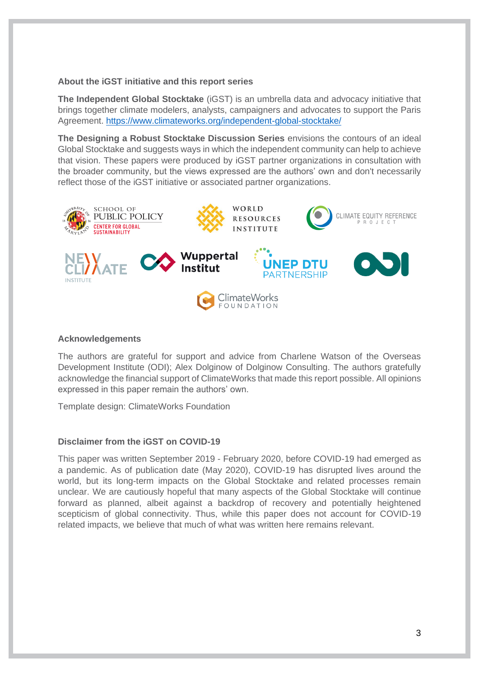#### **About the iGST initiative and this report series**

**The Independent Global Stocktake** (iGST) is an umbrella data and advocacy initiative that brings together climate modelers, analysts, campaigners and advocates to support the Paris Agreement.<https://www.climateworks.org/independent-global-stocktake/>

**The Designing a Robust Stocktake Discussion Series** envisions the contours of an ideal Global Stocktake and suggests ways in which the independent community can help to achieve that vision. These papers were produced by iGST partner organizations in consultation with the broader community, but the views expressed are the authors' own and don't necessarily reflect those of the iGST initiative or associated partner organizations.



#### **Acknowledgements**

The authors are grateful for support and advice from Charlene Watson of the Overseas Development Institute (ODI); Alex Dolginow of Dolginow Consulting. The authors gratefully acknowledge the financial support of ClimateWorks that made this report possible. All opinions expressed in this paper remain the authors' own.

Template design: ClimateWorks Foundation

#### **Disclaimer from the iGST on COVID-19**

This paper was written September 2019 - February 2020, before COVID-19 had emerged as a pandemic. As of publication date (May 2020), COVID-19 has disrupted lives around the world, but its long-term impacts on the Global Stocktake and related processes remain unclear. We are cautiously hopeful that many aspects of the Global Stocktake will continue forward as planned, albeit against a backdrop of recovery and potentially heightened scepticism of global connectivity. Thus, while this paper does not account for COVID-19 related impacts, we believe that much of what was written here remains relevant.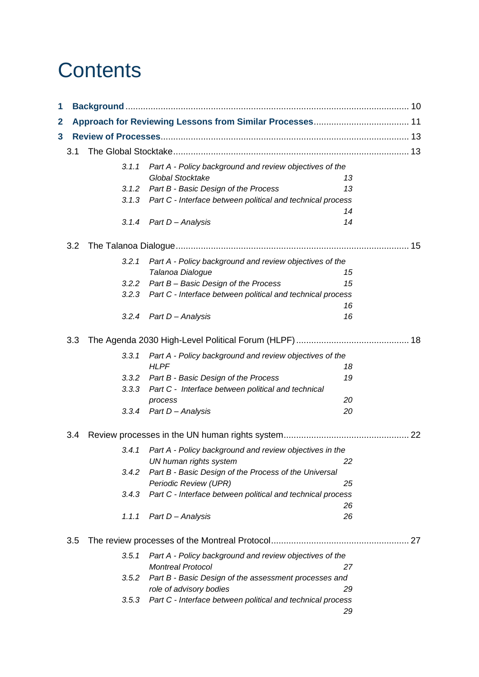# **Contents**

| 1            |     |       |                                                                                   |    |    |
|--------------|-----|-------|-----------------------------------------------------------------------------------|----|----|
| $\mathbf{2}$ |     |       |                                                                                   |    |    |
| 3            |     |       |                                                                                   |    |    |
|              | 3.1 |       |                                                                                   |    |    |
|              |     | 3.1.1 | Part A - Policy background and review objectives of the                           |    |    |
|              |     |       | <b>Global Stocktake</b>                                                           | 13 |    |
|              |     | 3.1.2 | Part B - Basic Design of the Process                                              | 13 |    |
|              |     | 3.1.3 | Part C - Interface between political and technical process                        |    |    |
|              |     |       |                                                                                   | 14 |    |
|              |     | 3.1.4 | Part D - Analysis                                                                 | 14 |    |
|              | 3.2 |       |                                                                                   |    | 15 |
|              |     | 3.2.1 | Part A - Policy background and review objectives of the                           |    |    |
|              |     |       | Talanoa Dialogue                                                                  | 15 |    |
|              |     | 3.2.2 | Part B - Basic Design of the Process                                              | 15 |    |
|              |     | 3.2.3 | Part C - Interface between political and technical process                        |    |    |
|              |     |       |                                                                                   | 16 |    |
|              |     | 3.2.4 | Part D - Analysis                                                                 | 16 |    |
|              | 3.3 |       |                                                                                   |    |    |
|              |     | 3.3.1 | Part A - Policy background and review objectives of the                           |    |    |
|              |     |       | <b>HLPF</b>                                                                       | 18 |    |
|              |     | 3.3.2 | Part B - Basic Design of the Process                                              | 19 |    |
|              |     | 3.3.3 | Part C - Interface between political and technical                                |    |    |
|              |     |       | process                                                                           | 20 |    |
|              |     | 3.3.4 | Part D - Analysis                                                                 | 20 |    |
|              | 3.4 |       |                                                                                   |    |    |
|              |     | 3.4.1 |                                                                                   |    |    |
|              |     |       | Part A - Policy background and review objectives in the<br>UN human rights system | 22 |    |
|              |     | 3.4.2 | Part B - Basic Design of the Process of the Universal                             |    |    |
|              |     |       | Periodic Review (UPR)                                                             | 25 |    |
|              |     | 3.4.3 | Part C - Interface between political and technical process                        |    |    |
|              |     |       |                                                                                   | 26 |    |
|              |     | 1.1.1 | Part D - Analysis                                                                 | 26 |    |
|              | 3.5 |       |                                                                                   |    |    |
|              |     | 3.5.1 | Part A - Policy background and review objectives of the                           |    |    |
|              |     |       | <b>Montreal Protocol</b>                                                          | 27 |    |
|              |     | 3.5.2 | Part B - Basic Design of the assessment processes and                             |    |    |
|              |     |       | role of advisory bodies                                                           | 29 |    |
|              |     | 3.5.3 | Part C - Interface between political and technical process                        |    |    |
|              |     |       |                                                                                   | 29 |    |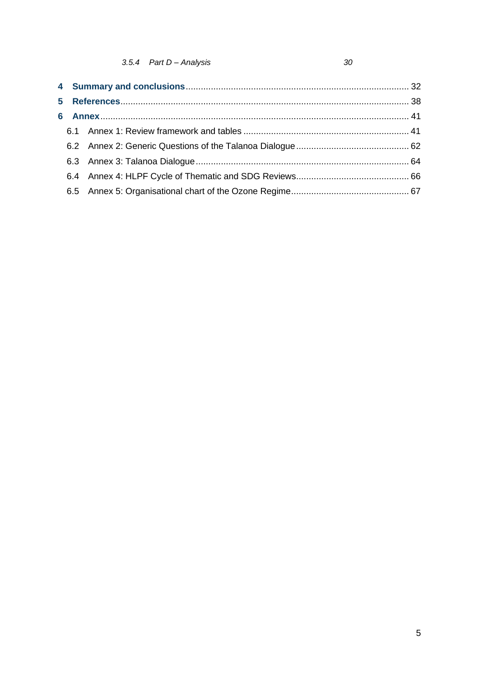30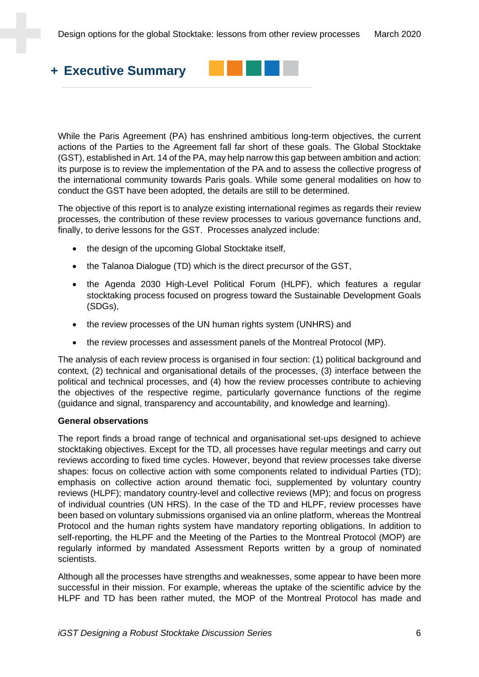

While the Paris Agreement (PA) has enshrined ambitious long-term objectives, the current actions of the Parties to the Agreement fall far short of these goals. The Global Stocktake (GST), established in Art. 14 of the PA, may help narrow this gap between ambition and action: its purpose is to review the implementation of the PA and to assess the collective progress of the international community towards Paris goals. While some general modalities on how to conduct the GST have been adopted, the details are still to be determined.

The objective of this report is to analyze existing international regimes as regards their review processes, the contribution of these review processes to various governance functions and, finally, to derive lessons for the GST. Processes analyzed include:

- the design of the upcoming Global Stocktake itself,
- the Talanoa Dialogue (TD) which is the direct precursor of the GST,
- the Agenda 2030 High-Level Political Forum (HLPF), which features a regular stocktaking process focused on progress toward the Sustainable Development Goals (SDGs),
- the review processes of the UN human rights system (UNHRS) and
- the review processes and assessment panels of the Montreal Protocol (MP).

The analysis of each review process is organised in four section: (1) political background and context, (2) technical and organisational details of the processes, (3) interface between the political and technical processes, and (4) how the review processes contribute to achieving the objectives of the respective regime, particularly governance functions of the regime (guidance and signal, transparency and accountability, and knowledge and learning).

#### **General observations**

The report finds a broad range of technical and organisational set-ups designed to achieve stocktaking objectives. Except for the TD, all processes have regular meetings and carry out reviews according to fixed time cycles. However, beyond that review processes take diverse shapes: focus on collective action with some components related to individual Parties (TD); emphasis on collective action around thematic foci, supplemented by voluntary country reviews (HLPF); mandatory country-level and collective reviews (MP); and focus on progress of individual countries (UN HRS). In the case of the TD and HLPF, review processes have been based on voluntary submissions organised via an online platform, whereas the Montreal Protocol and the human rights system have mandatory reporting obligations. In addition to self-reporting, the HLPF and the Meeting of the Parties to the Montreal Protocol (MOP) are regularly informed by mandated Assessment Reports written by a group of nominated scientists.

Although all the processes have strengths and weaknesses, some appear to have been more successful in their mission. For example, whereas the uptake of the scientific advice by the HLPF and TD has been rather muted, the MOP of the Montreal Protocol has made and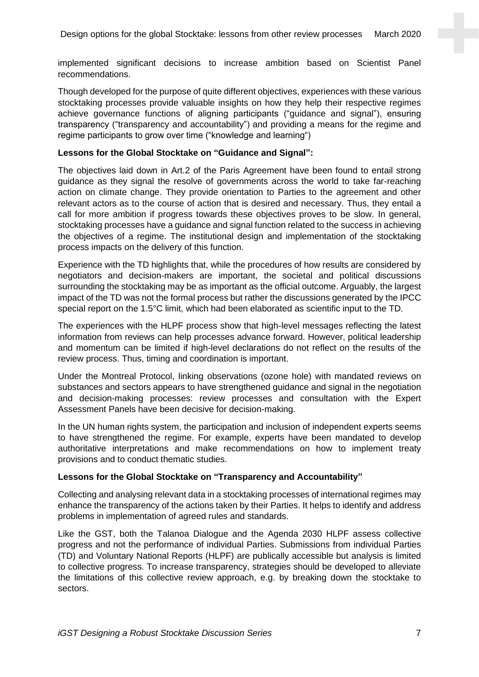implemented significant decisions to increase ambition based on Scientist Panel recommendations.

Though developed for the purpose of quite different objectives, experiences with these various stocktaking processes provide valuable insights on how they help their respective regimes achieve governance functions of aligning participants ("guidance and signal"), ensuring transparency ("transparency and accountability") and providing a means for the regime and regime participants to grow over time ("knowledge and learning")

#### **Lessons for the Global Stocktake on "Guidance and Signal":**

The objectives laid down in Art.2 of the Paris Agreement have been found to entail strong guidance as they signal the resolve of governments across the world to take far-reaching action on climate change. They provide orientation to Parties to the agreement and other relevant actors as to the course of action that is desired and necessary. Thus, they entail a call for more ambition if progress towards these objectives proves to be slow. In general, stocktaking processes have a guidance and signal function related to the success in achieving the objectives of a regime. The institutional design and implementation of the stocktaking process impacts on the delivery of this function.

Experience with the TD highlights that, while the procedures of how results are considered by negotiators and decision-makers are important, the societal and political discussions surrounding the stocktaking may be as important as the official outcome. Arguably, the largest impact of the TD was not the formal process but rather the discussions generated by the IPCC special report on the 1.5°C limit, which had been elaborated as scientific input to the TD.

The experiences with the HLPF process show that high-level messages reflecting the latest information from reviews can help processes advance forward. However, political leadership and momentum can be limited if high-level declarations do not reflect on the results of the review process. Thus, timing and coordination is important.

Under the Montreal Protocol, linking observations (ozone hole) with mandated reviews on substances and sectors appears to have strengthened guidance and signal in the negotiation and decision-making processes: review processes and consultation with the Expert Assessment Panels have been decisive for decision-making.

In the UN human rights system, the participation and inclusion of independent experts seems to have strengthened the regime. For example, experts have been mandated to develop authoritative interpretations and make recommendations on how to implement treaty provisions and to conduct thematic studies.

#### **Lessons for the Global Stocktake on "Transparency and Accountability"**

Collecting and analysing relevant data in a stocktaking processes of international regimes may enhance the transparency of the actions taken by their Parties. It helps to identify and address problems in implementation of agreed rules and standards.

Like the GST, both the Talanoa Dialogue and the Agenda 2030 HLPF assess collective progress and not the performance of individual Parties. Submissions from individual Parties (TD) and Voluntary National Reports (HLPF) are publically accessible but analysis is limited to collective progress. To increase transparency, strategies should be developed to alleviate the limitations of this collective review approach, e.g. by breaking down the stocktake to sectors.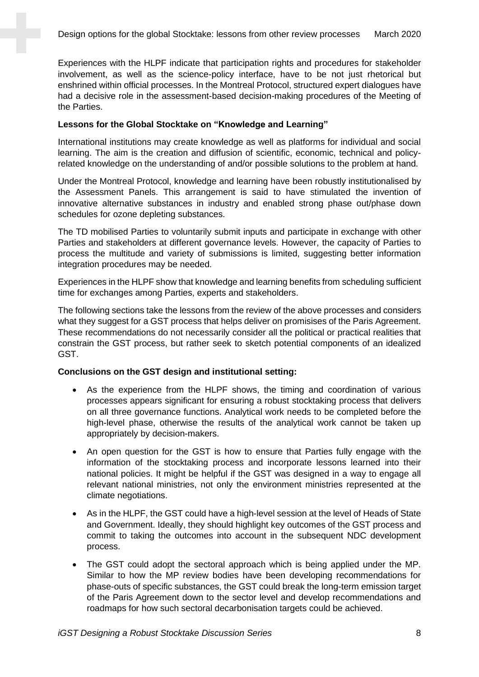Experiences with the HLPF indicate that participation rights and procedures for stakeholder involvement, as well as the science-policy interface, have to be not just rhetorical but enshrined within official processes. In the Montreal Protocol, structured expert dialogues have had a decisive role in the assessment-based decision-making procedures of the Meeting of the Parties.

#### **Lessons for the Global Stocktake on "Knowledge and Learning"**

International institutions may create knowledge as well as platforms for individual and social learning. The aim is the creation and diffusion of scientific, economic, technical and policyrelated knowledge on the understanding of and/or possible solutions to the problem at hand.

Under the Montreal Protocol, knowledge and learning have been robustly institutionalised by the Assessment Panels. This arrangement is said to have stimulated the invention of innovative alternative substances in industry and enabled strong phase out/phase down schedules for ozone depleting substances.

The TD mobilised Parties to voluntarily submit inputs and participate in exchange with other Parties and stakeholders at different governance levels. However, the capacity of Parties to process the multitude and variety of submissions is limited, suggesting better information integration procedures may be needed.

Experiences in the HLPF show that knowledge and learning benefits from scheduling sufficient time for exchanges among Parties, experts and stakeholders.

The following sections take the lessons from the review of the above processes and considers what they suggest for a GST process that helps deliver on promisises of the Paris Agreement. These recommendations do not necessarily consider all the political or practical realities that constrain the GST process, but rather seek to sketch potential components of an idealized GST.

#### **Conclusions on the GST design and institutional setting:**

- As the experience from the HLPF shows, the timing and coordination of various processes appears significant for ensuring a robust stocktaking process that delivers on all three governance functions. Analytical work needs to be completed before the high-level phase, otherwise the results of the analytical work cannot be taken up appropriately by decision-makers.
- An open question for the GST is how to ensure that Parties fully engage with the information of the stocktaking process and incorporate lessons learned into their national policies. It might be helpful if the GST was designed in a way to engage all relevant national ministries, not only the environment ministries represented at the climate negotiations.
- As in the HLPF, the GST could have a high-level session at the level of Heads of State and Government. Ideally, they should highlight key outcomes of the GST process and commit to taking the outcomes into account in the subsequent NDC development process.
- The GST could adopt the sectoral approach which is being applied under the MP. Similar to how the MP review bodies have been developing recommendations for phase-outs of specific substances, the GST could break the long-term emission target of the Paris Agreement down to the sector level and develop recommendations and roadmaps for how such sectoral decarbonisation targets could be achieved.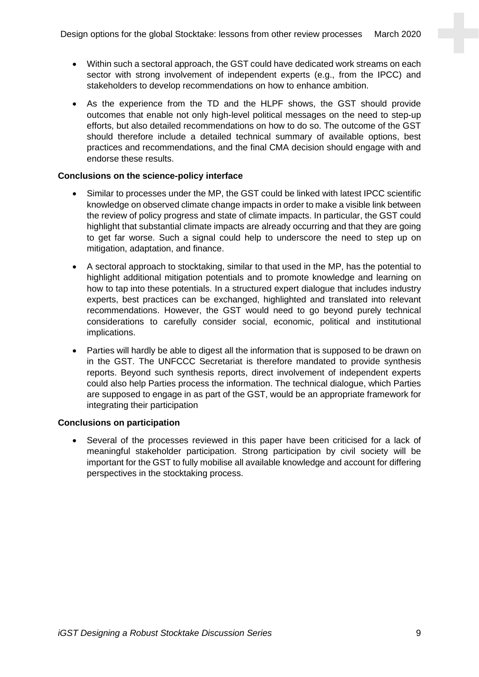- Within such a sectoral approach, the GST could have dedicated work streams on each sector with strong involvement of independent experts (e.g., from the IPCC) and stakeholders to develop recommendations on how to enhance ambition.
- As the experience from the TD and the HLPF shows, the GST should provide outcomes that enable not only high-level political messages on the need to step-up efforts, but also detailed recommendations on how to do so. The outcome of the GST should therefore include a detailed technical summary of available options, best practices and recommendations, and the final CMA decision should engage with and endorse these results.

#### **Conclusions on the science-policy interface**

- Similar to processes under the MP, the GST could be linked with latest IPCC scientific knowledge on observed climate change impacts in order to make a visible link between the review of policy progress and state of climate impacts. In particular, the GST could highlight that substantial climate impacts are already occurring and that they are going to get far worse. Such a signal could help to underscore the need to step up on mitigation, adaptation, and finance.
- A sectoral approach to stocktaking, similar to that used in the MP, has the potential to highlight additional mitigation potentials and to promote knowledge and learning on how to tap into these potentials. In a structured expert dialogue that includes industry experts, best practices can be exchanged, highlighted and translated into relevant recommendations. However, the GST would need to go beyond purely technical considerations to carefully consider social, economic, political and institutional implications.
- Parties will hardly be able to digest all the information that is supposed to be drawn on in the GST. The UNFCCC Secretariat is therefore mandated to provide synthesis reports. Beyond such synthesis reports, direct involvement of independent experts could also help Parties process the information. The technical dialogue, which Parties are supposed to engage in as part of the GST, would be an appropriate framework for integrating their participation

#### **Conclusions on participation**

Several of the processes reviewed in this paper have been criticised for a lack of meaningful stakeholder participation. Strong participation by civil society will be important for the GST to fully mobilise all available knowledge and account for differing perspectives in the stocktaking process.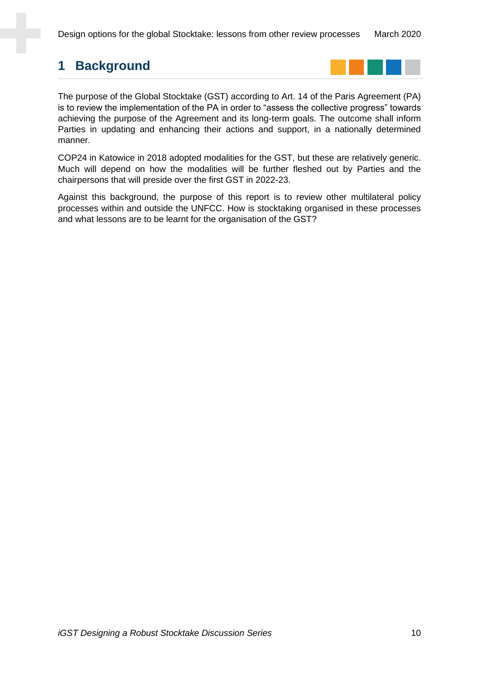Design options for the global Stocktake: lessons from other review processes March 2020

# **1 Background**



The purpose of the Global Stocktake (GST) according to Art. 14 of the Paris Agreement (PA) is to review the implementation of the PA in order to "assess the collective progress" towards achieving the purpose of the Agreement and its long-term goals. The outcome shall inform Parties in updating and enhancing their actions and support, in a nationally determined manner.

COP24 in Katowice in 2018 adopted modalities for the GST, but these are relatively generic. Much will depend on how the modalities will be further fleshed out by Parties and the chairpersons that will preside over the first GST in 2022-23.

Against this background, the purpose of this report is to review other multilateral policy processes within and outside the UNFCC. How is stocktaking organised in these processes and what lessons are to be learnt for the organisation of the GST?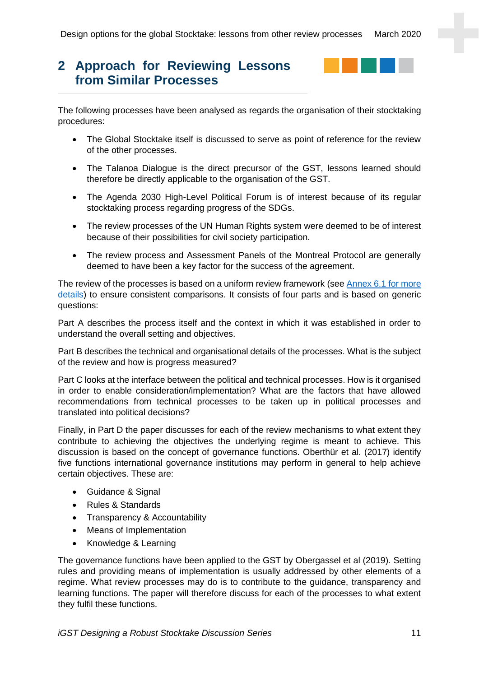# <span id="page-10-0"></span>**2 Approach for Reviewing Lessons from Similar Processes**



The following processes have been analysed as regards the organisation of their stocktaking procedures:

- The Global Stocktake itself is discussed to serve as point of reference for the review of the other processes.
- The Talanoa Dialogue is the direct precursor of the GST, lessons learned should therefore be directly applicable to the organisation of the GST.
- The Agenda 2030 High-Level Political Forum is of interest because of its regular stocktaking process regarding progress of the SDGs.
- The review processes of the UN Human Rights system were deemed to be of interest because of their possibilities for civil society participation.
- The review process and Assessment Panels of the Montreal Protocol are generally deemed to have been a key factor for the success of the agreement.

The review of the processes is based on a uniform review framework (se[e Annex 6.1](#page-40-0) for more details) to ensure consistent comparisons. It consists of four parts and is based on generic questions:

Part A describes the process itself and the context in which it was established in order to understand the overall setting and objectives.

Part B describes the technical and organisational details of the processes. What is the subject of the review and how is progress measured?

Part C looks at the interface between the political and technical processes. How is it organised in order to enable consideration/implementation? What are the factors that have allowed recommendations from technical processes to be taken up in political processes and translated into political decisions?

Finally, in Part D the paper discusses for each of the review mechanisms to what extent they contribute to achieving the objectives the underlying regime is meant to achieve. This discussion is based on the concept of governance functions. Oberthür et al. (2017) identify five functions international governance institutions may perform in general to help achieve certain objectives. These are:

- Guidance & Signal
- Rules & Standards
- Transparency & Accountability
- Means of Implementation
- Knowledge & Learning

The governance functions have been applied to the GST by Obergassel et al (2019). Setting rules and providing means of implementation is usually addressed by other elements of a regime. What review processes may do is to contribute to the guidance, transparency and learning functions. The paper will therefore discuss for each of the processes to what extent they fulfil these functions.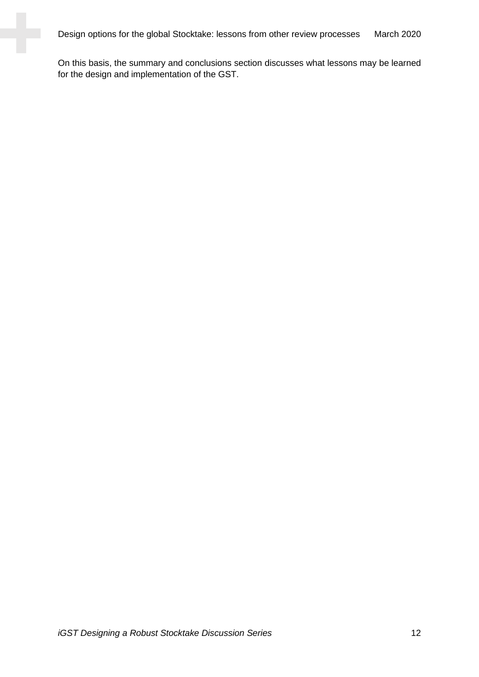Design options for the global Stocktake: lessons from other review processes March 2020

On this basis, the summary and conclusions section discusses what lessons may be learned for the design and implementation of the GST.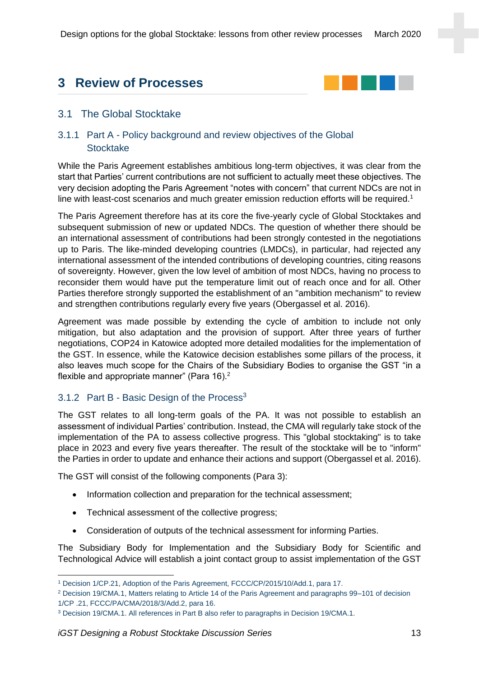# **3 Review of Processes**



## 3.1 The Global Stocktake

## 3.1.1 Part A - Policy background and review objectives of the Global **Stocktake**

While the Paris Agreement establishes ambitious long-term objectives, it was clear from the start that Parties' current contributions are not sufficient to actually meet these objectives. The very decision adopting the Paris Agreement "notes with concern" that current NDCs are not in line with least-cost scenarios and much greater emission reduction efforts will be required.<sup>1</sup>

The Paris Agreement therefore has at its core the five-yearly cycle of Global Stocktakes and subsequent submission of new or updated NDCs. The question of whether there should be an international assessment of contributions had been strongly contested in the negotiations up to Paris. The like-minded developing countries (LMDCs), in particular, had rejected any international assessment of the intended contributions of developing countries, citing reasons of sovereignty. However, given the low level of ambition of most NDCs, having no process to reconsider them would have put the temperature limit out of reach once and for all. Other Parties therefore strongly supported the establishment of an "ambition mechanism" to review and strengthen contributions regularly every five years (Obergassel et al. 2016).

Agreement was made possible by extending the cycle of ambition to include not only mitigation, but also adaptation and the provision of support. After three years of further negotiations, COP24 in Katowice adopted more detailed modalities for the implementation of the GST. In essence, while the Katowice decision establishes some pillars of the process, it also leaves much scope for the Chairs of the Subsidiary Bodies to organise the GST "in a flexible and appropriate manner" (Para  $16$ ).<sup>2</sup>

## 3.1.2 Part B - Basic Design of the Process<sup>3</sup>

The GST relates to all long-term goals of the PA. It was not possible to establish an assessment of individual Parties' contribution. Instead, the CMA will regularly take stock of the implementation of the PA to assess collective progress. This "global stocktaking" is to take place in 2023 and every five years thereafter. The result of the stocktake will be to "inform" the Parties in order to update and enhance their actions and support (Obergassel et al. 2016).

The GST will consist of the following components (Para 3):

- Information collection and preparation for the technical assessment;
- Technical assessment of the collective progress:
- Consideration of outputs of the technical assessment for informing Parties.

The Subsidiary Body for Implementation and the Subsidiary Body for Scientific and Technological Advice will establish a joint contact group to assist implementation of the GST

<sup>1</sup> Decision 1/CP.21, Adoption of the Paris Agreement, FCCC/CP/2015/10/Add.1, para 17.

<sup>2</sup> Decision 19/CMA.1, Matters relating to Article 14 of the Paris Agreement and paragraphs 99–101 of decision 1/CP .21, FCCC/PA/CMA/2018/3/Add.2, para 16.

<sup>3</sup> Decision 19/CMA.1. All references in Part B also refer to paragraphs in Decision 19/CMA.1.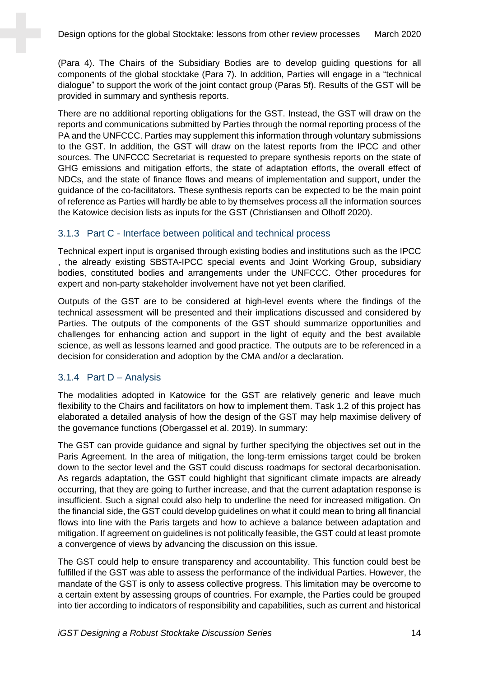(Para 4). The Chairs of the Subsidiary Bodies are to develop guiding questions for all components of the global stocktake (Para 7). In addition, Parties will engage in a "technical dialogue" to support the work of the joint contact group (Paras 5f). Results of the GST will be provided in summary and synthesis reports.

There are no additional reporting obligations for the GST. Instead, the GST will draw on the reports and communications submitted by Parties through the normal reporting process of the PA and the UNFCCC. Parties may supplement this information through voluntary submissions to the GST. In addition, the GST will draw on the latest reports from the IPCC and other sources. The UNFCCC Secretariat is requested to prepare synthesis reports on the state of GHG emissions and mitigation efforts, the state of adaptation efforts, the overall effect of NDCs, and the state of finance flows and means of implementation and support, under the guidance of the co-facilitators. These synthesis reports can be expected to be the main point of reference as Parties will hardly be able to by themselves process all the information sources the Katowice decision lists as inputs for the GST (Christiansen and Olhoff 2020).

#### 3.1.3 Part C - Interface between political and technical process

Technical expert input is organised through existing bodies and institutions such as the IPCC , the already existing SBSTA-IPCC special events and Joint Working Group, subsidiary bodies, constituted bodies and arrangements under the UNFCCC. Other procedures for expert and non-party stakeholder involvement have not yet been clarified.

Outputs of the GST are to be considered at high-level events where the findings of the technical assessment will be presented and their implications discussed and considered by Parties. The outputs of the components of the GST should summarize opportunities and challenges for enhancing action and support in the light of equity and the best available science, as well as lessons learned and good practice. The outputs are to be referenced in a decision for consideration and adoption by the CMA and/or a declaration.

#### 3.1.4 Part D – Analysis

The modalities adopted in Katowice for the GST are relatively generic and leave much flexibility to the Chairs and facilitators on how to implement them. Task 1.2 of this project has elaborated a detailed analysis of how the design of the GST may help maximise delivery of the governance functions (Obergassel et al. 2019). In summary:

The GST can provide guidance and signal by further specifying the objectives set out in the Paris Agreement. In the area of mitigation, the long-term emissions target could be broken down to the sector level and the GST could discuss roadmaps for sectoral decarbonisation. As regards adaptation, the GST could highlight that significant climate impacts are already occurring, that they are going to further increase, and that the current adaptation response is insufficient. Such a signal could also help to underline the need for increased mitigation. On the financial side, the GST could develop guidelines on what it could mean to bring all financial flows into line with the Paris targets and how to achieve a balance between adaptation and mitigation. If agreement on guidelines is not politically feasible, the GST could at least promote a convergence of views by advancing the discussion on this issue.

The GST could help to ensure transparency and accountability. This function could best be fulfilled if the GST was able to assess the performance of the individual Parties. However, the mandate of the GST is only to assess collective progress. This limitation may be overcome to a certain extent by assessing groups of countries. For example, the Parties could be grouped into tier according to indicators of responsibility and capabilities, such as current and historical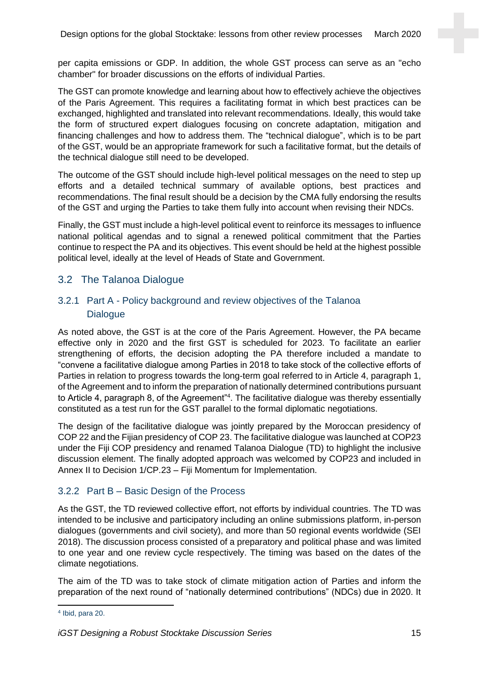per capita emissions or GDP. In addition, the whole GST process can serve as an "echo chamber" for broader discussions on the efforts of individual Parties.

The GST can promote knowledge and learning about how to effectively achieve the objectives of the Paris Agreement. This requires a facilitating format in which best practices can be exchanged, highlighted and translated into relevant recommendations. Ideally, this would take the form of structured expert dialogues focusing on concrete adaptation, mitigation and financing challenges and how to address them. The "technical dialogue", which is to be part of the GST, would be an appropriate framework for such a facilitative format, but the details of the technical dialogue still need to be developed.

The outcome of the GST should include high-level political messages on the need to step up efforts and a detailed technical summary of available options, best practices and recommendations. The final result should be a decision by the CMA fully endorsing the results of the GST and urging the Parties to take them fully into account when revising their NDCs.

Finally, the GST must include a high-level political event to reinforce its messages to influence national political agendas and to signal a renewed political commitment that the Parties continue to respect the PA and its objectives. This event should be held at the highest possible political level, ideally at the level of Heads of State and Government.

## 3.2 The Talanoa Dialogue

## 3.2.1 Part A - Policy background and review objectives of the Talanoa **Dialogue**

As noted above, the GST is at the core of the Paris Agreement. However, the PA became effective only in 2020 and the first GST is scheduled for 2023. To facilitate an earlier strengthening of efforts, the decision adopting the PA therefore included a mandate to "convene a facilitative dialogue among Parties in 2018 to take stock of the collective efforts of Parties in relation to progress towards the long-term goal referred to in Article 4, paragraph 1, of the Agreement and to inform the preparation of nationally determined contributions pursuant to Article 4, paragraph 8, of the Agreement"<sup>4</sup>. The facilitative dialogue was thereby essentially constituted as a test run for the GST parallel to the formal diplomatic negotiations.

The design of the facilitative dialogue was jointly prepared by the Moroccan presidency of COP 22 and the Fijian presidency of COP 23. The facilitative dialogue was launched at COP23 under the Fiji COP presidency and renamed Talanoa Dialogue (TD) to highlight the inclusive discussion element. The finally adopted approach was welcomed by COP23 and included in Annex II to Decision 1/CP.23 – Fiji Momentum for Implementation.

#### 3.2.2 Part B – Basic Design of the Process

As the GST, the TD reviewed collective effort, not efforts by individual countries. The TD was intended to be inclusive and participatory including an online submissions platform, in-person dialogues (governments and civil society), and more than 50 regional events worldwide (SEI 2018). The discussion process consisted of a preparatory and political phase and was limited to one year and one review cycle respectively. The timing was based on the dates of the climate negotiations.

The aim of the TD was to take stock of climate mitigation action of Parties and inform the preparation of the next round of "nationally determined contributions" (NDCs) due in 2020. It

<sup>4</sup> Ibid, para 20.

*iGST Designing a Robust Stocktake Discussion Series* 15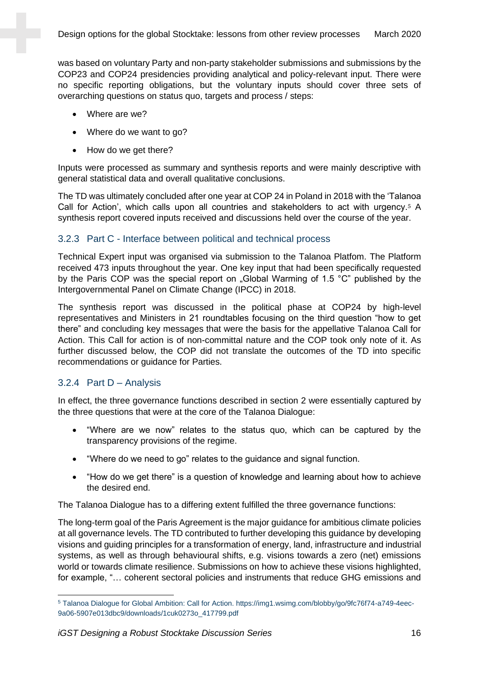was based on voluntary Party and non-party stakeholder submissions and submissions by the COP23 and COP24 presidencies providing analytical and policy-relevant input. There were no specific reporting obligations, but the voluntary inputs should cover three sets of overarching questions on status quo, targets and process / steps:

- Where are we?
- Where do we want to go?
- How do we get there?

Inputs were processed as summary and synthesis reports and were mainly descriptive with general statistical data and overall qualitative conclusions.

The TD was ultimately concluded after one year at COP 24 in Poland in 2018 with the 'Talanoa Call for Action', which calls upon all countries and stakeholders to act with urgency.<sup>5</sup> A synthesis report covered inputs received and discussions held over the course of the year.

#### 3.2.3 Part C - Interface between political and technical process

Technical Expert input was organised via submission to the Talanoa Platfom. The Platform received 473 inputs throughout the year. One key input that had been specifically requested by the Paris COP was the special report on ..Global Warming of 1.5 °C" published by the Intergovernmental Panel on Climate Change (IPCC) in 2018.

The synthesis report was discussed in the political phase at COP24 by high-level representatives and Ministers in 21 roundtables focusing on the third question "how to get there" and concluding key messages that were the basis for the appellative Talanoa Call for Action. This Call for action is of non-committal nature and the COP took only note of it. As further discussed below, the COP did not translate the outcomes of the TD into specific recommendations or guidance for Parties.

#### 3.2.4 Part D – Analysis

In effect, the three governance functions described in section [2](#page-10-0) were essentially captured by the three questions that were at the core of the Talanoa Dialogue:

- "Where are we now" relates to the status quo, which can be captured by the transparency provisions of the regime.
- "Where do we need to go" relates to the guidance and signal function.
- "How do we get there" is a question of knowledge and learning about how to achieve the desired end.

The Talanoa Dialogue has to a differing extent fulfilled the three governance functions:

The long-term goal of the Paris Agreement is the major guidance for ambitious climate policies at all governance levels. The TD contributed to further developing this guidance by developing visions and guiding principles for a transformation of energy, land, infrastructure and industrial systems, as well as through behavioural shifts, e.g. visions towards a zero (net) emissions world or towards climate resilience. Submissions on how to achieve these visions highlighted, for example, "… coherent sectoral policies and instruments that reduce GHG emissions and

<sup>5</sup> Talanoa Dialogue for Global Ambition: Call for Action. https://img1.wsimg.com/blobby/go/9fc76f74-a749-4eec-9a06-5907e013dbc9/downloads/1cuk0273o\_417799.pdf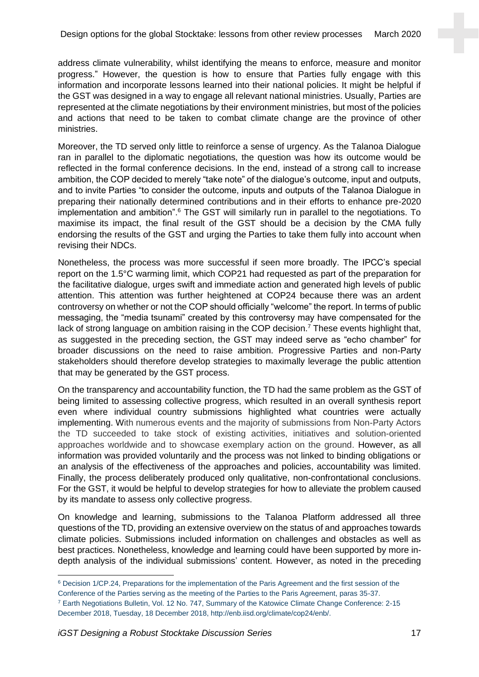address climate vulnerability, whilst identifying the means to enforce, measure and monitor progress." However, the question is how to ensure that Parties fully engage with this information and incorporate lessons learned into their national policies. It might be helpful if the GST was designed in a way to engage all relevant national ministries. Usually, Parties are represented at the climate negotiations by their environment ministries, but most of the policies and actions that need to be taken to combat climate change are the province of other ministries.

Moreover, the TD served only little to reinforce a sense of urgency. As the Talanoa Dialogue ran in parallel to the diplomatic negotiations, the question was how its outcome would be reflected in the formal conference decisions. In the end, instead of a strong call to increase ambition, the COP decided to merely "take note" of the dialogue's outcome, input and outputs, and to invite Parties "to consider the outcome, inputs and outputs of the Talanoa Dialogue in preparing their nationally determined contributions and in their efforts to enhance pre-2020 implementation and ambition".<sup>6</sup> The GST will similarly run in parallel to the negotiations. To maximise its impact, the final result of the GST should be a decision by the CMA fully endorsing the results of the GST and urging the Parties to take them fully into account when revising their NDCs.

Nonetheless, the process was more successful if seen more broadly. The IPCC's special report on the 1.5°C warming limit, which COP21 had requested as part of the preparation for the facilitative dialogue, urges swift and immediate action and generated high levels of public attention. This attention was further heightened at COP24 because there was an ardent controversy on whether or not the COP should officially "welcome" the report. In terms of public messaging, the "media tsunami" created by this controversy may have compensated for the lack of strong language on ambition raising in the COP decision.<sup>7</sup> These events highlight that, as suggested in the preceding section, the GST may indeed serve as "echo chamber" for broader discussions on the need to raise ambition. Progressive Parties and non-Party stakeholders should therefore develop strategies to maximally leverage the public attention that may be generated by the GST process.

On the transparency and accountability function, the TD had the same problem as the GST of being limited to assessing collective progress, which resulted in an overall synthesis report even where individual country submissions highlighted what countries were actually implementing. With numerous events and the majority of submissions from Non-Party Actors the TD succeeded to take stock of existing activities, initiatives and solution-oriented approaches worldwide and to showcase exemplary action on the ground. However, as all information was provided voluntarily and the process was not linked to binding obligations or an analysis of the effectiveness of the approaches and policies, accountability was limited. Finally, the process deliberately produced only qualitative, non-confrontational conclusions. For the GST, it would be helpful to develop strategies for how to alleviate the problem caused by its mandate to assess only collective progress.

On knowledge and learning, submissions to the Talanoa Platform addressed all three questions of the TD, providing an extensive overview on the status of and approaches towards climate policies. Submissions included information on challenges and obstacles as well as best practices. Nonetheless, knowledge and learning could have been supported by more indepth analysis of the individual submissions' content. However, as noted in the preceding

<sup>6</sup> Decision 1/CP.24, Preparations for the implementation of the Paris Agreement and the first session of the Conference of the Parties serving as the meeting of the Parties to the Paris Agreement, paras 35-37.

<sup>7</sup> Earth Negotiations Bulletin, Vol. 12 No. 747, Summary of the Katowice Climate Change Conference: 2-15 December 2018, Tuesday, 18 December 2018, http://enb.iisd.org/climate/cop24/enb/.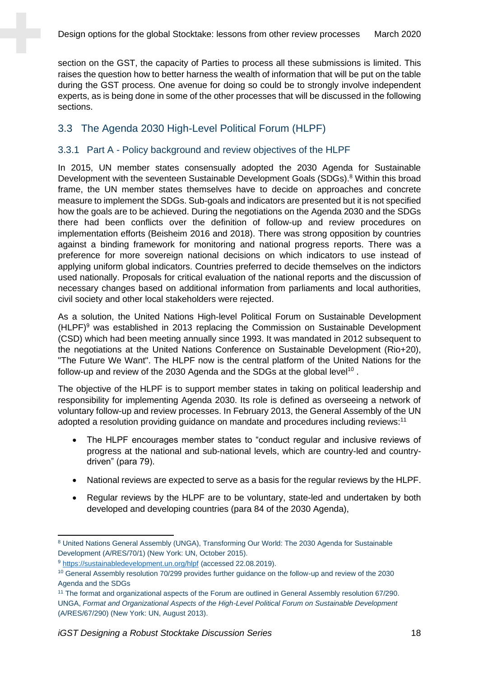section on the GST, the capacity of Parties to process all these submissions is limited. This raises the question how to better harness the wealth of information that will be put on the table during the GST process. One avenue for doing so could be to strongly involve independent experts, as is being done in some of the other processes that will be discussed in the following sections.

## 3.3 The Agenda 2030 High-Level Political Forum (HLPF)

## 3.3.1 Part A - Policy background and review objectives of the HLPF

In 2015, UN member states consensually adopted the 2030 Agenda for Sustainable Development with the seventeen Sustainable Development Goals (SDGs).<sup>8</sup> Within this broad frame, the UN member states themselves have to decide on approaches and concrete measure to implement the SDGs. Sub-goals and indicators are presented but it is not specified how the goals are to be achieved. During the negotiations on the Agenda 2030 and the SDGs there had been conflicts over the definition of follow-up and review procedures on implementation efforts (Beisheim 2016 and 2018). There was strong opposition by countries against a binding framework for monitoring and national progress reports. There was a preference for more sovereign national decisions on which indicators to use instead of applying uniform global indicators. Countries preferred to decide themselves on the indictors used nationally. Proposals for critical evaluation of the national reports and the discussion of necessary changes based on additional information from parliaments and local authorities, civil society and other local stakeholders were rejected.

As a solution, the United Nations High-level Political Forum on Sustainable Development (HLPF)<sup>9</sup> was established in 2013 replacing the Commission on Sustainable Development (CSD) which had been meeting annually since 1993. It was mandated in 2012 subsequent to the negotiations at the United Nations Conference on Sustainable Development (Rio+20), "The Future We Want". The HLPF now is the central platform of the United Nations for the follow-up and review of the 2030 Agenda and the SDGs at the global level<sup>10</sup>.

The objective of the HLPF is to support member states in taking on political leadership and responsibility for implementing Agenda 2030. Its role is defined as overseeing a network of voluntary follow-up and review processes. In February 2013, the General Assembly of the UN adopted a resolution providing guidance on mandate and procedures including reviews:<sup>11</sup>

- The HLPF encourages member states to "conduct regular and inclusive reviews of progress at the national and sub-national levels, which are country-led and countrydriven" (para 79).
- National reviews are expected to serve as a basis for the regular reviews by the HLPF.
- Regular reviews by the HLPF are to be voluntary, state-led and undertaken by both developed and developing countries (para 84 of the 2030 Agenda),

<sup>8</sup> United Nations General Assembly (UNGA), Transforming Our World: The 2030 Agenda for Sustainable Development (A/RES/70/1) (New York: UN, October 2015).

<sup>9</sup> <https://sustainabledevelopment.un.org/hlpf> (accessed 22.08.2019).

<sup>10</sup> General Assembly resolution 70/299 provides further guidance on the follow-up and review of the 2030 Agenda and the SDGs

<sup>11</sup> The format and organizational aspects of the Forum are outlined in General Assembly resolution 67/290. UNGA, *Format and Organizational Aspects of the High-Level Political Forum on Sustainable Development*  (A/RES/67/290) (New York: UN, August 2013).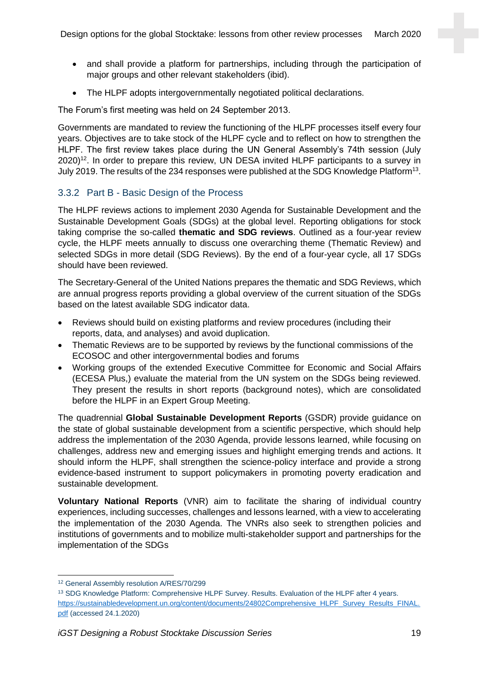- and shall provide a platform for partnerships, including through the participation of major groups and other relevant stakeholders (ibid).
- The HLPF adopts intergovernmentally negotiated political declarations.

The Forum's first meeting was held on 24 September 2013.

Governments are mandated to review the functioning of the HLPF processes itself every four years. Objectives are to take stock of the HLPF cycle and to reflect on how to strengthen the HLPF. The first review takes place during the UN General Assembly's 74th session (July 2020)<sup>12</sup>. In order to prepare this review, UN DESA invited HLPF participants to a survey in July 2019. The results of the 234 responses were published at the SDG Knowledge Platform<sup>13</sup>.

## 3.3.2 Part B - Basic Design of the Process

The HLPF reviews actions to implement 2030 Agenda for Sustainable Development and the Sustainable Development Goals (SDGs) at the global level. Reporting obligations for stock taking comprise the so-called **thematic and SDG reviews**. Outlined as a four-year review cycle, the HLPF meets annually to discuss one overarching theme (Thematic Review) and selected SDGs in more detail (SDG Reviews). By the end of a four-year cycle, all 17 SDGs should have been reviewed.

The Secretary-General of the United Nations prepares the thematic and SDG Reviews, which are annual progress reports providing a global overview of the current situation of the SDGs based on the latest available SDG indicator data.

- Reviews should build on existing platforms and review procedures (including their reports, data, and analyses) and avoid duplication.
- Thematic Reviews are to be supported by reviews by the functional commissions of the ECOSOC and other intergovernmental bodies and forums
- Working groups of the extended Executive Committee for Economic and Social Affairs (ECESA Plus,) evaluate the material from the UN system on the SDGs being reviewed. They present the results in short reports (background notes), which are consolidated before the HLPF in an Expert Group Meeting.

The quadrennial **Global Sustainable Development Reports** (GSDR) provide guidance on the state of global sustainable development from a scientific perspective, which should help address the implementation of the 2030 Agenda, provide lessons learned, while focusing on challenges, address new and emerging issues and highlight emerging trends and actions. It should inform the HLPF, shall strengthen the science-policy interface and provide a strong evidence-based instrument to support policymakers in promoting poverty eradication and sustainable development.

**Voluntary National Reports** (VNR) aim to facilitate the sharing of individual country experiences, including successes, challenges and lessons learned, with a view to accelerating the implementation of the 2030 Agenda. The VNRs also seek to strengthen policies and institutions of governments and to mobilize multi-stakeholder support and partnerships for the implementation of the SDGs

<sup>12</sup> General Assembly resolution A/RES/70/299

<sup>13</sup> SDG Knowledge Platform: Comprehensive HLPF Survey. Results. Evaluation of the HLPF after 4 years. [https://sustainabledevelopment.un.org/content/documents/24802Comprehensive\\_HLPF\\_Survey\\_Results\\_FINAL.](https://sustainabledevelopment.un.org/content/documents/24802Comprehensive_HLPF_Survey_Results_FINAL.pdf) [pdf](https://sustainabledevelopment.un.org/content/documents/24802Comprehensive_HLPF_Survey_Results_FINAL.pdf) (accessed 24.1.2020)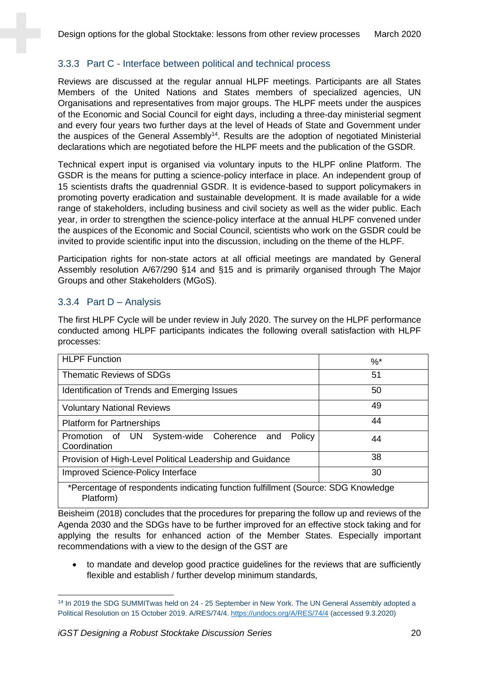## 3.3.3 Part C - Interface between political and technical process

Reviews are discussed at the regular annual HLPF meetings. Participants are all States Members of the United Nations and States members of specialized agencies, UN Organisations and representatives from major groups. The HLPF meets under the auspices of the Economic and Social Council for eight days, including a three-day ministerial segment and every four years two further days at the level of Heads of State and Government under the auspices of the General Assembly<sup>14</sup>. Results are the adoption of negotiated Ministerial declarations which are negotiated before the HLPF meets and the publication of the GSDR.

Technical expert input is organised via voluntary inputs to the HLPF online Platform. The GSDR is the means for putting a science-policy interface in place. An independent group of 15 scientists drafts the quadrennial GSDR. It is evidence-based to support policymakers in promoting poverty eradication and sustainable development. It is made available for a wide range of stakeholders, including business and civil society as well as the wider public. Each year, in order to strengthen the science-policy interface at the annual HLPF convened under the auspices of the Economic and Social Council, scientists who work on the GSDR could be invited to provide scientific input into the discussion, including on the theme of the HLPF.

Participation rights for non-state actors at all official meetings are mandated by General Assembly resolution A/67/290 §14 and §15 and is primarily organised through The Major Groups and other Stakeholders (MGoS).

## 3.3.4 Part D – Analysis

The first HLPF Cycle will be under review in July 2020. The survey on the HLPF performance conducted among HLPF participants indicates the following overall satisfaction with HLPF processes:

| <b>HLPF Function</b>                                                              | $\%$ <sup>*</sup> |  |
|-----------------------------------------------------------------------------------|-------------------|--|
| <b>Thematic Reviews of SDGs</b>                                                   | 51                |  |
| Identification of Trends and Emerging Issues                                      | 50                |  |
| <b>Voluntary National Reviews</b>                                                 | 49                |  |
| <b>Platform for Partnerships</b>                                                  | 44                |  |
| Promotion of UN System-wide Coherence and<br>Policy<br>Coordination               | 44                |  |
| 38<br>Provision of High-Level Political Leadership and Guidance                   |                   |  |
| Improved Science-Policy Interface<br>30                                           |                   |  |
| *Percentage of respondents indicating function fulfillment (Source: SDG Knowledge |                   |  |

\*Percentage of respondents indicating function fulfillment (Source: SDG Knowledge Platform)

Beisheim (2018) concludes that the procedures for preparing the follow up and reviews of the Agenda 2030 and the SDGs have to be further improved for an effective stock taking and for applying the results for enhanced action of the Member States. Especially important recommendations with a view to the design of the GST are

• to mandate and develop good practice guidelines for the reviews that are sufficiently flexible and establish / further develop minimum standards,

<sup>&</sup>lt;sup>14</sup> In 2019 the SDG SUMMITwas held on 24 - 25 September in New York. The UN General Assembly adopted a Political Resolution on 15 October 2019. A/RES/74/4.<https://undocs.org/A/RES/74/4> (accessed 9.3.2020)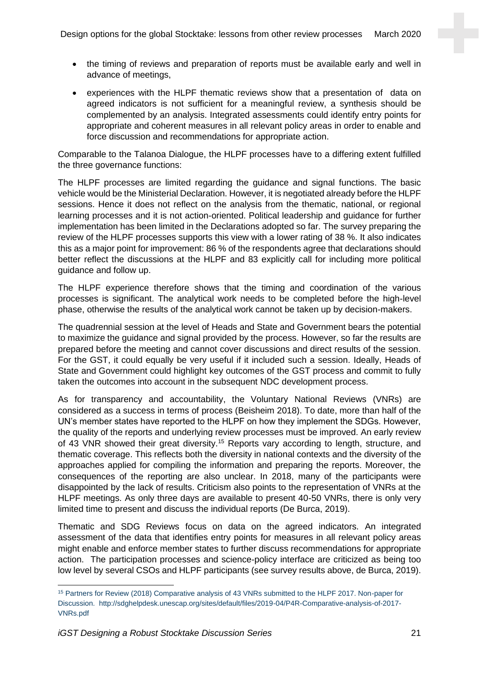- the timing of reviews and preparation of reports must be available early and well in advance of meetings,
- experiences with the HLPF thematic reviews show that a presentation of data on agreed indicators is not sufficient for a meaningful review, a synthesis should be complemented by an analysis. Integrated assessments could identify entry points for appropriate and coherent measures in all relevant policy areas in order to enable and force discussion and recommendations for appropriate action.

Comparable to the Talanoa Dialogue, the HLPF processes have to a differing extent fulfilled the three governance functions:

The HLPF processes are limited regarding the guidance and signal functions. The basic vehicle would be the Ministerial Declaration. However, it is negotiated already before the HLPF sessions. Hence it does not reflect on the analysis from the thematic, national, or regional learning processes and it is not action-oriented. Political leadership and guidance for further implementation has been limited in the Declarations adopted so far. The survey preparing the review of the HLPF processes supports this view with a lower rating of 38 %. It also indicates this as a major point for improvement: 86 % of the respondents agree that declarations should better reflect the discussions at the HLPF and 83 explicitly call for including more political guidance and follow up.

The HLPF experience therefore shows that the timing and coordination of the various processes is significant. The analytical work needs to be completed before the high-level phase, otherwise the results of the analytical work cannot be taken up by decision-makers.

The quadrennial session at the level of Heads and State and Government bears the potential to maximize the guidance and signal provided by the process. However, so far the results are prepared before the meeting and cannot cover discussions and direct results of the session. For the GST, it could equally be very useful if it included such a session. Ideally, Heads of State and Government could highlight key outcomes of the GST process and commit to fully taken the outcomes into account in the subsequent NDC development process.

As for transparency and accountability, the Voluntary National Reviews (VNRs) are considered as a success in terms of process (Beisheim 2018). To date, more than half of the UN's member states have reported to the HLPF on how they implement the SDGs. However, the quality of the reports and underlying review processes must be improved. An early review of 43 VNR showed their great diversity.<sup>15</sup> Reports vary according to length, structure, and thematic coverage. This reflects both the diversity in national contexts and the diversity of the approaches applied for compiling the information and preparing the reports. Moreover, the consequences of the reporting are also unclear. In 2018, many of the participants were disappointed by the lack of results. Criticism also points to the representation of VNRs at the HLPF meetings. As only three days are available to present 40-50 VNRs, there is only very limited time to present and discuss the individual reports (De Burca, 2019).

Thematic and SDG Reviews focus on data on the agreed indicators. An integrated assessment of the data that identifies entry points for measures in all relevant policy areas might enable and enforce member states to further discuss recommendations for appropriate action. The participation processes and science-policy interface are criticized as being too low level by several CSOs and HLPF participants (see survey results above, de Burca, 2019).

<sup>15</sup> Partners for Review (2018) Comparative analysis of 43 VNRs submitted to the HLPF 2017. Non-paper for Discussion. http://sdghelpdesk.unescap.org/sites/default/files/2019-04/P4R-Comparative-analysis-of-2017- VNRs.pdf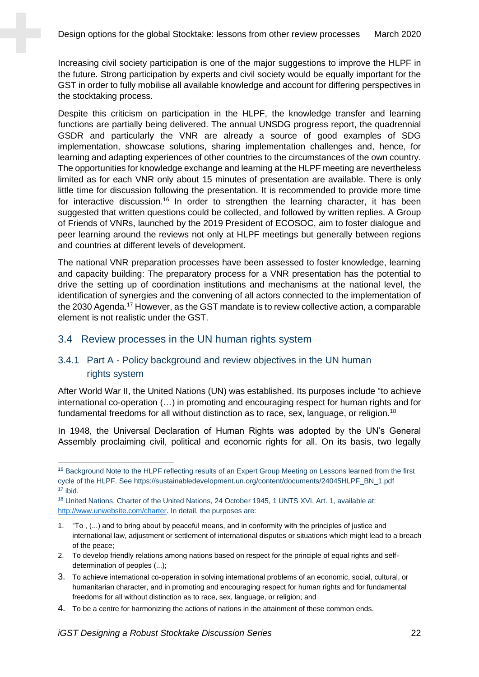Increasing civil society participation is one of the major suggestions to improve the HLPF in the future. Strong participation by experts and civil society would be equally important for the GST in order to fully mobilise all available knowledge and account for differing perspectives in the stocktaking process.

Despite this criticism on participation in the HLPF, the knowledge transfer and learning functions are partially being delivered. The annual UNSDG progress report, the quadrennial GSDR and particularly the VNR are already a source of good examples of SDG implementation, showcase solutions, sharing implementation challenges and, hence, for learning and adapting experiences of other countries to the circumstances of the own country. The opportunities for knowledge exchange and learning at the HLPF meeting are nevertheless limited as for each VNR only about 15 minutes of presentation are available. There is only little time for discussion following the presentation. It is recommended to provide more time for interactive discussion.<sup>16</sup> In order to strengthen the learning character, it has been suggested that written questions could be collected, and followed by written replies. A Group of Friends of VNRs, launched by the 2019 President of ECOSOC, aim to foster dialogue and peer learning around the reviews not only at HLPF meetings but generally between regions and countries at different levels of development.

The national VNR preparation processes have been assessed to foster knowledge, learning and capacity building: The preparatory process for a VNR presentation has the potential to drive the setting up of coordination institutions and mechanisms at the national level, the identification of synergies and the convening of all actors connected to the implementation of the 2030 Agenda. <sup>17</sup> However, as the GST mandate is to review collective action, a comparable element is not realistic under the GST.

#### 3.4 Review processes in the UN human rights system

## 3.4.1 Part A - Policy background and review objectives in the UN human rights system

After World War II, the United Nations (UN) was established. Its purposes include "to achieve international co-operation (…) in promoting and encouraging respect for human rights and for fundamental freedoms for all without distinction as to race, sex, language, or religion.<sup>18</sup>

In 1948, the Universal Declaration of Human Rights was adopted by the UN's General Assembly proclaiming civil, political and economic rights for all. On its basis, two legally

- 2. To develop friendly relations among nations based on respect for the principle of equal rights and selfdetermination of peoples (...);
- 3. To achieve international co-operation in solving international problems of an economic, social, cultural, or humanitarian character, and in promoting and encouraging respect for human rights and for fundamental freedoms for all without distinction as to race, sex, language, or religion; and
- 4. To be a centre for harmonizing the actions of nations in the attainment of these common ends.

<sup>&</sup>lt;sup>16</sup> Background Note to the HLPF reflecting results of an Expert Group Meeting on Lessons learned from the first cycle of the HLPF. See https://sustainabledevelopment.un.org/content/documents/24045HLPF\_BN\_1.pdf <sup>17</sup> ibid.

<sup>&</sup>lt;sup>18</sup> United Nations, Charter of the United Nations, 24 October 1945, 1 UNTS XVI, Art. 1, available at: [http://www.unwebsite.com/charter.](http://www.unwebsite.com/charter) In detail, the purposes are:

<sup>1.</sup> "To , (...) and to bring about by peaceful means, and in conformity with the principles of justice and international law, adjustment or settlement of international disputes or situations which might lead to a breach of the peace;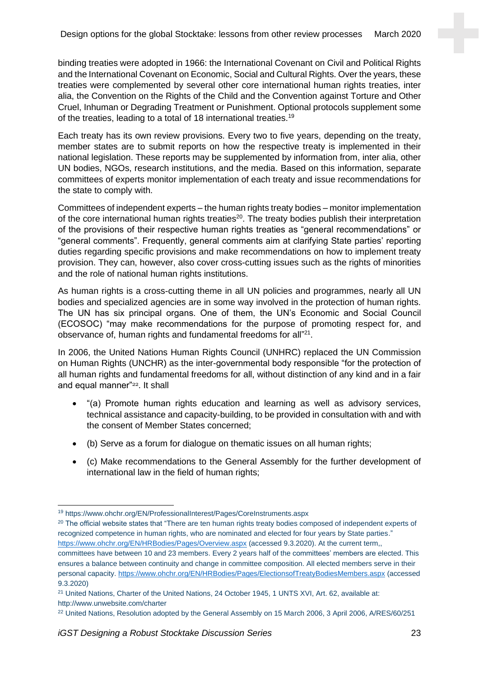binding treaties were adopted in 1966: the International Covenant on Civil and Political Rights and the International Covenant on Economic, Social and Cultural Rights. Over the years, these treaties were complemented by several other core international human rights treaties, inter alia, the Convention on the Rights of the Child and the Convention against Torture and Other Cruel, Inhuman or Degrading Treatment or Punishment. Optional protocols supplement some of the treaties, leading to a total of 18 international treaties.<sup>19</sup>

Each treaty has its own review provisions. Every two to five years, depending on the treaty, member states are to submit reports on how the respective treaty is implemented in their national legislation. These reports may be supplemented by information from, inter alia, other UN bodies, NGOs, research institutions, and the media. Based on this information, separate committees of experts monitor implementation of each treaty and issue recommendations for the state to comply with.

Committees of independent experts – the human rights treaty bodies – monitor implementation of the core international human rights treaties<sup>20</sup>. The treaty bodies publish their interpretation of the provisions of their respective human rights treaties as "general recommendations" or "general comments". Frequently, general comments aim at clarifying State parties' reporting duties regarding specific provisions and make recommendations on how to implement treaty provision. They can, however, also cover cross-cutting issues such as the rights of minorities and the role of national human rights institutions.

As human rights is a cross-cutting theme in all UN policies and programmes, nearly all UN bodies and specialized agencies are in some way involved in the protection of human rights. The UN has six principal organs. One of them, the UN's Economic and Social Council (ECOSOC) "may make recommendations for the purpose of promoting respect for, and observance of, human rights and fundamental freedoms for all"<sup>21</sup>.

In 2006, the United Nations Human Rights Council (UNHRC) replaced the UN Commission on Human Rights (UNCHR) as the inter-governmental body responsible "for the protection of all human rights and fundamental freedoms for all, without distinction of any kind and in a fair and equal manner"<sup>22</sup>. It shall

- "(a) Promote human rights education and learning as well as advisory services, technical assistance and capacity-building, to be provided in consultation with and with the consent of Member States concerned;
- (b) Serve as a forum for dialogue on thematic issues on all human rights;
- (c) Make recommendations to the General Assembly for the further development of international law in the field of human rights;

<sup>19</sup> https://www.ohchr.org/EN/ProfessionalInterest/Pages/CoreInstruments.aspx

<sup>&</sup>lt;sup>20</sup> The official website states that "There are ten human rights treaty bodies composed of independent experts of recognized competence in human rights, who are nominated and elected for four years by State parties." <https://www.ohchr.org/EN/HRBodies/Pages/Overview.aspx> (accessed 9.3.2020). At the current term,, committees have between 10 and 23 members. Every 2 years half of the committees' members are elected. This ensures a balance between continuity and change in committee composition. All elected members serve in their personal capacity. <https://www.ohchr.org/EN/HRBodies/Pages/ElectionsofTreatyBodiesMembers.aspx> (accessed 9.3.2020)

<sup>21</sup> United Nations, Charter of the United Nations, 24 October 1945, 1 UNTS XVI, Art. 62, available at: http://www.unwebsite.com/charter

<sup>&</sup>lt;sup>22</sup> United Nations, Resolution adopted by the General Assembly on 15 March 2006, 3 April 2006, A/RES/60/251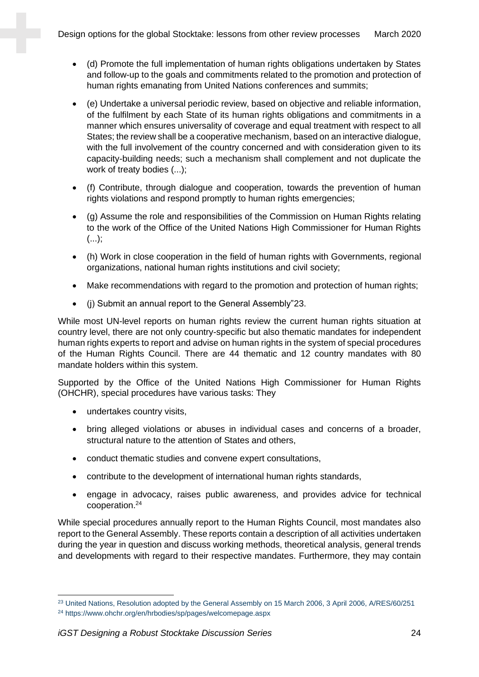- (d) Promote the full implementation of human rights obligations undertaken by States and follow-up to the goals and commitments related to the promotion and protection of human rights emanating from United Nations conferences and summits;
- (e) Undertake a universal periodic review, based on objective and reliable information, of the fulfilment by each State of its human rights obligations and commitments in a manner which ensures universality of coverage and equal treatment with respect to all States; the review shall be a cooperative mechanism, based on an interactive dialogue, with the full involvement of the country concerned and with consideration given to its capacity-building needs; such a mechanism shall complement and not duplicate the work of treaty bodies (...);
- (f) Contribute, through dialogue and cooperation, towards the prevention of human rights violations and respond promptly to human rights emergencies;
- (g) Assume the role and responsibilities of the Commission on Human Rights relating to the work of the Office of the United Nations High Commissioner for Human Rights  $(...);$
- (h) Work in close cooperation in the field of human rights with Governments, regional organizations, national human rights institutions and civil society;
- Make recommendations with regard to the promotion and protection of human rights;
- (j) Submit an annual report to the General Assembly"23.

While most UN-level reports on human rights review the current human rights situation at country level, there are not only country-specific but also thematic mandates for independent human rights experts to report and advise on human rights in the system of special procedures of the Human Rights Council. There are 44 thematic and 12 country mandates with 80 mandate holders within this system.

Supported by the Office of the United Nations High Commissioner for Human Rights (OHCHR), special procedures have various tasks: They

- undertakes country visits,
- bring alleged violations or abuses in individual cases and concerns of a broader, structural nature to the attention of States and others,
- conduct thematic studies and convene expert consultations,
- contribute to the development of international human rights standards,
- engage in advocacy, raises public awareness, and provides advice for technical cooperation. 24

While special procedures annually report to the Human Rights Council, most mandates also report to the General Assembly. These reports contain a description of all activities undertaken during the year in question and discuss working methods, theoretical analysis, general trends and developments with regard to their respective mandates. Furthermore, they may contain

<sup>&</sup>lt;sup>23</sup> United Nations, Resolution adopted by the General Assembly on 15 March 2006, 3 April 2006, A/RES/60/251 <sup>24</sup> https://www.ohchr.org/en/hrbodies/sp/pages/welcomepage.aspx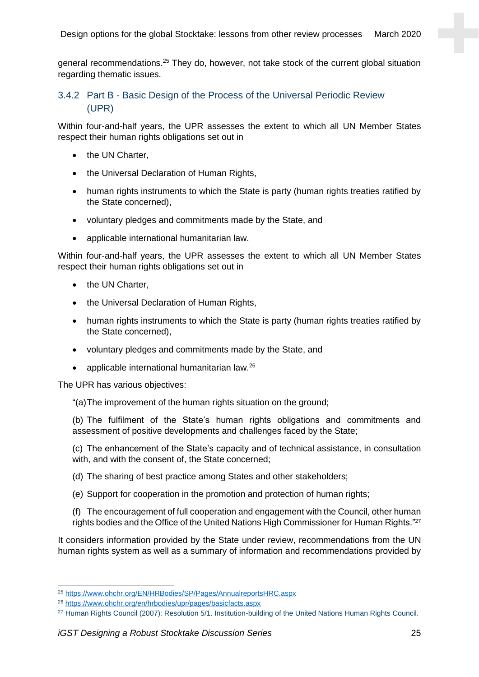general recommendations.<sup>25</sup> They do, however, not take stock of the current global situation regarding thematic issues.

## 3.4.2 Part B - Basic Design of the Process of the Universal Periodic Review (UPR)

Within four-and-half years, the UPR assesses the extent to which all UN Member States respect their human rights obligations set out in

- the UN Charter,
- the Universal Declaration of Human Rights,
- human rights instruments to which the State is party (human rights treaties ratified by the State concerned),
- voluntary pledges and commitments made by the State, and
- applicable international humanitarian law.

Within four-and-half years, the UPR assesses the extent to which all UN Member States respect their human rights obligations set out in

- the UN Charter,
- the Universal Declaration of Human Rights,
- human rights instruments to which the State is party (human rights treaties ratified by the State concerned),
- voluntary pledges and commitments made by the State, and
- applicable international humanitarian law. $^{26}$

The UPR has various objectives:

"(a)The improvement of the human rights situation on the ground;

(b) The fulfilment of the State's human rights obligations and commitments and assessment of positive developments and challenges faced by the State;

(c) The enhancement of the State's capacity and of technical assistance, in consultation with, and with the consent of, the State concerned;

- (d) The sharing of best practice among States and other stakeholders;
- (e) Support for cooperation in the promotion and protection of human rights;

(f) The encouragement of full cooperation and engagement with the Council, other human rights bodies and the Office of the United Nations High Commissioner for Human Rights."<sup>27</sup>

It considers information provided by the State under review, recommendations from the UN human rights system as well as a summary of information and recommendations provided by

<sup>25</sup> <https://www.ohchr.org/EN/HRBodies/SP/Pages/AnnualreportsHRC.aspx>

<sup>26</sup> <https://www.ohchr.org/en/hrbodies/upr/pages/basicfacts.aspx>

<sup>&</sup>lt;sup>27</sup> Human Rights Council (2007): Resolution 5/1. Institution-building of the United Nations Human Rights Council.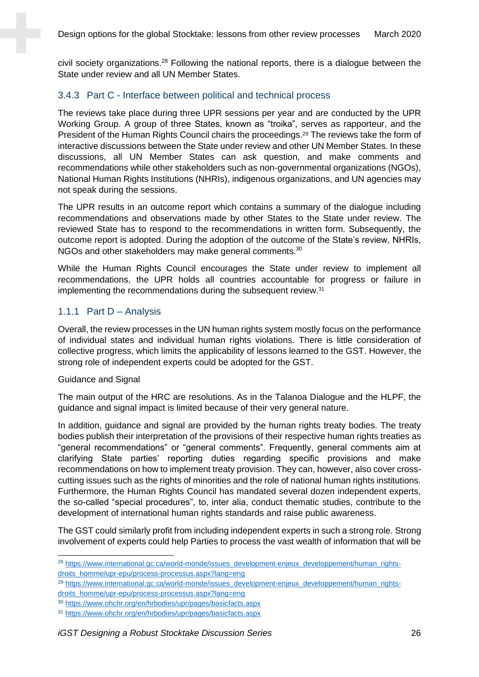civil society organizations.<sup>28</sup> Following the national reports, there is a dialogue between the State under review and all UN Member States.

#### 3.4.3 Part C - Interface between political and technical process

The reviews take place during three UPR sessions per year and are conducted by the UPR Working Group. A group of three States, known as "troika", serves as rapporteur, and the President of the Human Rights Council chairs the proceedings.<sup>29</sup> The reviews take the form of interactive discussions between the State under review and other UN Member States. In these discussions, all UN Member States can ask question, and make comments and recommendations while other stakeholders such as non-governmental organizations (NGOs), National Human Rights Institutions (NHRIs), indigenous organizations, and UN agencies may not speak during the sessions.

The UPR results in an outcome report which contains a summary of the dialogue including recommendations and observations made by other States to the State under review. The reviewed State has to respond to the recommendations in written form. Subsequently, the outcome report is adopted. During the adoption of the outcome of the State's review, NHRIs, NGOs and other stakeholders may make general comments.<sup>30</sup>

While the Human Rights Council encourages the State under review to implement all recommendations, the UPR holds all countries accountable for progress or failure in implementing the recommendations during the subsequent review.<sup>31</sup>

#### 1.1.1 Part D – Analysis

Overall, the review processes in the UN human rights system mostly focus on the performance of individual states and individual human rights violations. There is little consideration of collective progress, which limits the applicability of lessons learned to the GST. However, the strong role of independent experts could be adopted for the GST.

#### Guidance and Signal

The main output of the HRC are resolutions. As in the Talanoa Dialogue and the HLPF, the guidance and signal impact is limited because of their very general nature.

In addition, guidance and signal are provided by the human rights treaty bodies. The treaty bodies publish their interpretation of the provisions of their respective human rights treaties as "general recommendations" or "general comments". Frequently, general comments aim at clarifying State parties' reporting duties regarding specific provisions and make recommendations on how to implement treaty provision. They can, however, also cover crosscutting issues such as the rights of minorities and the role of national human rights institutions. Furthermore, the Human Rights Council has mandated several dozen independent experts, the so-called "special procedures", to, inter alia, conduct thematic studies, contribute to the development of international human rights standards and raise public awareness.

The GST could similarly profit from including independent experts in such a strong role. Strong involvement of experts could help Parties to process the vast wealth of information that will be

<sup>&</sup>lt;sup>28</sup> [https://www.international.gc.ca/world-monde/issues\\_development-enjeux\\_developpement/human\\_rights](https://www.international.gc.ca/world-monde/issues_development-enjeux_developpement/human_rights-droits_homme/upr-epu/process-processus.aspx?lang=eng)[droits\\_homme/upr-epu/process-processus.aspx?lang=eng](https://www.international.gc.ca/world-monde/issues_development-enjeux_developpement/human_rights-droits_homme/upr-epu/process-processus.aspx?lang=eng)

<sup>&</sup>lt;sup>29</sup> [https://www.international.gc.ca/world-monde/issues\\_development-enjeux\\_developpement/human\\_rights](https://www.international.gc.ca/world-monde/issues_development-enjeux_developpement/human_rights-droits_homme/upr-epu/process-processus.aspx?lang=eng)[droits\\_homme/upr-epu/process-processus.aspx?lang=eng](https://www.international.gc.ca/world-monde/issues_development-enjeux_developpement/human_rights-droits_homme/upr-epu/process-processus.aspx?lang=eng)

<sup>30</sup> <https://www.ohchr.org/en/hrbodies/upr/pages/basicfacts.aspx>

<sup>31</sup> <https://www.ohchr.org/en/hrbodies/upr/pages/basicfacts.aspx>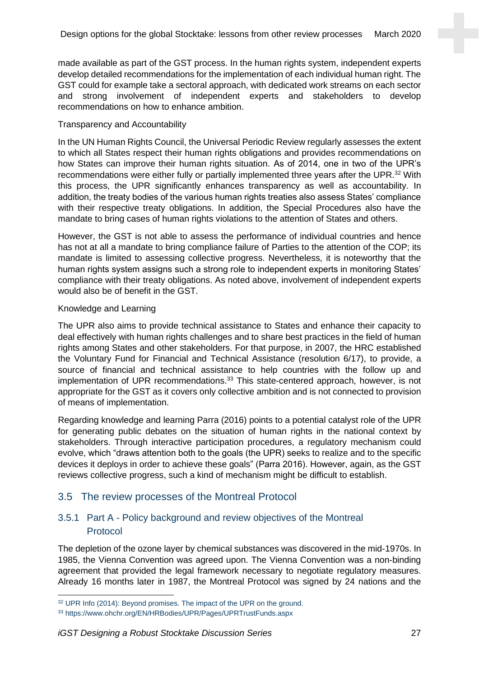made available as part of the GST process. In the human rights system, independent experts develop detailed recommendations for the implementation of each individual human right. The GST could for example take a sectoral approach, with dedicated work streams on each sector and strong involvement of independent experts and stakeholders to develop recommendations on how to enhance ambition.

#### Transparency and Accountability

In the UN Human Rights Council, the Universal Periodic Review regularly assesses the extent to which all States respect their human rights obligations and provides recommendations on how States can improve their human rights situation. As of 2014, one in two of the UPR's recommendations were either fully or partially implemented three years after the UPR.<sup>32</sup> With this process, the UPR significantly enhances transparency as well as accountability. In addition, the treaty bodies of the various human rights treaties also assess States' compliance with their respective treaty obligations. In addition, the Special Procedures also have the mandate to bring cases of human rights violations to the attention of States and others.

However, the GST is not able to assess the performance of individual countries and hence has not at all a mandate to bring compliance failure of Parties to the attention of the COP; its mandate is limited to assessing collective progress. Nevertheless, it is noteworthy that the human rights system assigns such a strong role to independent experts in monitoring States' compliance with their treaty obligations. As noted above, involvement of independent experts would also be of benefit in the GST.

#### Knowledge and Learning

The UPR also aims to provide technical assistance to States and enhance their capacity to deal effectively with human rights challenges and to share best practices in the field of human rights among States and other stakeholders. For that purpose, in 2007, the HRC established the Voluntary Fund for Financial and Technical Assistance (resolution 6/17), to provide, a source of financial and technical assistance to help countries with the follow up and implementation of UPR recommendations.<sup>33</sup> This state-centered approach, however, is not appropriate for the GST as it covers only collective ambition and is not connected to provision of means of implementation.

Regarding knowledge and learning Parra (2016) points to a potential catalyst role of the UPR for generating public debates on the situation of human rights in the national context by stakeholders. Through interactive participation procedures, a regulatory mechanism could evolve, which "draws attention both to the goals (the UPR) seeks to realize and to the specific devices it deploys in order to achieve these goals" (Parra 2016). However, again, as the GST reviews collective progress, such a kind of mechanism might be difficult to establish.

## 3.5 The review processes of the Montreal Protocol

## 3.5.1 Part A - Policy background and review objectives of the Montreal Protocol

The depletion of the ozone layer by chemical substances was discovered in the mid-1970s. In 1985, the Vienna Convention was agreed upon. The Vienna Convention was a non-binding agreement that provided the legal framework necessary to negotiate regulatory measures. Already 16 months later in 1987, the Montreal Protocol was signed by 24 nations and the

<sup>&</sup>lt;sup>32</sup> UPR Info (2014): Beyond promises. The impact of the UPR on the ground.

<sup>33</sup> https://www.ohchr.org/EN/HRBodies/UPR/Pages/UPRTrustFunds.aspx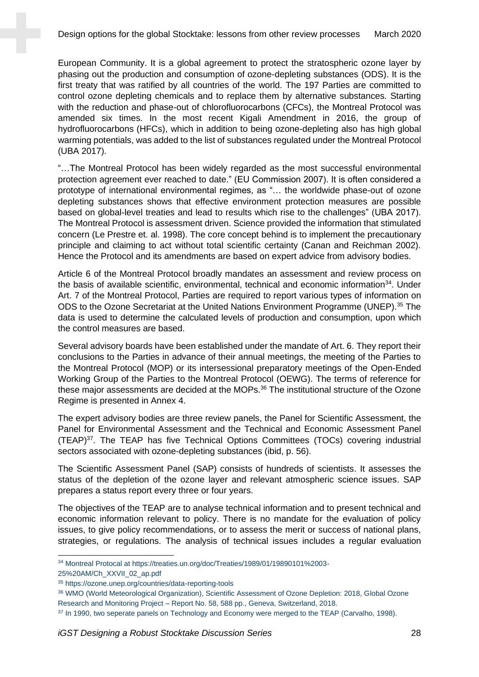European Community. It is a global agreement to protect the stratospheric ozone layer by phasing out the production and consumption of ozone-depleting substances (ODS). It is the first treaty that was ratified by all countries of the world. The 197 Parties are committed to control ozone depleting chemicals and to replace them by alternative substances. Starting with the reduction and phase-out of chlorofluorocarbons (CFCs), the Montreal Protocol was amended six times. In the most recent Kigali Amendment in 2016, the group of hydrofluorocarbons (HFCs), which in addition to being ozone-depleting also has high global warming potentials, was added to the list of substances regulated under the Montreal Protocol (UBA 2017).

"…The Montreal Protocol has been widely regarded as the most successful environmental protection agreement ever reached to date." (EU Commission 2007). It is often considered a prototype of international environmental regimes, as "… the worldwide phase-out of ozone depleting substances shows that effective environment protection measures are possible based on global-level treaties and lead to results which rise to the challenges" (UBA 2017). The Montreal Protocol is assessment driven. Science provided the information that stimulated concern (Le Prestre et. al. 1998). The core concept behind is to implement the precautionary principle and claiming to act without total scientific certainty (Canan and Reichman 2002). Hence the Protocol and its amendments are based on expert advice from advisory bodies.

Article 6 of the Montreal Protocol broadly mandates an assessment and review process on the basis of available scientific, environmental, technical and economic information $34$ . Under Art. 7 of the Montreal Protocol, Parties are required to report various types of information on ODS to the Ozone Secretariat at the United Nations Environment Programme (UNEP).<sup>35</sup> The data is used to determine the calculated levels of production and consumption, upon which the control measures are based.

Several advisory boards have been established under the mandate of Art. 6. They report their conclusions to the Parties in advance of their annual meetings, the meeting of the Parties to the Montreal Protocol (MOP) or its intersessional preparatory meetings of the Open-Ended Working Group of the Parties to the Montreal Protocol (OEWG). The terms of reference for these major assessments are decided at the MOPs.<sup>36</sup> The institutional structure of the Ozone Regime is presented in Annex 4.

The expert advisory bodies are three review panels, the Panel for Scientific Assessment, the Panel for Environmental Assessment and the Technical and Economic Assessment Panel (TEAP)<sup>37</sup>. The TEAP has five Technical Options Committees (TOCs) covering industrial sectors associated with ozone-depleting substances (ibid, p. 56).

The Scientific Assessment Panel (SAP) consists of hundreds of scientists. It assesses the status of the depletion of the ozone layer and relevant atmospheric science issues. SAP prepares a status report every three or four years.

The objectives of the TEAP are to analyse technical information and to present technical and economic information relevant to policy. There is no mandate for the evaluation of policy issues, to give policy recommendations, or to assess the merit or success of national plans, strategies, or regulations. The analysis of technical issues includes a regular evaluation

25%20AM/Ch\_XXVII\_02\_ap.pdf

<sup>34</sup> Montreal Protocal at https://treaties.un.org/doc/Treaties/1989/01/19890101%2003-

<sup>35</sup> https://ozone.unep.org/countries/data-reporting-tools

<sup>36</sup> WMO (World Meteorological Organization), Scientific Assessment of Ozone Depletion: 2018, Global Ozone Research and Monitoring Project – Report No. 58, 588 pp., Geneva, Switzerland, 2018.

<sup>&</sup>lt;sup>37</sup> In 1990, two seperate panels on Technology and Economy were merged to the TEAP (Carvalho, 1998).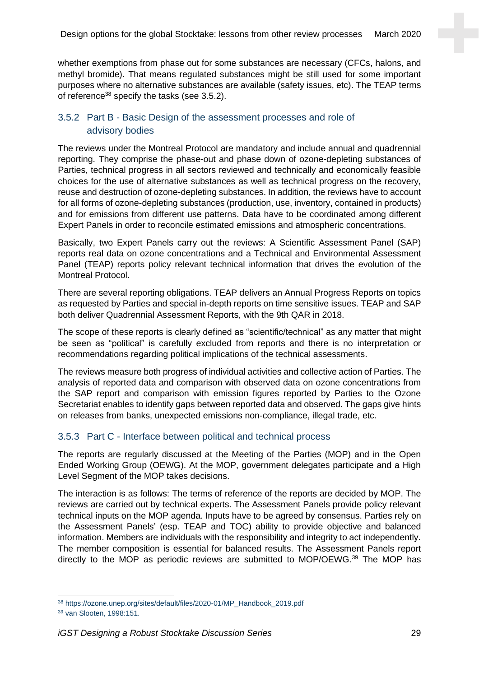whether exemptions from phase out for some substances are necessary (CFCs, halons, and methyl bromide). That means regulated substances might be still used for some important purposes where no alternative substances are available (safety issues, etc). The TEAP terms of reference<sup>38</sup> specify the tasks (see 3.5.2).

## 3.5.2 Part B - Basic Design of the assessment processes and role of advisory bodies

The reviews under the Montreal Protocol are mandatory and include annual and quadrennial reporting. They comprise the phase-out and phase down of ozone-depleting substances of Parties, technical progress in all sectors reviewed and technically and economically feasible choices for the use of alternative substances as well as technical progress on the recovery, reuse and destruction of ozone-depleting substances. In addition, the reviews have to account for all forms of ozone-depleting substances (production, use, inventory, contained in products) and for emissions from different use patterns. Data have to be coordinated among different Expert Panels in order to reconcile estimated emissions and atmospheric concentrations.

Basically, two Expert Panels carry out the reviews: A Scientific Assessment Panel (SAP) reports real data on ozone concentrations and a Technical and Environmental Assessment Panel (TEAP) reports policy relevant technical information that drives the evolution of the Montreal Protocol.

There are several reporting obligations. TEAP delivers an Annual Progress Reports on topics as requested by Parties and special in-depth reports on time sensitive issues. TEAP and SAP both deliver Quadrennial Assessment Reports, with the 9th QAR in 2018.

The scope of these reports is clearly defined as "scientific/technical" as any matter that might be seen as "political" is carefully excluded from reports and there is no interpretation or recommendations regarding political implications of the technical assessments.

The reviews measure both progress of individual activities and collective action of Parties. The analysis of reported data and comparison with observed data on ozone concentrations from the SAP report and comparison with emission figures reported by Parties to the Ozone Secretariat enables to identify gaps between reported data and observed. The gaps give hints on releases from banks, unexpected emissions non-compliance, illegal trade, etc.

## 3.5.3 Part C - Interface between political and technical process

The reports are regularly discussed at the Meeting of the Parties (MOP) and in the Open Ended Working Group (OEWG). At the MOP, government delegates participate and a High Level Segment of the MOP takes decisions.

The interaction is as follows: The terms of reference of the reports are decided by MOP. The reviews are carried out by technical experts. The Assessment Panels provide policy relevant technical inputs on the MOP agenda. Inputs have to be agreed by consensus. Parties rely on the Assessment Panels' (esp. TEAP and TOC) ability to provide objective and balanced information. Members are individuals with the responsibility and integrity to act independently. The member composition is essential for balanced results. The Assessment Panels report directly to the MOP as periodic reviews are submitted to MOP/OEWG.<sup>39</sup> The MOP has

<sup>38</sup> https://ozone.unep.org/sites/default/files/2020-01/MP\_Handbook\_2019.pdf

<sup>39</sup> van Slooten, 1998:151.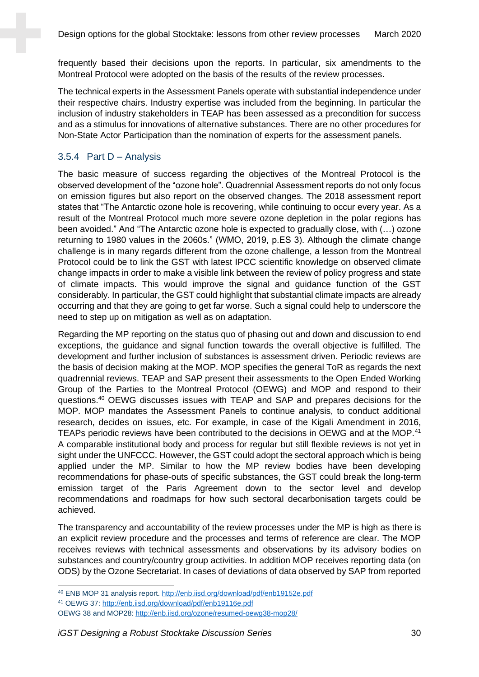frequently based their decisions upon the reports. In particular, six amendments to the Montreal Protocol were adopted on the basis of the results of the review processes.

The technical experts in the Assessment Panels operate with substantial independence under their respective chairs. Industry expertise was included from the beginning. In particular the inclusion of industry stakeholders in TEAP has been assessed as a precondition for success and as a stimulus for innovations of alternative substances. There are no other procedures for Non-State Actor Participation than the nomination of experts for the assessment panels.

#### 3.5.4 Part D – Analysis

The basic measure of success regarding the objectives of the Montreal Protocol is the observed development of the "ozone hole". Quadrennial Assessment reports do not only focus on emission figures but also report on the observed changes. The 2018 assessment report states that "The Antarctic ozone hole is recovering, while continuing to occur every year. As a result of the Montreal Protocol much more severe ozone depletion in the polar regions has been avoided." And "The Antarctic ozone hole is expected to gradually close, with (…) ozone returning to 1980 values in the 2060s." (WMO, 2019, p.ES 3). Although the climate change challenge is in many regards different from the ozone challenge, a lesson from the Montreal Protocol could be to link the GST with latest IPCC scientific knowledge on observed climate change impacts in order to make a visible link between the review of policy progress and state of climate impacts. This would improve the signal and guidance function of the GST considerably. In particular, the GST could highlight that substantial climate impacts are already occurring and that they are going to get far worse. Such a signal could help to underscore the need to step up on mitigation as well as on adaptation.

Regarding the MP reporting on the status quo of phasing out and down and discussion to end exceptions, the guidance and signal function towards the overall objective is fulfilled. The development and further inclusion of substances is assessment driven. Periodic reviews are the basis of decision making at the MOP. MOP specifies the general ToR as regards the next quadrennial reviews. TEAP and SAP present their assessments to the Open Ended Working Group of the Parties to the Montreal Protocol (OEWG) and MOP and respond to their questions.<sup>40</sup> OEWG discusses issues with TEAP and SAP and prepares decisions for the MOP. MOP mandates the Assessment Panels to continue analysis, to conduct additional research, decides on issues, etc. For example, in case of the Kigali Amendment in 2016, TEAPs periodic reviews have been contributed to the decisions in OEWG and at the MOP.<sup>41</sup> A comparable institutional body and process for regular but still flexible reviews is not yet in sight under the UNFCCC. However, the GST could adopt the sectoral approach which is being applied under the MP. Similar to how the MP review bodies have been developing recommendations for phase-outs of specific substances, the GST could break the long-term emission target of the Paris Agreement down to the sector level and develop recommendations and roadmaps for how such sectoral decarbonisation targets could be achieved.

The transparency and accountability of the review processes under the MP is high as there is an explicit review procedure and the processes and terms of reference are clear. The MOP receives reviews with technical assessments and observations by its advisory bodies on substances and country/country group activities. In addition MOP receives reporting data (on ODS) by the Ozone Secretariat. In cases of deviations of data observed by SAP from reported

<sup>40</sup> ENB MOP 31 analysis report.<http://enb.iisd.org/download/pdf/enb19152e.pdf>

<sup>41</sup> OEWG 37:<http://enb.iisd.org/download/pdf/enb19116e.pdf>

OEWG 38 and MOP28[: http://enb.iisd.org/ozone/resumed-oewg38-mop28/](http://enb.iisd.org/ozone/resumed-oewg38-mop28/)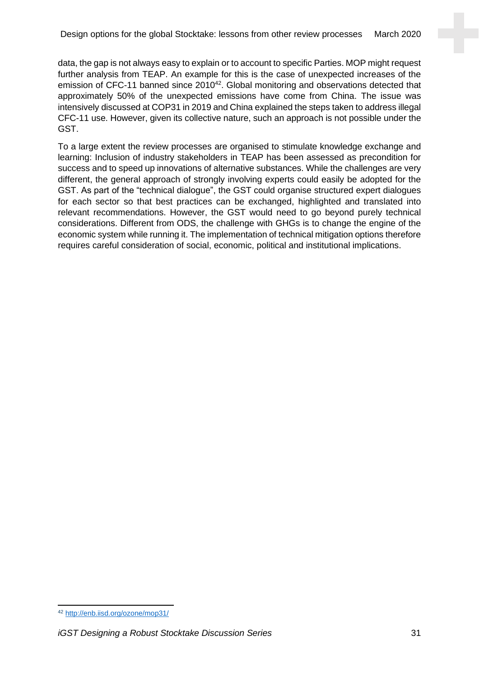data, the gap is not always easy to explain or to account to specific Parties. MOP might request further analysis from TEAP. An example for this is the case of unexpected increases of the emission of CFC-11 banned since 2010<sup>42</sup>. Global monitoring and observations detected that approximately 50% of the unexpected emissions have come from China. The issue was intensively discussed at COP31 in 2019 and China explained the steps taken to address illegal CFC-11 use. However, given its collective nature, such an approach is not possible under the GST.

To a large extent the review processes are organised to stimulate knowledge exchange and learning: Inclusion of industry stakeholders in TEAP has been assessed as precondition for success and to speed up innovations of alternative substances. While the challenges are very different, the general approach of strongly involving experts could easily be adopted for the GST. As part of the "technical dialogue", the GST could organise structured expert dialogues for each sector so that best practices can be exchanged, highlighted and translated into relevant recommendations. However, the GST would need to go beyond purely technical considerations. Different from ODS, the challenge with GHGs is to change the engine of the economic system while running it. The implementation of technical mitigation options therefore requires careful consideration of social, economic, political and institutional implications.

<sup>42</sup> <http://enb.iisd.org/ozone/mop31/>

*iGST Designing a Robust Stocktake Discussion Series* 31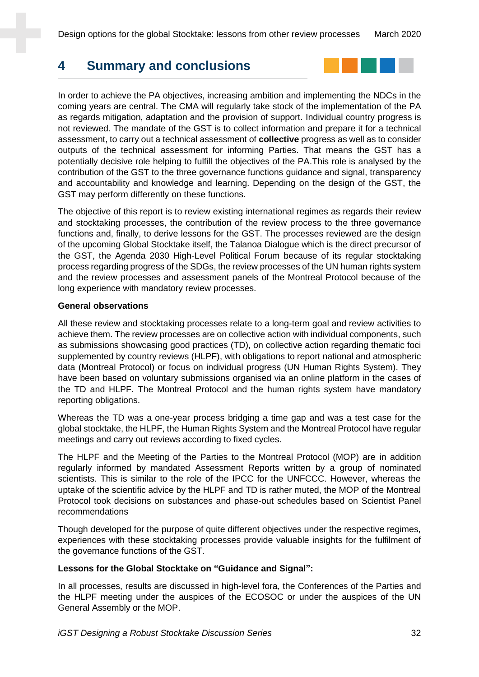# **4 Summary and conclusions**



In order to achieve the PA objectives, increasing ambition and implementing the NDCs in the coming years are central. The CMA will regularly take stock of the implementation of the PA as regards mitigation, adaptation and the provision of support. Individual country progress is not reviewed. The mandate of the GST is to collect information and prepare it for a technical assessment, to carry out a technical assessment of **collective** progress as well as to consider outputs of the technical assessment for informing Parties. That means the GST has a potentially decisive role helping to fulfill the objectives of the PA.This role is analysed by the contribution of the GST to the three governance functions guidance and signal, transparency and accountability and knowledge and learning. Depending on the design of the GST, the GST may perform differently on these functions.

The objective of this report is to review existing international regimes as regards their review and stocktaking processes, the contribution of the review process to the three governance functions and, finally, to derive lessons for the GST. The processes reviewed are the design of the upcoming Global Stocktake itself, the Talanoa Dialogue which is the direct precursor of the GST, the Agenda 2030 High-Level Political Forum because of its regular stocktaking process regarding progress of the SDGs, the review processes of the UN human rights system and the review processes and assessment panels of the Montreal Protocol because of the long experience with mandatory review processes.

#### **General observations**

All these review and stocktaking processes relate to a long-term goal and review activities to achieve them. The review processes are on collective action with individual components, such as submissions showcasing good practices (TD), on collective action regarding thematic foci supplemented by country reviews (HLPF), with obligations to report national and atmospheric data (Montreal Protocol) or focus on individual progress (UN Human Rights System). They have been based on voluntary submissions organised via an online platform in the cases of the TD and HLPF. The Montreal Protocol and the human rights system have mandatory reporting obligations.

Whereas the TD was a one-year process bridging a time gap and was a test case for the global stocktake, the HLPF, the Human Rights System and the Montreal Protocol have regular meetings and carry out reviews according to fixed cycles.

The HLPF and the Meeting of the Parties to the Montreal Protocol (MOP) are in addition regularly informed by mandated Assessment Reports written by a group of nominated scientists. This is similar to the role of the IPCC for the UNFCCC. However, whereas the uptake of the scientific advice by the HLPF and TD is rather muted, the MOP of the Montreal Protocol took decisions on substances and phase-out schedules based on Scientist Panel recommendations

Though developed for the purpose of quite different objectives under the respective regimes, experiences with these stocktaking processes provide valuable insights for the fulfilment of the governance functions of the GST.

#### **Lessons for the Global Stocktake on "Guidance and Signal":**

In all processes, results are discussed in high-level fora, the Conferences of the Parties and the HLPF meeting under the auspices of the ECOSOC or under the auspices of the UN General Assembly or the MOP.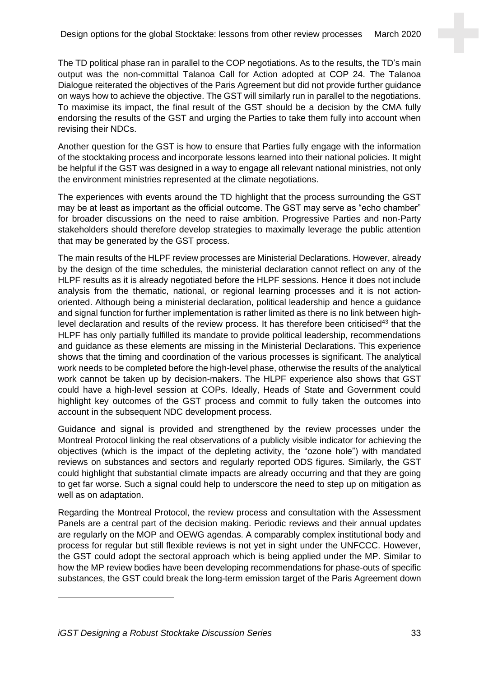The TD political phase ran in parallel to the COP negotiations. As to the results, the TD's main output was the non-committal Talanoa Call for Action adopted at COP 24. The Talanoa Dialogue reiterated the objectives of the Paris Agreement but did not provide further guidance on ways how to achieve the objective. The GST will similarly run in parallel to the negotiations. To maximise its impact, the final result of the GST should be a decision by the CMA fully endorsing the results of the GST and urging the Parties to take them fully into account when revising their NDCs.

Another question for the GST is how to ensure that Parties fully engage with the information of the stocktaking process and incorporate lessons learned into their national policies. It might be helpful if the GST was designed in a way to engage all relevant national ministries, not only the environment ministries represented at the climate negotiations.

The experiences with events around the TD highlight that the process surrounding the GST may be at least as important as the official outcome. The GST may serve as "echo chamber" for broader discussions on the need to raise ambition. Progressive Parties and non-Party stakeholders should therefore develop strategies to maximally leverage the public attention that may be generated by the GST process.

The main results of the HLPF review processes are Ministerial Declarations. However, already by the design of the time schedules, the ministerial declaration cannot reflect on any of the HLPF results as it is already negotiated before the HLPF sessions. Hence it does not include analysis from the thematic, national, or regional learning processes and it is not actionoriented. Although being a ministerial declaration, political leadership and hence a guidance and signal function for further implementation is rather limited as there is no link between highlevel declaration and results of the review process. It has therefore been criticised<sup>43</sup> that the HLPF has only partially fulfilled its mandate to provide political leadership, recommendations and guidance as these elements are missing in the Ministerial Declarations. This experience shows that the timing and coordination of the various processes is significant. The analytical work needs to be completed before the high-level phase, otherwise the results of the analytical work cannot be taken up by decision-makers. The HLPF experience also shows that GST could have a high-level session at COPs. Ideally, Heads of State and Government could highlight key outcomes of the GST process and commit to fully taken the outcomes into account in the subsequent NDC development process.

Guidance and signal is provided and strengthened by the review processes under the Montreal Protocol linking the real observations of a publicly visible indicator for achieving the objectives (which is the impact of the depleting activity, the "ozone hole") with mandated reviews on substances and sectors and regularly reported ODS figures. Similarly, the GST could highlight that substantial climate impacts are already occurring and that they are going to get far worse. Such a signal could help to underscore the need to step up on mitigation as well as on adaptation.

Regarding the Montreal Protocol, the review process and consultation with the Assessment Panels are a central part of the decision making. Periodic reviews and their annual updates are regularly on the MOP and OEWG agendas. A comparably complex institutional body and process for regular but still flexible reviews is not yet in sight under the UNFCCC. However, the GST could adopt the sectoral approach which is being applied under the MP. Similar to how the MP review bodies have been developing recommendations for phase-outs of specific substances, the GST could break the long-term emission target of the Paris Agreement down

*iGST Designing a Robust Stocktake Discussion Series* 33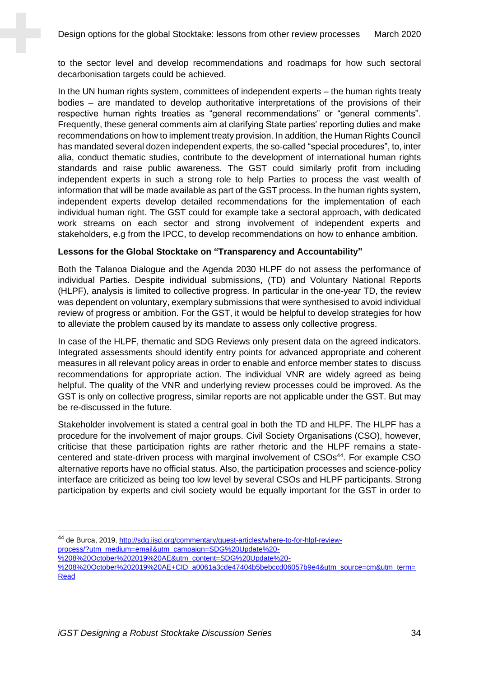to the sector level and develop recommendations and roadmaps for how such sectoral decarbonisation targets could be achieved.

In the UN human rights system, committees of independent experts – the human rights treaty bodies – are mandated to develop authoritative interpretations of the provisions of their respective human rights treaties as "general recommendations" or "general comments". Frequently, these general comments aim at clarifying State parties' reporting duties and make recommendations on how to implement treaty provision. In addition, the Human Rights Council has mandated several dozen independent experts, the so-called "special procedures", to, inter alia, conduct thematic studies, contribute to the development of international human rights standards and raise public awareness. The GST could similarly profit from including independent experts in such a strong role to help Parties to process the vast wealth of information that will be made available as part of the GST process. In the human rights system, independent experts develop detailed recommendations for the implementation of each individual human right. The GST could for example take a sectoral approach, with dedicated work streams on each sector and strong involvement of independent experts and stakeholders, e.g from the IPCC, to develop recommendations on how to enhance ambition.

#### **Lessons for the Global Stocktake on "Transparency and Accountability"**

Both the Talanoa Dialogue and the Agenda 2030 HLPF do not assess the performance of individual Parties. Despite individual submissions, (TD) and Voluntary National Reports (HLPF), analysis is limited to collective progress. In particular in the one-year TD, the review was dependent on voluntary, exemplary submissions that were synthesised to avoid individual review of progress or ambition. For the GST, it would be helpful to develop strategies for how to alleviate the problem caused by its mandate to assess only collective progress.

In case of the HLPF, thematic and SDG Reviews only present data on the agreed indicators. Integrated assessments should identify entry points for advanced appropriate and coherent measures in all relevant policy areas in order to enable and enforce member states to discuss recommendations for appropriate action. The individual VNR are widely agreed as being helpful. The quality of the VNR and underlying review processes could be improved. As the GST is only on collective progress, similar reports are not applicable under the GST. But may be re-discussed in the future.

Stakeholder involvement is stated a central goal in both the TD and HLPF. The HLPF has a procedure for the involvement of major groups. Civil Society Organisations (CSO), however, criticise that these participation rights are rather rhetoric and the HLPF remains a statecentered and state-driven process with marginal involvement of CSOs<sup>44</sup>. For example CSO alternative reports have no official status. Also, the participation processes and science-policy interface are criticized as being too low level by several CSOs and HLPF participants. Strong participation by experts and civil society would be equally important for the GST in order to

<sup>44</sup> de Burca, 2019, [http://sdg.iisd.org/commentary/guest-articles/where-to-for-hlpf-review](http://sdg.iisd.org/commentary/guest-articles/where-to-for-hlpf-review-process/?utm_medium=email&utm_campaign=SDG%20Update%20-%208%20October%202019%20AE&utm_content=SDG%20Update%20-%208%20October%202019%20AE+CID_a0061a3cde47404b5bebccd06057b9e4&utm_source=cm&utm_term=Read)[process/?utm\\_medium=email&utm\\_campaign=SDG%20Update%20-](http://sdg.iisd.org/commentary/guest-articles/where-to-for-hlpf-review-process/?utm_medium=email&utm_campaign=SDG%20Update%20-%208%20October%202019%20AE&utm_content=SDG%20Update%20-%208%20October%202019%20AE+CID_a0061a3cde47404b5bebccd06057b9e4&utm_source=cm&utm_term=Read)

[<sup>%208%20</sup>October%202019%20AE&utm\\_content=SDG%20Update%20-](http://sdg.iisd.org/commentary/guest-articles/where-to-for-hlpf-review-process/?utm_medium=email&utm_campaign=SDG%20Update%20-%208%20October%202019%20AE&utm_content=SDG%20Update%20-%208%20October%202019%20AE+CID_a0061a3cde47404b5bebccd06057b9e4&utm_source=cm&utm_term=Read)

[<sup>%208%20</sup>October%202019%20AE+CID\\_a0061a3cde47404b5bebccd06057b9e4&utm\\_source=cm&utm\\_term=](http://sdg.iisd.org/commentary/guest-articles/where-to-for-hlpf-review-process/?utm_medium=email&utm_campaign=SDG%20Update%20-%208%20October%202019%20AE&utm_content=SDG%20Update%20-%208%20October%202019%20AE+CID_a0061a3cde47404b5bebccd06057b9e4&utm_source=cm&utm_term=Read) [Read](http://sdg.iisd.org/commentary/guest-articles/where-to-for-hlpf-review-process/?utm_medium=email&utm_campaign=SDG%20Update%20-%208%20October%202019%20AE&utm_content=SDG%20Update%20-%208%20October%202019%20AE+CID_a0061a3cde47404b5bebccd06057b9e4&utm_source=cm&utm_term=Read)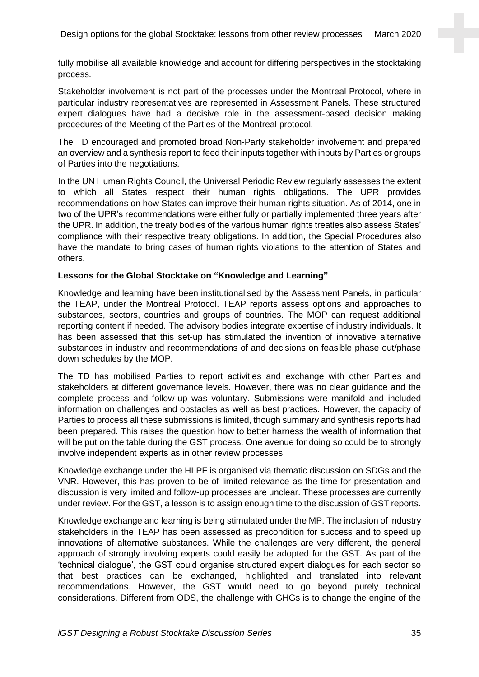fully mobilise all available knowledge and account for differing perspectives in the stocktaking process.

Stakeholder involvement is not part of the processes under the Montreal Protocol, where in particular industry representatives are represented in Assessment Panels. These structured expert dialogues have had a decisive role in the assessment-based decision making procedures of the Meeting of the Parties of the Montreal protocol.

The TD encouraged and promoted broad Non-Party stakeholder involvement and prepared an overview and a synthesis report to feed their inputs together with inputs by Parties or groups of Parties into the negotiations.

In the UN Human Rights Council, the Universal Periodic Review regularly assesses the extent to which all States respect their human rights obligations. The UPR provides recommendations on how States can improve their human rights situation. As of 2014, one in two of the UPR's recommendations were either fully or partially implemented three years after the UPR. In addition, the treaty bodies of the various human rights treaties also assess States' compliance with their respective treaty obligations. In addition, the Special Procedures also have the mandate to bring cases of human rights violations to the attention of States and others.

#### **Lessons for the Global Stocktake on "Knowledge and Learning"**

Knowledge and learning have been institutionalised by the Assessment Panels, in particular the TEAP, under the Montreal Protocol. TEAP reports assess options and approaches to substances, sectors, countries and groups of countries. The MOP can request additional reporting content if needed. The advisory bodies integrate expertise of industry individuals. It has been assessed that this set-up has stimulated the invention of innovative alternative substances in industry and recommendations of and decisions on feasible phase out/phase down schedules by the MOP.

The TD has mobilised Parties to report activities and exchange with other Parties and stakeholders at different governance levels. However, there was no clear guidance and the complete process and follow-up was voluntary. Submissions were manifold and included information on challenges and obstacles as well as best practices. However, the capacity of Parties to process all these submissions is limited, though summary and synthesis reports had been prepared. This raises the question how to better harness the wealth of information that will be put on the table during the GST process. One avenue for doing so could be to strongly involve independent experts as in other review processes.

Knowledge exchange under the HLPF is organised via thematic discussion on SDGs and the VNR. However, this has proven to be of limited relevance as the time for presentation and discussion is very limited and follow-up processes are unclear. These processes are currently under review. For the GST, a lesson is to assign enough time to the discussion of GST reports.

Knowledge exchange and learning is being stimulated under the MP. The inclusion of industry stakeholders in the TEAP has been assessed as precondition for success and to speed up innovations of alternative substances. While the challenges are very different, the general approach of strongly involving experts could easily be adopted for the GST. As part of the 'technical dialogue', the GST could organise structured expert dialogues for each sector so that best practices can be exchanged, highlighted and translated into relevant recommendations. However, the GST would need to go beyond purely technical considerations. Different from ODS, the challenge with GHGs is to change the engine of the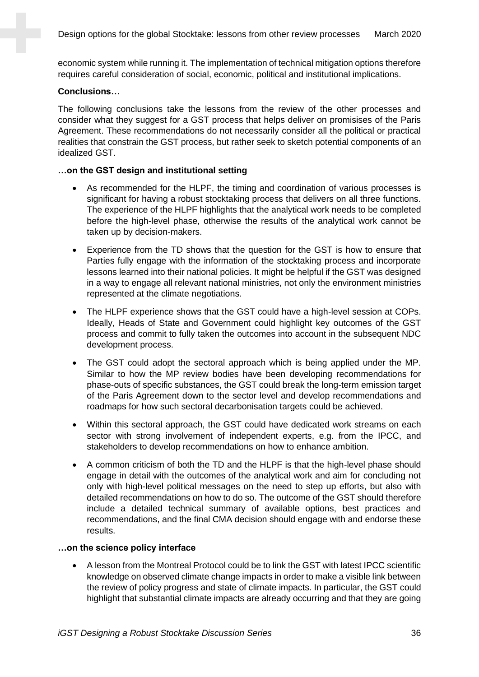economic system while running it. The implementation of technical mitigation options therefore requires careful consideration of social, economic, political and institutional implications.

#### **Conclusions…**

The following conclusions take the lessons from the review of the other processes and consider what they suggest for a GST process that helps deliver on promisises of the Paris Agreement. These recommendations do not necessarily consider all the political or practical realities that constrain the GST process, but rather seek to sketch potential components of an idealized GST.

#### **…on the GST design and institutional setting**

- As recommended for the HLPF, the timing and coordination of various processes is significant for having a robust stocktaking process that delivers on all three functions. The experience of the HLPF highlights that the analytical work needs to be completed before the high-level phase, otherwise the results of the analytical work cannot be taken up by decision-makers.
- Experience from the TD shows that the question for the GST is how to ensure that Parties fully engage with the information of the stocktaking process and incorporate lessons learned into their national policies. It might be helpful if the GST was designed in a way to engage all relevant national ministries, not only the environment ministries represented at the climate negotiations.
- The HLPF experience shows that the GST could have a high-level session at COPs. Ideally, Heads of State and Government could highlight key outcomes of the GST process and commit to fully taken the outcomes into account in the subsequent NDC development process.
- The GST could adopt the sectoral approach which is being applied under the MP. Similar to how the MP review bodies have been developing recommendations for phase-outs of specific substances, the GST could break the long-term emission target of the Paris Agreement down to the sector level and develop recommendations and roadmaps for how such sectoral decarbonisation targets could be achieved.
- Within this sectoral approach, the GST could have dedicated work streams on each sector with strong involvement of independent experts, e.g. from the IPCC, and stakeholders to develop recommendations on how to enhance ambition.
- A common criticism of both the TD and the HLPF is that the high-level phase should engage in detail with the outcomes of the analytical work and aim for concluding not only with high-level political messages on the need to step up efforts, but also with detailed recommendations on how to do so. The outcome of the GST should therefore include a detailed technical summary of available options, best practices and recommendations, and the final CMA decision should engage with and endorse these results.

#### **…on the science policy interface**

• A lesson from the Montreal Protocol could be to link the GST with latest IPCC scientific knowledge on observed climate change impacts in order to make a visible link between the review of policy progress and state of climate impacts. In particular, the GST could highlight that substantial climate impacts are already occurring and that they are going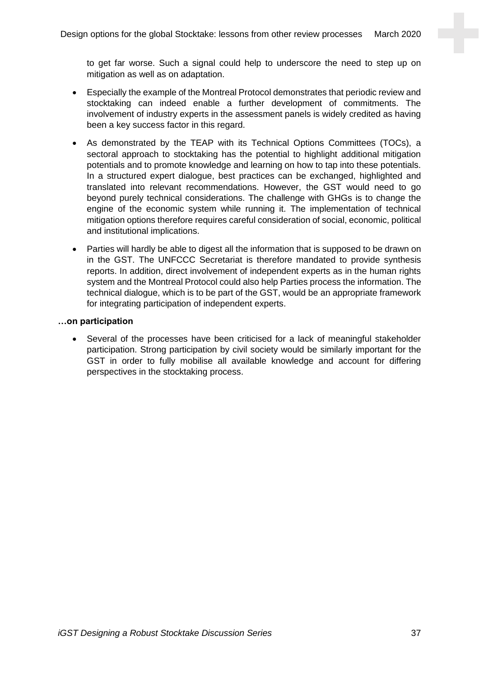to get far worse. Such a signal could help to underscore the need to step up on mitigation as well as on adaptation.

- Especially the example of the Montreal Protocol demonstrates that periodic review and stocktaking can indeed enable a further development of commitments. The involvement of industry experts in the assessment panels is widely credited as having been a key success factor in this regard.
- As demonstrated by the TEAP with its Technical Options Committees (TOCs), a sectoral approach to stocktaking has the potential to highlight additional mitigation potentials and to promote knowledge and learning on how to tap into these potentials. In a structured expert dialogue, best practices can be exchanged, highlighted and translated into relevant recommendations. However, the GST would need to go beyond purely technical considerations. The challenge with GHGs is to change the engine of the economic system while running it. The implementation of technical mitigation options therefore requires careful consideration of social, economic, political and institutional implications.
- Parties will hardly be able to digest all the information that is supposed to be drawn on in the GST. The UNFCCC Secretariat is therefore mandated to provide synthesis reports. In addition, direct involvement of independent experts as in the human rights system and the Montreal Protocol could also help Parties process the information. The technical dialogue, which is to be part of the GST, would be an appropriate framework for integrating participation of independent experts.

#### **…on participation**

• Several of the processes have been criticised for a lack of meaningful stakeholder participation. Strong participation by civil society would be similarly important for the GST in order to fully mobilise all available knowledge and account for differing perspectives in the stocktaking process.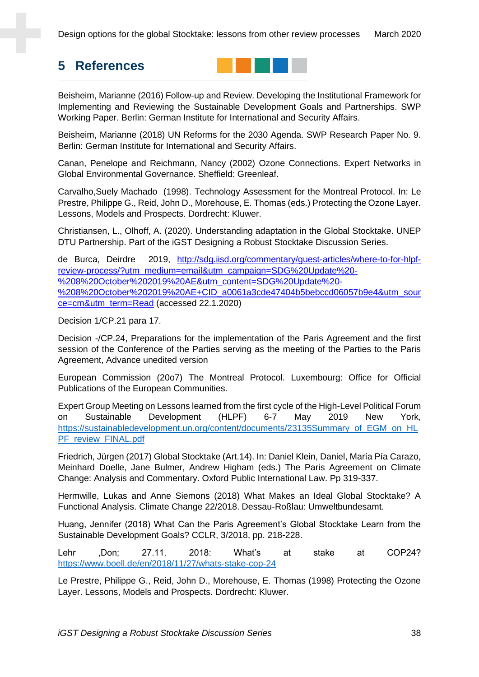# **5 References**



Beisheim, Marianne (2016) Follow-up and Review. Developing the Institutional Framework for Implementing and Reviewing the Sustainable Development Goals and Partnerships. SWP Working Paper. Berlin: German Institute for International and Security Affairs.

Beisheim, Marianne (2018) UN Reforms for the 2030 Agenda. SWP Research Paper No. 9. Berlin: German Institute for International and Security Affairs.

Canan, Penelope and Reichmann, Nancy (2002) Ozone Connections. Expert Networks in Global Environmental Governance. Sheffield: Greenleaf.

Carvalho,Suely Machado (1998). Technology Assessment for the Montreal Protocol. In: Le Prestre, Philippe G., Reid, John D., Morehouse, E. Thomas (eds.) Protecting the Ozone Layer. Lessons, Models and Prospects. Dordrecht: Kluwer.

Christiansen, L., Olhoff, A. (2020). Understanding adaptation in the Global Stocktake. UNEP DTU Partnership. Part of the iGST Designing a Robust Stocktake Discussion Series.

de Burca, Deirdre 2019, [http://sdg.iisd.org/commentary/guest-articles/where-to-for-hlpf](http://sdg.iisd.org/commentary/guest-articles/where-to-for-hlpf-review-process/?utm_medium=email&utm_campaign=SDG%20Update%20-%208%20October%202019%20AE&utm_content=SDG%20Update%20-%208%20October%202019%20AE+CID_a0061a3cde47404b5bebccd06057b9e4&utm_source=cm&utm_term=Read)[review-process/?utm\\_medium=email&utm\\_campaign=SDG%20Update%20-](http://sdg.iisd.org/commentary/guest-articles/where-to-for-hlpf-review-process/?utm_medium=email&utm_campaign=SDG%20Update%20-%208%20October%202019%20AE&utm_content=SDG%20Update%20-%208%20October%202019%20AE+CID_a0061a3cde47404b5bebccd06057b9e4&utm_source=cm&utm_term=Read) [%208%20October%202019%20AE&utm\\_content=SDG%20Update%20-](http://sdg.iisd.org/commentary/guest-articles/where-to-for-hlpf-review-process/?utm_medium=email&utm_campaign=SDG%20Update%20-%208%20October%202019%20AE&utm_content=SDG%20Update%20-%208%20October%202019%20AE+CID_a0061a3cde47404b5bebccd06057b9e4&utm_source=cm&utm_term=Read) [%208%20October%202019%20AE+CID\\_a0061a3cde47404b5bebccd06057b9e4&utm\\_sour](http://sdg.iisd.org/commentary/guest-articles/where-to-for-hlpf-review-process/?utm_medium=email&utm_campaign=SDG%20Update%20-%208%20October%202019%20AE&utm_content=SDG%20Update%20-%208%20October%202019%20AE+CID_a0061a3cde47404b5bebccd06057b9e4&utm_source=cm&utm_term=Read) [ce=cm&utm\\_term=Read](http://sdg.iisd.org/commentary/guest-articles/where-to-for-hlpf-review-process/?utm_medium=email&utm_campaign=SDG%20Update%20-%208%20October%202019%20AE&utm_content=SDG%20Update%20-%208%20October%202019%20AE+CID_a0061a3cde47404b5bebccd06057b9e4&utm_source=cm&utm_term=Read) (accessed 22.1.2020)

Decision 1/CP.21 para 17.

Decision -/CP.24, Preparations for the implementation of the Paris Agreement and the first session of the Conference of the Parties serving as the meeting of the Parties to the Paris Agreement, Advance unedited version

European Commission (20o7) The Montreal Protocol. Luxembourg: Office for Official Publications of the European Communities.

Expert Group Meeting on Lessons learned from the first cycle of the High-Level Political Forum on Sustainable Development (HLPF) 6-7 May 2019 New York, [https://sustainabledevelopment.un.org/content/documents/23135Summary\\_of\\_EGM\\_on\\_HL](https://sustainabledevelopment.un.org/content/documents/23135Summary_of_EGM_on_HLPF_review_FINAL.pdf) [PF\\_review\\_FINAL.pdf](https://sustainabledevelopment.un.org/content/documents/23135Summary_of_EGM_on_HLPF_review_FINAL.pdf)

Friedrich, Jürgen (2017) Global Stocktake (Art.14). In: Daniel Klein, Daniel, María Pía Carazo, Meinhard Doelle, Jane Bulmer, Andrew Higham (eds.) The Paris Agreement on Climate Change: Analysis and Commentary. Oxford Public International Law. Pp 319-337.

Hermwille, Lukas and Anne Siemons (2018) What Makes an Ideal Global Stocktake? A Functional Analysis. Climate Change 22/2018. Dessau-Roßlau: Umweltbundesamt.

Huang, Jennifer (2018) What Can the Paris Agreement's Global Stocktake Learn from the Sustainable Development Goals? CCLR, 3/2018, pp. 218-228.

Lehr ,Don; 27.11. 2018: What's at stake at COP24? <https://www.boell.de/en/2018/11/27/whats-stake-cop-24>

Le Prestre, Philippe G., Reid, John D., Morehouse, E. Thomas (1998) Protecting the Ozone Layer. Lessons, Models and Prospects. Dordrecht: Kluwer.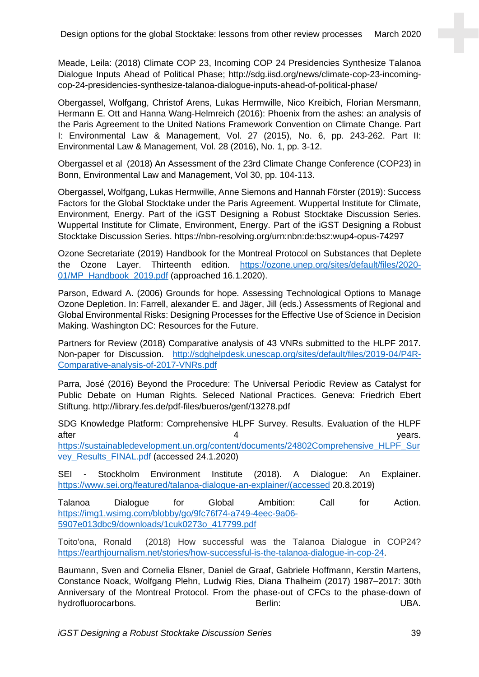Meade, Leila: (2018) Climate COP 23, Incoming COP 24 Presidencies Synthesize Talanoa Dialogue Inputs Ahead of Political Phase; http://sdg.iisd.org/news/climate-cop-23-incomingcop-24-presidencies-synthesize-talanoa-dialogue-inputs-ahead-of-political-phase/

Obergassel, Wolfgang, Christof Arens, Lukas Hermwille, Nico Kreibich, Florian Mersmann, Hermann E. Ott and Hanna Wang-Helmreich (2016): Phoenix from the ashes: an analysis of the Paris Agreement to the United Nations Framework Convention on Climate Change. Part I: Environmental Law & Management, Vol. 27 (2015), No. 6, pp. 243-262. Part II: Environmental Law & Management, Vol. 28 (2016), No. 1, pp. 3-12.

Obergassel et al (2018) An Assessment of the 23rd Climate Change Conference (COP23) in Bonn, Environmental Law and Management, Vol 30, pp. 104-113.

Obergassel, Wolfgang, Lukas Hermwille, Anne Siemons and Hannah Förster (2019): Success Factors for the Global Stocktake under the Paris Agreement. Wuppertal Institute for Climate, Environment, Energy. Part of the iGST Designing a Robust Stocktake Discussion Series. Wuppertal Institute for Climate, Environment, Energy. Part of the iGST Designing a Robust Stocktake Discussion Series. https://nbn-resolving.org/urn:nbn:de:bsz:wup4-opus-74297

Ozone Secretariate (2019) Handbook for the Montreal Protocol on Substances that Deplete the Ozone Layer. Thirteenth edition. [https://ozone.unep.org/sites/default/files/2020-](https://ozone.unep.org/sites/default/files/2020-01/MP_Handbook_2019.pdf) [01/MP\\_Handbook\\_2019.pdf](https://ozone.unep.org/sites/default/files/2020-01/MP_Handbook_2019.pdf) (approached 16.1.2020).

Parson, Edward A. (2006) Grounds for hope. Assessing Technological Options to Manage Ozone Depletion. In: Farrell, alexander E. and Jäger, Jill (eds.) Assessments of Regional and Global Environmental Risks: Designing Processes for the Effective Use of Science in Decision Making. Washington DC: Resources for the Future.

Partners for Review (2018) Comparative analysis of 43 VNRs submitted to the HLPF 2017. Non-paper for Discussion. [http://sdghelpdesk.unescap.org/sites/default/files/2019-04/P4R-](http://sdghelpdesk.unescap.org/sites/default/files/2019-04/P4R-Comparative-analysis-of-2017-VNRs.pdf)[Comparative-analysis-of-2017-VNRs.pdf](http://sdghelpdesk.unescap.org/sites/default/files/2019-04/P4R-Comparative-analysis-of-2017-VNRs.pdf)

Parra, José (2016) Beyond the Procedure: The Universal Periodic Review as Catalyst for Public Debate on Human Rights. Seleced National Practices. Geneva: Friedrich Ebert Stiftung. http://library.fes.de/pdf-files/bueros/genf/13278.pdf

SDG Knowledge Platform: Comprehensive HLPF Survey. Results. Evaluation of the HLPF after the contraction of the 4 years. [https://sustainabledevelopment.un.org/content/documents/24802Comprehensive\\_HLPF\\_Sur](https://sustainabledevelopment.un.org/content/documents/24802Comprehensive_HLPF_Survey_Results_FINAL.pdf) [vey\\_Results\\_FINAL.pdf](https://sustainabledevelopment.un.org/content/documents/24802Comprehensive_HLPF_Survey_Results_FINAL.pdf) (accessed 24.1.2020)

SEI - Stockholm Environment Institute (2018). A Dialogue: An Explainer. [https://www.sei.org/featured/talanoa-dialogue-an-explainer/\(accessed](https://www.sei.org/featured/talanoa-dialogue-an-explainer/(accessed) 20.8.2019)

Talanoa Dialogue for Global Ambition: Call for Action. [https://img1.wsimg.com/blobby/go/9fc76f74-a749-4eec-9a06-](https://img1.wsimg.com/blobby/go/9fc76f74-a749-4eec-9a06-5907e013dbc9/downloads/1cuk0273o_417799.pdf) [5907e013dbc9/downloads/1cuk0273o\\_417799.pdf](https://img1.wsimg.com/blobby/go/9fc76f74-a749-4eec-9a06-5907e013dbc9/downloads/1cuk0273o_417799.pdf)

Toito'ona, Ronald (2018) How successful was the Talanoa Dialogue in COP24? [https://earthjournalism.net/stories/how-successful-is-the-talanoa-dialogue-in-cop-24.](https://earthjournalism.net/stories/how-successful-is-the-talanoa-dialogue-in-cop-24)

Baumann, Sven and Cornelia Elsner, Daniel de Graaf, Gabriele Hoffmann, Kerstin Martens, Constance Noack, Wolfgang Plehn, Ludwig Ries, Diana Thalheim (2017) 1987–2017: 30th Anniversary of the Montreal Protocol. From the phase-out of CFCs to the phase-down of hydrofluorocarbons. Berlin: UBA.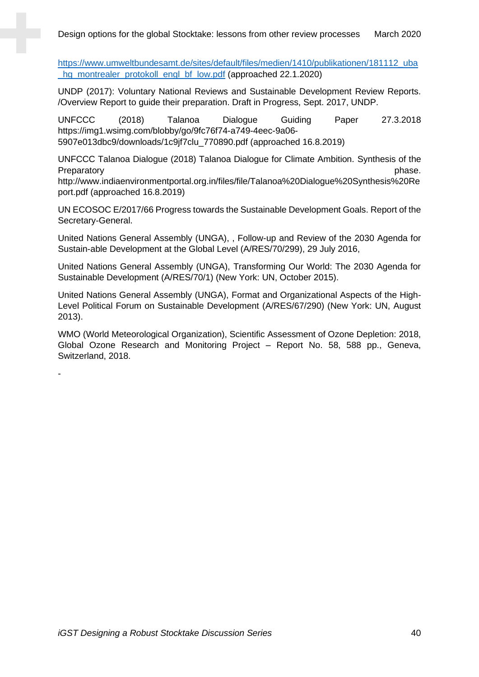[https://www.umweltbundesamt.de/sites/default/files/medien/1410/publikationen/181112\\_uba](https://www.umweltbundesamt.de/sites/default/files/medien/1410/publikationen/181112_uba_hg_montrealer_protokoll_engl_bf_low.pdf) [\\_hg\\_montrealer\\_protokoll\\_engl\\_bf\\_low.pdf](https://www.umweltbundesamt.de/sites/default/files/medien/1410/publikationen/181112_uba_hg_montrealer_protokoll_engl_bf_low.pdf) (approached 22.1.2020)

UNDP (2017): Voluntary National Reviews and Sustainable Development Review Reports. /Overview Report to guide their preparation. Draft in Progress, Sept. 2017, UNDP.

UNFCCC (2018) Talanoa Dialogue Guiding Paper 27.3.2018 https://img1.wsimg.com/blobby/go/9fc76f74-a749-4eec-9a06- 5907e013dbc9/downloads/1c9jf7clu\_770890.pdf (approached 16.8.2019)

UNFCCC Talanoa Dialogue (2018) Talanoa Dialogue for Climate Ambition. Synthesis of the Preparatory **phase.** Preparatory **phase. phase. phase. phase. phase. phase.** 

http://www.indiaenvironmentportal.org.in/files/file/Talanoa%20Dialogue%20Synthesis%20Re port.pdf (approached 16.8.2019)

UN ECOSOC E/2017/66 Progress towards the Sustainable Development Goals. Report of the Secretary-General.

United Nations General Assembly (UNGA), , Follow-up and Review of the 2030 Agenda for Sustain-able Development at the Global Level (A/RES/70/299), 29 July 2016,

United Nations General Assembly (UNGA), Transforming Our World: The 2030 Agenda for Sustainable Development (A/RES/70/1) (New York: UN, October 2015).

United Nations General Assembly (UNGA), Format and Organizational Aspects of the High-Level Political Forum on Sustainable Development (A/RES/67/290) (New York: UN, August 2013).

WMO (World Meteorological Organization), Scientific Assessment of Ozone Depletion: 2018, Global Ozone Research and Monitoring Project – Report No. 58, 588 pp., Geneva, Switzerland, 2018.

-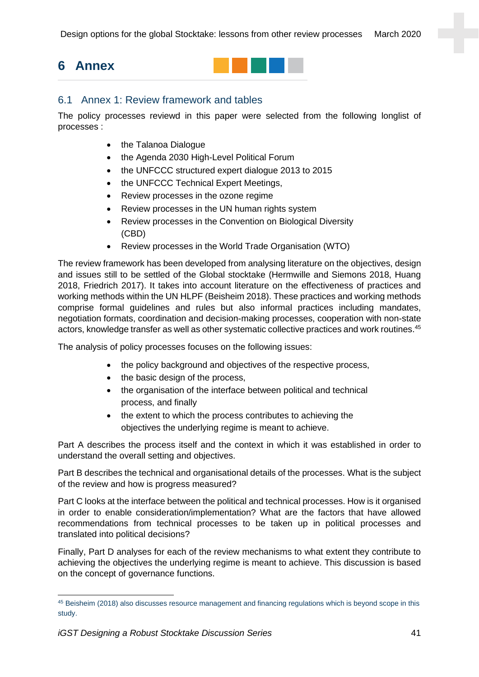Design options for the global Stocktake: lessons from other review processes March 2020

# **6 Annex**



## <span id="page-40-0"></span>6.1 Annex 1: Review framework and tables

The policy processes reviewd in this paper were selected from the following longlist of processes :

- the Talanoa Dialogue
- the Agenda 2030 High-Level Political Forum
- the UNFCCC structured expert dialogue 2013 to 2015
- the UNFCCC Technical Expert Meetings,
- Review processes in the ozone regime
- Review processes in the UN human rights system
- Review processes in the Convention on Biological Diversity (CBD)
- Review processes in the World Trade Organisation (WTO)

The review framework has been developed from analysing literature on the objectives, design and issues still to be settled of the Global stocktake (Hermwille and Siemons 2018, Huang 2018, Friedrich 2017). It takes into account literature on the effectiveness of practices and working methods within the UN HLPF (Beisheim 2018). These practices and working methods comprise formal guidelines and rules but also informal practices including mandates, negotiation formats, coordination and decision-making processes, cooperation with non-state actors, knowledge transfer as well as other systematic collective practices and work routines.<sup>45</sup>

The analysis of policy processes focuses on the following issues:

- the policy background and objectives of the respective process,
- the basic design of the process,
- the organisation of the interface between political and technical process, and finally
- the extent to which the process contributes to achieving the objectives the underlying regime is meant to achieve.

Part A describes the process itself and the context in which it was established in order to understand the overall setting and objectives.

Part B describes the technical and organisational details of the processes. What is the subject of the review and how is progress measured?

Part C looks at the interface between the political and technical processes. How is it organised in order to enable consideration/implementation? What are the factors that have allowed recommendations from technical processes to be taken up in political processes and translated into political decisions?

Finally, Part D analyses for each of the review mechanisms to what extent they contribute to achieving the objectives the underlying regime is meant to achieve. This discussion is based on the concept of governance functions.

<sup>45</sup> Beisheim (2018) also discusses resource management and financing regulations which is beyond scope in this study.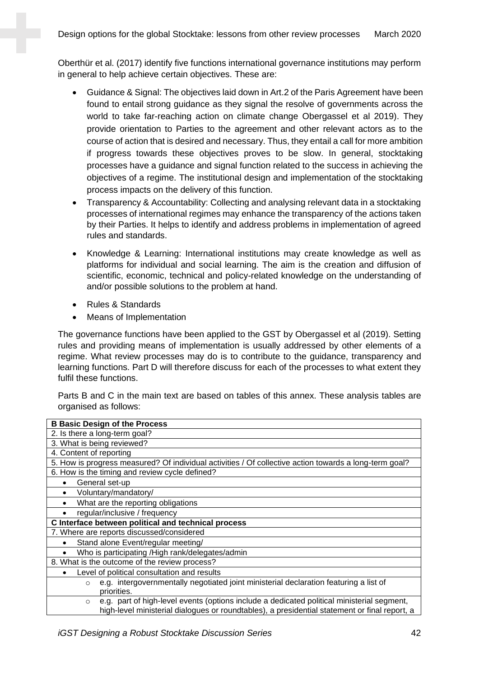Oberthür et al. (2017) identify five functions international governance institutions may perform in general to help achieve certain objectives. These are:

- Guidance & Signal: The objectives laid down in Art.2 of the Paris Agreement have been found to entail strong guidance as they signal the resolve of governments across the world to take far-reaching action on climate change Obergassel et al 2019). They provide orientation to Parties to the agreement and other relevant actors as to the course of action that is desired and necessary. Thus, they entail a call for more ambition if progress towards these objectives proves to be slow. In general, stocktaking processes have a guidance and signal function related to the success in achieving the objectives of a regime. The institutional design and implementation of the stocktaking process impacts on the delivery of this function.
- Transparency & Accountability: Collecting and analysing relevant data in a stocktaking processes of international regimes may enhance the transparency of the actions taken by their Parties. It helps to identify and address problems in implementation of agreed rules and standards.
- Knowledge & Learning: International institutions may create knowledge as well as platforms for individual and social learning. The aim is the creation and diffusion of scientific, economic, technical and policy-related knowledge on the understanding of and/or possible solutions to the problem at hand.
- Rules & Standards
- Means of Implementation

The governance functions have been applied to the GST by Obergassel et al (2019). Setting rules and providing means of implementation is usually addressed by other elements of a regime. What review processes may do is to contribute to the guidance, transparency and learning functions. Part D will therefore discuss for each of the processes to what extent they fulfil these functions.

Parts B and C in the main text are based on tables of this annex. These analysis tables are organised as follows:

| <b>B Basic Design of the Process</b>                                                                   |
|--------------------------------------------------------------------------------------------------------|
| 2. Is there a long-term goal?                                                                          |
| 3. What is being reviewed?                                                                             |
| 4. Content of reporting                                                                                |
| 5. How is progress measured? Of individual activities / Of collective action towards a long-term goal? |
| 6. How is the timing and review cycle defined?                                                         |
| General set-up                                                                                         |
| Voluntary/mandatory/                                                                                   |
| What are the reporting obligations<br>$\bullet$                                                        |
| regular/inclusive / frequency                                                                          |
| C Interface between political and technical process                                                    |
| 7. Where are reports discussed/considered                                                              |
| Stand alone Event/regular meeting/                                                                     |
| Who is participating /High rank/delegates/admin<br>٠                                                   |
| 8. What is the outcome of the review process?                                                          |
| Level of political consultation and results                                                            |
| e.g. intergovernmentally negotiated joint ministerial declaration featuring a list of<br>$\circ$       |
| priorities.                                                                                            |
| e.g. part of high-level events (options include a dedicated political ministerial segment,<br>$\circ$  |
| high-level ministerial dialogues or roundtables), a presidential statement or final report, a          |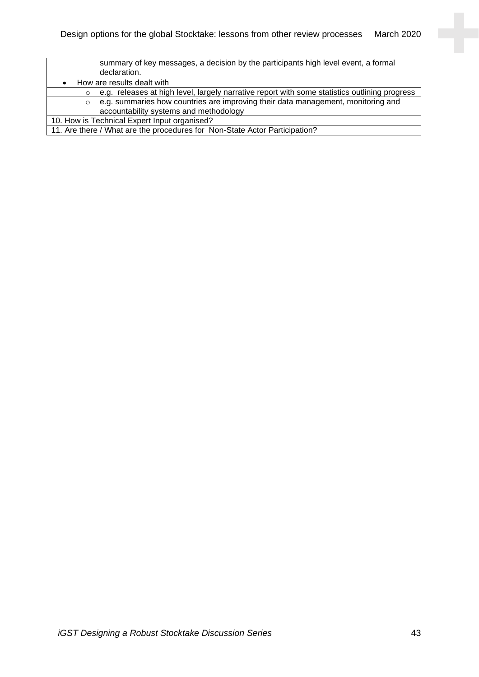| summary of key messages, a decision by the participants high level event, a formal                       |  |  |
|----------------------------------------------------------------------------------------------------------|--|--|
| declaration.                                                                                             |  |  |
| How are results dealt with                                                                               |  |  |
| e.g. releases at high level, largely narrative report with some statistics outlining progress<br>$\circ$ |  |  |
| e.g. summaries how countries are improving their data management, monitoring and<br>$\circ$              |  |  |
| accountability systems and methodology                                                                   |  |  |
| 10. How is Technical Expert Input organised?                                                             |  |  |
| 11. Are there / What are the procedures for Non-State Actor Participation?                               |  |  |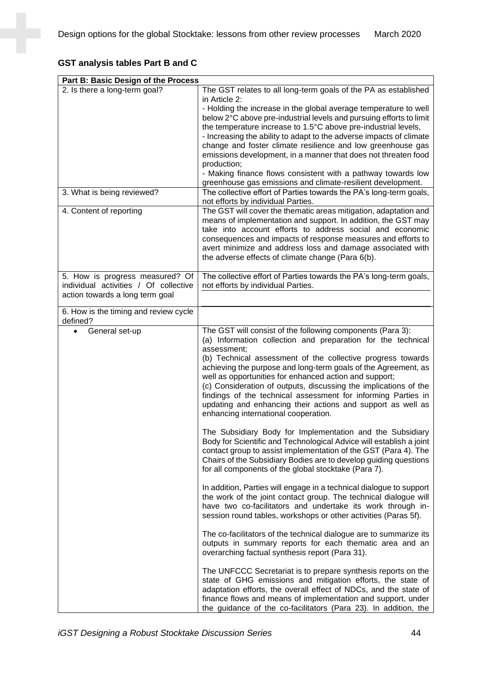## **GST analysis tables Part B and C**

| Part B: Basic Design of the Process                                                                         |                                                                                                                                                                                                                                                                                                                                                                                                                                                                                                                                                                                                                                                                                                                                                                                                                                                                                                                                                                  |
|-------------------------------------------------------------------------------------------------------------|------------------------------------------------------------------------------------------------------------------------------------------------------------------------------------------------------------------------------------------------------------------------------------------------------------------------------------------------------------------------------------------------------------------------------------------------------------------------------------------------------------------------------------------------------------------------------------------------------------------------------------------------------------------------------------------------------------------------------------------------------------------------------------------------------------------------------------------------------------------------------------------------------------------------------------------------------------------|
| 2. Is there a long-term goal?<br>3. What is being reviewed?<br>4. Content of reporting                      | The GST relates to all long-term goals of the PA as established<br>in Article 2:<br>- Holding the increase in the global average temperature to well<br>below 2°C above pre-industrial levels and pursuing efforts to limit<br>the temperature increase to 1.5°C above pre-industrial levels,<br>- Increasing the ability to adapt to the adverse impacts of climate<br>change and foster climate resilience and low greenhouse gas<br>emissions development, in a manner that does not threaten food<br>production;<br>- Making finance flows consistent with a pathway towards low<br>greenhouse gas emissions and climate-resilient development.<br>The collective effort of Parties towards the PA's long-term goals,<br>not efforts by individual Parties.<br>The GST will cover the thematic areas mitigation, adaptation and<br>means of implementation and support. In addition, the GST may<br>take into account efforts to address social and economic |
|                                                                                                             | consequences and impacts of response measures and efforts to<br>avert minimize and address loss and damage associated with<br>the adverse effects of climate change (Para 6(b).                                                                                                                                                                                                                                                                                                                                                                                                                                                                                                                                                                                                                                                                                                                                                                                  |
| 5. How is progress measured? Of<br>individual activities / Of collective<br>action towards a long term goal | The collective effort of Parties towards the PA's long-term goals,<br>not efforts by individual Parties.                                                                                                                                                                                                                                                                                                                                                                                                                                                                                                                                                                                                                                                                                                                                                                                                                                                         |
| 6. How is the timing and review cycle<br>defined?                                                           |                                                                                                                                                                                                                                                                                                                                                                                                                                                                                                                                                                                                                                                                                                                                                                                                                                                                                                                                                                  |
| General set-up<br>$\bullet$                                                                                 | The GST will consist of the following components (Para 3):<br>(a) Information collection and preparation for the technical<br>assessment;<br>(b) Technical assessment of the collective progress towards<br>achieving the purpose and long-term goals of the Agreement, as<br>well as opportunities for enhanced action and support;<br>(c) Consideration of outputs, discussing the implications of the<br>findings of the technical assessment for informing Parties in<br>updating and enhancing their actions and support as well as<br>enhancing international cooperation.                                                                                                                                                                                                                                                                                                                                                                                 |
|                                                                                                             | The Subsidiary Body for Implementation and the Subsidiary<br>Body for Scientific and Technological Advice will establish a joint<br>contact group to assist implementation of the GST (Para 4). The<br>Chairs of the Subsidiary Bodies are to develop guiding questions<br>for all components of the global stocktake (Para 7).                                                                                                                                                                                                                                                                                                                                                                                                                                                                                                                                                                                                                                  |
|                                                                                                             | In addition, Parties will engage in a technical dialogue to support<br>the work of the joint contact group. The technical dialogue will<br>have two co-facilitators and undertake its work through in-<br>session round tables, workshops or other activities (Paras 5f).                                                                                                                                                                                                                                                                                                                                                                                                                                                                                                                                                                                                                                                                                        |
|                                                                                                             | The co-facilitators of the technical dialogue are to summarize its<br>outputs in summary reports for each thematic area and an<br>overarching factual synthesis report (Para 31).                                                                                                                                                                                                                                                                                                                                                                                                                                                                                                                                                                                                                                                                                                                                                                                |
|                                                                                                             | The UNFCCC Secretariat is to prepare synthesis reports on the<br>state of GHG emissions and mitigation efforts, the state of<br>adaptation efforts, the overall effect of NDCs, and the state of<br>finance flows and means of implementation and support, under<br>the guidance of the co-facilitators (Para 23). In addition, the                                                                                                                                                                                                                                                                                                                                                                                                                                                                                                                                                                                                                              |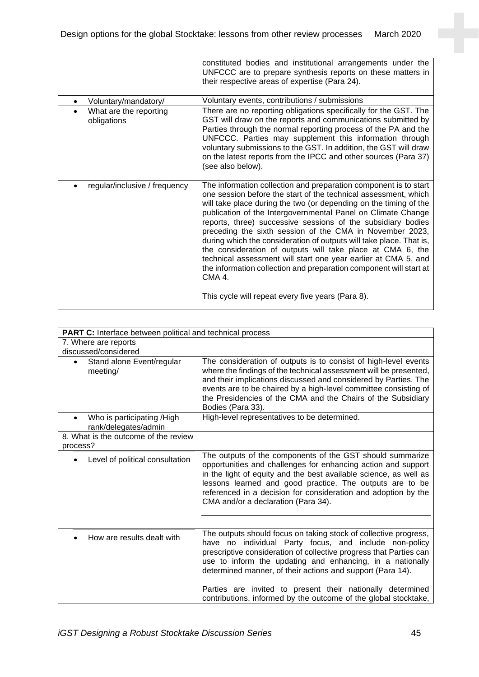|                                       | constituted bodies and institutional arrangements under the<br>UNFCCC are to prepare synthesis reports on these matters in<br>their respective areas of expertise (Para 24).                                                                                                                                                                                                                                                                                                                                                                                                                                                                                                                                                                     |
|---------------------------------------|--------------------------------------------------------------------------------------------------------------------------------------------------------------------------------------------------------------------------------------------------------------------------------------------------------------------------------------------------------------------------------------------------------------------------------------------------------------------------------------------------------------------------------------------------------------------------------------------------------------------------------------------------------------------------------------------------------------------------------------------------|
| Voluntary/mandatory/<br>$\bullet$     | Voluntary events, contributions / submissions                                                                                                                                                                                                                                                                                                                                                                                                                                                                                                                                                                                                                                                                                                    |
| What are the reporting<br>obligations | There are no reporting obligations specifically for the GST. The<br>GST will draw on the reports and communications submitted by<br>Parties through the normal reporting process of the PA and the<br>UNFCCC. Parties may supplement this information through<br>voluntary submissions to the GST. In addition, the GST will draw<br>on the latest reports from the IPCC and other sources (Para 37)<br>(see also below).                                                                                                                                                                                                                                                                                                                        |
| regular/inclusive / frequency         | The information collection and preparation component is to start<br>one session before the start of the technical assessment, which<br>will take place during the two (or depending on the timing of the<br>publication of the Intergovernmental Panel on Climate Change<br>reports, three) successive sessions of the subsidiary bodies<br>preceding the sixth session of the CMA in November 2023,<br>during which the consideration of outputs will take place. That is,<br>the consideration of outputs will take place at CMA 6, the<br>technical assessment will start one year earlier at CMA 5, and<br>the information collection and preparation component will start at<br>CMA 4.<br>This cycle will repeat every five years (Para 8). |

| <b>PART C:</b> Interface between political and technical process |                                                                                                                                                                                                                                                                                                                                                                                           |  |
|------------------------------------------------------------------|-------------------------------------------------------------------------------------------------------------------------------------------------------------------------------------------------------------------------------------------------------------------------------------------------------------------------------------------------------------------------------------------|--|
| 7. Where are reports<br>discussed/considered                     |                                                                                                                                                                                                                                                                                                                                                                                           |  |
| Stand alone Event/regular<br>meeting/                            | The consideration of outputs is to consist of high-level events<br>where the findings of the technical assessment will be presented,<br>and their implications discussed and considered by Parties. The<br>events are to be chaired by a high-level committee consisting of<br>the Presidencies of the CMA and the Chairs of the Subsidiary<br>Bodies (Para 33).                          |  |
| Who is participating /High<br>rank/delegates/admin               | High-level representatives to be determined.                                                                                                                                                                                                                                                                                                                                              |  |
| 8. What is the outcome of the review<br>process?                 |                                                                                                                                                                                                                                                                                                                                                                                           |  |
| Level of political consultation                                  | The outputs of the components of the GST should summarize<br>opportunities and challenges for enhancing action and support<br>in the light of equity and the best available science, as well as<br>lessons learned and good practice. The outputs are to be<br>referenced in a decision for consideration and adoption by the<br>CMA and/or a declaration (Para 34).                      |  |
|                                                                  |                                                                                                                                                                                                                                                                                                                                                                                           |  |
| How are results dealt with                                       | The outputs should focus on taking stock of collective progress,<br>have no individual Party focus, and include non-policy<br>prescriptive consideration of collective progress that Parties can<br>use to inform the updating and enhancing, in a nationally<br>determined manner, of their actions and support (Para 14).<br>Parties are invited to present their nationally determined |  |
|                                                                  | contributions, informed by the outcome of the global stocktake,                                                                                                                                                                                                                                                                                                                           |  |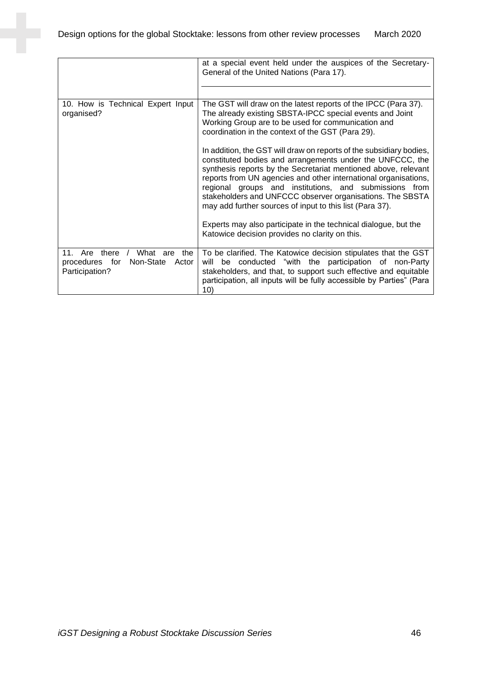|                                                                                                                     | at a special event held under the auspices of the Secretary-<br>General of the United Nations (Para 17).                                                                                                                                                                                                                                                                                                                                                 |
|---------------------------------------------------------------------------------------------------------------------|----------------------------------------------------------------------------------------------------------------------------------------------------------------------------------------------------------------------------------------------------------------------------------------------------------------------------------------------------------------------------------------------------------------------------------------------------------|
|                                                                                                                     |                                                                                                                                                                                                                                                                                                                                                                                                                                                          |
| 10. How is Technical Expert Input<br>organised?                                                                     | The GST will draw on the latest reports of the IPCC (Para 37).<br>The already existing SBSTA-IPCC special events and Joint<br>Working Group are to be used for communication and<br>coordination in the context of the GST (Para 29).                                                                                                                                                                                                                    |
|                                                                                                                     | In addition, the GST will draw on reports of the subsidiary bodies,<br>constituted bodies and arrangements under the UNFCCC, the<br>synthesis reports by the Secretariat mentioned above, relevant<br>reports from UN agencies and other international organisations,<br>regional groups and institutions, and submissions from<br>stakeholders and UNFCCC observer organisations. The SBSTA<br>may add further sources of input to this list (Para 37). |
|                                                                                                                     | Experts may also participate in the technical dialogue, but the<br>Katowice decision provides no clarity on this.                                                                                                                                                                                                                                                                                                                                        |
| there $/$<br>11 <sub>1</sub><br>Are<br>What are<br>the<br>Non-State<br>procedures<br>Actor<br>for<br>Participation? | To be clarified. The Katowice decision stipulates that the GST<br>be conducted "with the participation of non-Party<br>will<br>stakeholders, and that, to support such effective and equitable<br>participation, all inputs will be fully accessible by Parties" (Para<br>10)                                                                                                                                                                            |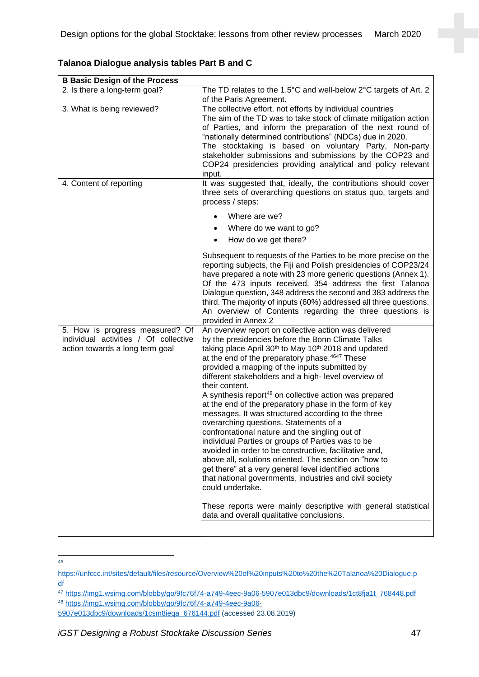| <b>B Basic Design of the Process</b>                                                                        |                                                                                                                                                                                                                                                                                                                                                                                                                                                                                                                                                                                                                                                                                                                                                                                                                                                                                                                                                                                                                                                                                                     |  |
|-------------------------------------------------------------------------------------------------------------|-----------------------------------------------------------------------------------------------------------------------------------------------------------------------------------------------------------------------------------------------------------------------------------------------------------------------------------------------------------------------------------------------------------------------------------------------------------------------------------------------------------------------------------------------------------------------------------------------------------------------------------------------------------------------------------------------------------------------------------------------------------------------------------------------------------------------------------------------------------------------------------------------------------------------------------------------------------------------------------------------------------------------------------------------------------------------------------------------------|--|
| 2. Is there a long-term goal?                                                                               | The TD relates to the 1.5 $\degree$ C and well-below 2 $\degree$ C targets of Art. 2<br>of the Paris Agreement.                                                                                                                                                                                                                                                                                                                                                                                                                                                                                                                                                                                                                                                                                                                                                                                                                                                                                                                                                                                     |  |
| 3. What is being reviewed?                                                                                  | The collective effort, not efforts by individual countries<br>The aim of the TD was to take stock of climate mitigation action<br>of Parties, and inform the preparation of the next round of<br>"nationally determined contributions" (NDCs) due in 2020.<br>The stocktaking is based on voluntary Party, Non-party<br>stakeholder submissions and submissions by the COP23 and<br>COP24 presidencies providing analytical and policy relevant<br>input.                                                                                                                                                                                                                                                                                                                                                                                                                                                                                                                                                                                                                                           |  |
| 4. Content of reporting                                                                                     | It was suggested that, ideally, the contributions should cover<br>three sets of overarching questions on status quo, targets and<br>process / steps:                                                                                                                                                                                                                                                                                                                                                                                                                                                                                                                                                                                                                                                                                                                                                                                                                                                                                                                                                |  |
|                                                                                                             | Where are we?                                                                                                                                                                                                                                                                                                                                                                                                                                                                                                                                                                                                                                                                                                                                                                                                                                                                                                                                                                                                                                                                                       |  |
|                                                                                                             | Where do we want to go?<br>$\bullet$                                                                                                                                                                                                                                                                                                                                                                                                                                                                                                                                                                                                                                                                                                                                                                                                                                                                                                                                                                                                                                                                |  |
|                                                                                                             | How do we get there?                                                                                                                                                                                                                                                                                                                                                                                                                                                                                                                                                                                                                                                                                                                                                                                                                                                                                                                                                                                                                                                                                |  |
|                                                                                                             | Subsequent to requests of the Parties to be more precise on the<br>reporting subjects, the Fiji and Polish presidencies of COP23/24<br>have prepared a note with 23 more generic questions (Annex 1).<br>Of the 473 inputs received, 354 address the first Talanoa<br>Dialogue question, 348 address the second and 383 address the<br>third. The majority of inputs (60%) addressed all three questions.<br>An overview of Contents regarding the three questions is<br>provided in Annex 2                                                                                                                                                                                                                                                                                                                                                                                                                                                                                                                                                                                                        |  |
| 5. How is progress measured? Of<br>individual activities / Of collective<br>action towards a long term goal | An overview report on collective action was delivered<br>by the presidencies before the Bonn Climate Talks<br>taking place April 30 <sup>th</sup> to May 10 <sup>th</sup> 2018 and updated<br>at the end of the preparatory phase. <sup>4647</sup> These<br>provided a mapping of the inputs submitted by<br>different stakeholders and a high-level overview of<br>their content.<br>A synthesis report <sup>48</sup> on collective action was prepared<br>at the end of the preparatory phase in the form of key<br>messages. It was structured according to the three<br>overarching questions. Statements of a<br>confrontational nature and the singling out of<br>individual Parties or groups of Parties was to be<br>avoided in order to be constructive, facilitative and,<br>above all, solutions oriented. The section on "how to<br>get there" at a very general level identified actions<br>that national governments, industries and civil society<br>could undertake.<br>These reports were mainly descriptive with general statistical<br>data and overall qualitative conclusions. |  |

**Talanoa Dialogue analysis tables Part B and C**

<sup>46</sup>

[https://unfccc.int/sites/default/files/resource/Overview%20of%20inputs%20to%20the%20Talanoa%20Dialogue.p](https://unfccc.int/sites/default/files/resource/Overview%20of%20inputs%20to%20the%20Talanoa%20Dialogue.pdf) [df](https://unfccc.int/sites/default/files/resource/Overview%20of%20inputs%20to%20the%20Talanoa%20Dialogue.pdf)

<sup>47</sup> [https://img1.wsimg.com/blobby/go/9fc76f74-a749-4eec-9a06-5907e013dbc9/downloads/1ct8fja1t\\_768448.pdf](https://img1.wsimg.com/blobby/go/9fc76f74-a749-4eec-9a06-5907e013dbc9/downloads/1ct8fja1t_768448.pdf) <sup>48</sup> [https://img1.wsimg.com/blobby/go/9fc76f74-a749-4eec-9a06-](https://img1.wsimg.com/blobby/go/9fc76f74-a749-4eec-9a06-5907e013dbc9/downloads/1csm8ieqa_676144.pdf)

[<sup>5907</sup>e013dbc9/downloads/1csm8ieqa\\_676144.pdf](https://img1.wsimg.com/blobby/go/9fc76f74-a749-4eec-9a06-5907e013dbc9/downloads/1csm8ieqa_676144.pdf) (accessed 23.08.2019)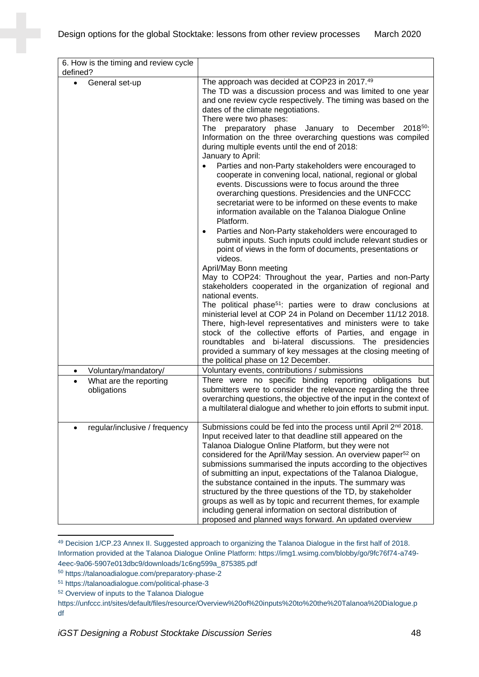| 6. How is the timing and review cycle              |                                                                                                                                                                                                                                                                                                                                                                                                                                                                                                                                                                                                                                                                                                                                                                                                                                                                                                                                                                                                                                                                                                                                                                                                                                                                                                                                                                                                                                                                                                                              |
|----------------------------------------------------|------------------------------------------------------------------------------------------------------------------------------------------------------------------------------------------------------------------------------------------------------------------------------------------------------------------------------------------------------------------------------------------------------------------------------------------------------------------------------------------------------------------------------------------------------------------------------------------------------------------------------------------------------------------------------------------------------------------------------------------------------------------------------------------------------------------------------------------------------------------------------------------------------------------------------------------------------------------------------------------------------------------------------------------------------------------------------------------------------------------------------------------------------------------------------------------------------------------------------------------------------------------------------------------------------------------------------------------------------------------------------------------------------------------------------------------------------------------------------------------------------------------------------|
| defined?                                           |                                                                                                                                                                                                                                                                                                                                                                                                                                                                                                                                                                                                                                                                                                                                                                                                                                                                                                                                                                                                                                                                                                                                                                                                                                                                                                                                                                                                                                                                                                                              |
| General set-up<br>$\bullet$                        | The approach was decided at COP23 in 2017.49<br>The TD was a discussion process and was limited to one year<br>and one review cycle respectively. The timing was based on the<br>dates of the climate negotiations.<br>There were two phases:<br>The preparatory phase January to December<br>201850:<br>Information on the three overarching questions was compiled<br>during multiple events until the end of 2018:<br>January to April:<br>Parties and non-Party stakeholders were encouraged to<br>cooperate in convening local, national, regional or global<br>events. Discussions were to focus around the three<br>overarching questions. Presidencies and the UNFCCC<br>secretariat were to be informed on these events to make<br>information available on the Talanoa Dialogue Online<br>Platform.<br>Parties and Non-Party stakeholders were encouraged to<br>submit inputs. Such inputs could include relevant studies or<br>point of views in the form of documents, presentations or<br>videos.<br>April/May Bonn meeting<br>May to COP24: Throughout the year, Parties and non-Party<br>stakeholders cooperated in the organization of regional and<br>national events.<br>The political phase <sup>51</sup> : parties were to draw conclusions at<br>ministerial level at COP 24 in Poland on December 11/12 2018.<br>There, high-level representatives and ministers were to take<br>stock of the collective efforts of Parties, and engage in<br>roundtables and bi-lateral discussions. The presidencies |
|                                                    | provided a summary of key messages at the closing meeting of<br>the political phase on 12 December.                                                                                                                                                                                                                                                                                                                                                                                                                                                                                                                                                                                                                                                                                                                                                                                                                                                                                                                                                                                                                                                                                                                                                                                                                                                                                                                                                                                                                          |
| Voluntary/mandatory/<br>٠                          | Voluntary events, contributions / submissions                                                                                                                                                                                                                                                                                                                                                                                                                                                                                                                                                                                                                                                                                                                                                                                                                                                                                                                                                                                                                                                                                                                                                                                                                                                                                                                                                                                                                                                                                |
| What are the reporting<br>$\bullet$<br>obligations | There were no specific binding reporting obligations but<br>submitters were to consider the relevance regarding the three<br>overarching questions, the objective of the input in the context of<br>a multilateral dialogue and whether to join efforts to submit input.                                                                                                                                                                                                                                                                                                                                                                                                                                                                                                                                                                                                                                                                                                                                                                                                                                                                                                                                                                                                                                                                                                                                                                                                                                                     |
| regular/inclusive / frequency                      | Submissions could be fed into the process until April 2 <sup>nd</sup> 2018.<br>Input received later to that deadline still appeared on the<br>Talanoa Dialogue Online Platform, but they were not<br>considered for the April/May session. An overview paper <sup>52</sup> on<br>submissions summarised the inputs according to the objectives<br>of submitting an input, expectations of the Talanoa Dialogue,<br>the substance contained in the inputs. The summary was<br>structured by the three questions of the TD, by stakeholder<br>groups as well as by topic and recurrent themes, for example<br>including general information on sectoral distribution of<br>proposed and planned ways forward. An updated overview                                                                                                                                                                                                                                                                                                                                                                                                                                                                                                                                                                                                                                                                                                                                                                                              |

<sup>49</sup> Decision 1/CP.23 Annex II. Suggested approach to organizing the Talanoa Dialogue in the first half of 2018. Information provided at the Talanoa Dialogue Online Platform: https://img1.wsimg.com/blobby/go/9fc76f74-a749- 4eec-9a06-5907e013dbc9/downloads/1c6ng599a\_875385.pdf

<sup>50</sup> https://talanoadialogue.com/preparatory-phase-2

<sup>51</sup> https://talanoadialogue.com/political-phase-3

<sup>52</sup> Overview of inputs to the Talanoa Dialogue

https://unfccc.int/sites/default/files/resource/Overview%20of%20inputs%20to%20the%20Talanoa%20Dialogue.p df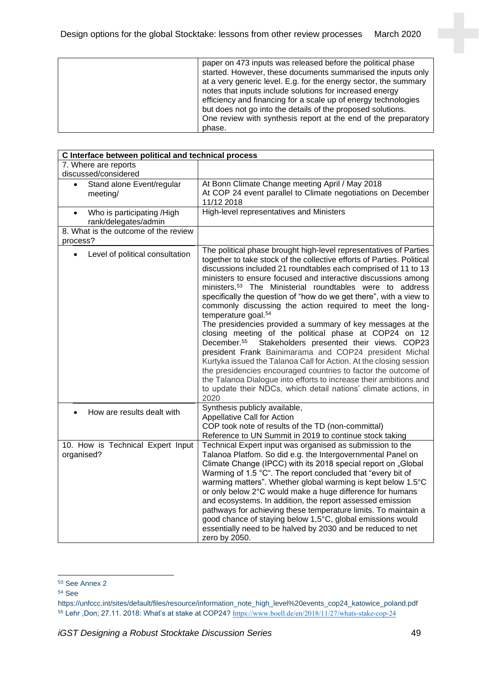| paper on 473 inputs was released before the political phase<br>started. However, these documents summarised the inputs only<br>at a very generic level. E.g. for the energy sector, the summary<br>notes that inputs include solutions for increased energy<br>efficiency and financing for a scale up of energy technologies<br>but does not go into the details of the proposed solutions.<br>One review with synthesis report at the end of the preparatory<br>phase. |
|--------------------------------------------------------------------------------------------------------------------------------------------------------------------------------------------------------------------------------------------------------------------------------------------------------------------------------------------------------------------------------------------------------------------------------------------------------------------------|
|--------------------------------------------------------------------------------------------------------------------------------------------------------------------------------------------------------------------------------------------------------------------------------------------------------------------------------------------------------------------------------------------------------------------------------------------------------------------------|

| C Interface between political and technical process             |                                                                                                                                                                                                                                                                                                                                                                                                                                                                                                                                                                                                                                                                                                                                                                                                                                                                                                                                                                                                                                                                               |  |
|-----------------------------------------------------------------|-------------------------------------------------------------------------------------------------------------------------------------------------------------------------------------------------------------------------------------------------------------------------------------------------------------------------------------------------------------------------------------------------------------------------------------------------------------------------------------------------------------------------------------------------------------------------------------------------------------------------------------------------------------------------------------------------------------------------------------------------------------------------------------------------------------------------------------------------------------------------------------------------------------------------------------------------------------------------------------------------------------------------------------------------------------------------------|--|
| 7. Where are reports                                            |                                                                                                                                                                                                                                                                                                                                                                                                                                                                                                                                                                                                                                                                                                                                                                                                                                                                                                                                                                                                                                                                               |  |
| discussed/considered                                            |                                                                                                                                                                                                                                                                                                                                                                                                                                                                                                                                                                                                                                                                                                                                                                                                                                                                                                                                                                                                                                                                               |  |
| Stand alone Event/regular<br>$\bullet$<br>meeting/              | At Bonn Climate Change meeting April / May 2018<br>At COP 24 event parallel to Climate negotiations on December<br>11/12 2018                                                                                                                                                                                                                                                                                                                                                                                                                                                                                                                                                                                                                                                                                                                                                                                                                                                                                                                                                 |  |
| Who is participating /High<br>$\bullet$<br>rank/delegates/admin | High-level representatives and Ministers                                                                                                                                                                                                                                                                                                                                                                                                                                                                                                                                                                                                                                                                                                                                                                                                                                                                                                                                                                                                                                      |  |
| 8. What is the outcome of the review<br>process?                |                                                                                                                                                                                                                                                                                                                                                                                                                                                                                                                                                                                                                                                                                                                                                                                                                                                                                                                                                                                                                                                                               |  |
| Level of political consultation<br>$\bullet$                    | The political phase brought high-level representatives of Parties<br>together to take stock of the collective efforts of Parties. Political<br>discussions included 21 roundtables each comprised of 11 to 13<br>ministers to ensure focused and interactive discussions among<br>ministers. <sup>53</sup> The Ministerial roundtables were to address<br>specifically the question of "how do we get there", with a view to<br>commonly discussing the action required to meet the long-<br>temperature goal. <sup>54</sup><br>The presidencies provided a summary of key messages at the<br>closing meeting of the political phase at COP24 on 12<br>December. <sup>55</sup><br>Stakeholders presented their views. COP23<br>president Frank Bainimarama and COP24 president Michal<br>Kurtyka issued the Talanoa Call for Action. At the closing session<br>the presidencies encouraged countries to factor the outcome of<br>the Talanoa Dialogue into efforts to increase their ambitions and<br>to update their NDCs, which detail nations' climate actions, in<br>2020 |  |
| How are results dealt with                                      | Synthesis publicly available,<br><b>Appellative Call for Action</b><br>COP took note of results of the TD (non-committal)<br>Reference to UN Summit in 2019 to continue stock taking                                                                                                                                                                                                                                                                                                                                                                                                                                                                                                                                                                                                                                                                                                                                                                                                                                                                                          |  |
| 10. How is Technical Expert Input<br>organised?                 | Technical Expert input was organised as submission to the<br>Talanoa Platfom. So did e.g. the Intergovernmental Panel on<br>Climate Change (IPCC) with its 2018 special report on "Global<br>Warming of 1.5 °C". The report concluded that "every bit of<br>warming matters". Whether global warming is kept below 1.5°C<br>or only below 2°C would make a huge difference for humans<br>and ecosystems. In addition, the report assessed emission<br>pathways for achieving these temperature limits. To maintain a<br>good chance of staying below 1,5°C, global emissions would<br>essentially need to be halved by 2030 and be reduced to net<br>zero by 2050.                                                                                                                                                                                                                                                                                                                                                                                                            |  |

<sup>53</sup> See Annex 2

<sup>54</sup> See

https://unfccc.int/sites/default/files/resource/information\_note\_high\_level%20events\_cop24\_katowice\_poland.pdf <sup>55</sup> Lehr ,Don; 27.11. 2018: What's at stake at COP24? <https://www.boell.de/en/2018/11/27/whats-stake-cop-24>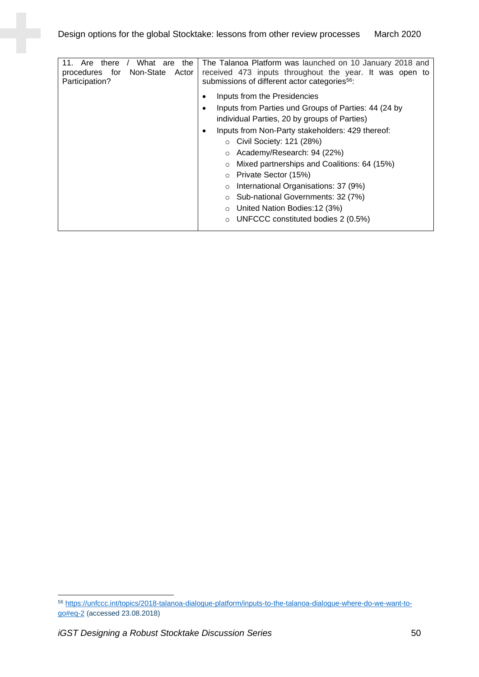| Are<br>What<br>there<br>11.<br>the<br>are<br>Non-State<br>procedures for<br>Actor<br>Participation? | The Talanoa Platform was launched on 10 January 2018 and<br>received 473 inputs throughout the year. It was open to<br>submissions of different actor categories <sup>56</sup> : |
|-----------------------------------------------------------------------------------------------------|----------------------------------------------------------------------------------------------------------------------------------------------------------------------------------|
|                                                                                                     | Inputs from the Presidencies                                                                                                                                                     |
|                                                                                                     | Inputs from Parties und Groups of Parties: 44 (24 by                                                                                                                             |
|                                                                                                     | individual Parties, 20 by groups of Parties)                                                                                                                                     |
|                                                                                                     | Inputs from Non-Party stakeholders: 429 thereof:                                                                                                                                 |
|                                                                                                     | $\circ$ Civil Society: 121 (28%)                                                                                                                                                 |
|                                                                                                     | $\circ$ Academy/Research: 94 (22%)                                                                                                                                               |
|                                                                                                     | Mixed partnerships and Coalitions: 64 (15%)<br>$\circ$                                                                                                                           |
|                                                                                                     | Private Sector (15%)<br>$\circ$                                                                                                                                                  |
|                                                                                                     | International Organisations: 37 (9%)<br>$\circ$                                                                                                                                  |
|                                                                                                     | Sub-national Governments: 32 (7%)<br>$\circ$                                                                                                                                     |
|                                                                                                     | United Nation Bodies: 12 (3%)<br>$\circ$                                                                                                                                         |
|                                                                                                     | UNFCCC constituted bodies 2 (0.5%)<br>$\circ$                                                                                                                                    |

<sup>56</sup> [https://unfccc.int/topics/2018-talanoa-dialogue-platform/inputs-to-the-talanoa-dialogue-where-do-we-want-to](https://unfccc.int/topics/2018-talanoa-dialogue-platform/inputs-to-the-talanoa-dialogue-where-do-we-want-to-go#eq-2)[go#eq-2](https://unfccc.int/topics/2018-talanoa-dialogue-platform/inputs-to-the-talanoa-dialogue-where-do-we-want-to-go#eq-2) (accessed 23.08.2018)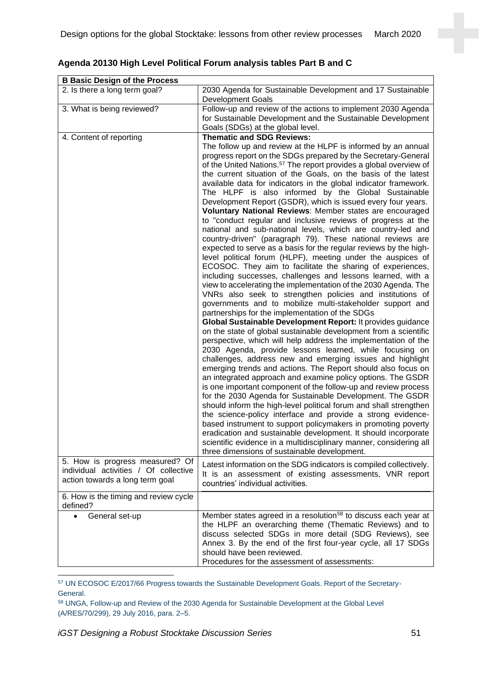| <b>B Basic Design of the Process</b>                                                                        |                                                                                                                                                                                                                                                                                                                                                                                                                                                                                                                                                                                                                                                                                                                                                                                                                                                                                                                                                                                                                                                                                                                                                                                                                                                                                                                                                                                                                                                                                                                                                                                                                                                                                                                                                                                                                                                                                                                                                                                                                                                                                                                                                                                                                                                                                    |
|-------------------------------------------------------------------------------------------------------------|------------------------------------------------------------------------------------------------------------------------------------------------------------------------------------------------------------------------------------------------------------------------------------------------------------------------------------------------------------------------------------------------------------------------------------------------------------------------------------------------------------------------------------------------------------------------------------------------------------------------------------------------------------------------------------------------------------------------------------------------------------------------------------------------------------------------------------------------------------------------------------------------------------------------------------------------------------------------------------------------------------------------------------------------------------------------------------------------------------------------------------------------------------------------------------------------------------------------------------------------------------------------------------------------------------------------------------------------------------------------------------------------------------------------------------------------------------------------------------------------------------------------------------------------------------------------------------------------------------------------------------------------------------------------------------------------------------------------------------------------------------------------------------------------------------------------------------------------------------------------------------------------------------------------------------------------------------------------------------------------------------------------------------------------------------------------------------------------------------------------------------------------------------------------------------------------------------------------------------------------------------------------------------|
| 2. Is there a long term goal?                                                                               | 2030 Agenda for Sustainable Development and 17 Sustainable<br><b>Development Goals</b>                                                                                                                                                                                                                                                                                                                                                                                                                                                                                                                                                                                                                                                                                                                                                                                                                                                                                                                                                                                                                                                                                                                                                                                                                                                                                                                                                                                                                                                                                                                                                                                                                                                                                                                                                                                                                                                                                                                                                                                                                                                                                                                                                                                             |
| 3. What is being reviewed?                                                                                  | Follow-up and review of the actions to implement 2030 Agenda<br>for Sustainable Development and the Sustainable Development<br>Goals (SDGs) at the global level.                                                                                                                                                                                                                                                                                                                                                                                                                                                                                                                                                                                                                                                                                                                                                                                                                                                                                                                                                                                                                                                                                                                                                                                                                                                                                                                                                                                                                                                                                                                                                                                                                                                                                                                                                                                                                                                                                                                                                                                                                                                                                                                   |
| 4. Content of reporting                                                                                     | <b>Thematic and SDG Reviews:</b><br>The follow up and review at the HLPF is informed by an annual<br>progress report on the SDGs prepared by the Secretary-General<br>of the United Nations. <sup>57</sup> The report provides a global overview of<br>the current situation of the Goals, on the basis of the latest<br>available data for indicators in the global indicator framework.<br>The HLPF is also informed by the Global Sustainable<br>Development Report (GSDR), which is issued every four years.<br>Voluntary National Reviews: Member states are encouraged<br>to "conduct regular and inclusive reviews of progress at the<br>national and sub-national levels, which are country-led and<br>country-driven" (paragraph 79). These national reviews are<br>expected to serve as a basis for the regular reviews by the high-<br>level political forum (HLPF), meeting under the auspices of<br>ECOSOC. They aim to facilitate the sharing of experiences,<br>including successes, challenges and lessons learned, with a<br>view to accelerating the implementation of the 2030 Agenda. The<br>VNRs also seek to strengthen policies and institutions of<br>governments and to mobilize multi-stakeholder support and<br>partnerships for the implementation of the SDGs<br>Global Sustainable Development Report: It provides guidance<br>on the state of global sustainable development from a scientific<br>perspective, which will help address the implementation of the<br>2030 Agenda, provide lessons learned, while focusing on<br>challenges, address new and emerging issues and highlight<br>emerging trends and actions. The Report should also focus on<br>an integrated approach and examine policy options. The GSDR<br>is one important component of the follow-up and review process<br>for the 2030 Agenda for Sustainable Development. The GSDR<br>should inform the high-level political forum and shall strengthen<br>the science-policy interface and provide a strong evidence-<br>based instrument to support policymakers in promoting poverty<br>eradication and sustainable development. It should incorporate<br>scientific evidence in a multidisciplinary manner, considering all<br>three dimensions of sustainable development. |
| 5. How is progress measured? Of<br>individual activities / Of collective<br>action towards a long term goal | Latest information on the SDG indicators is compiled collectively.<br>It is an assessment of existing assessments, VNR report<br>countries' individual activities.                                                                                                                                                                                                                                                                                                                                                                                                                                                                                                                                                                                                                                                                                                                                                                                                                                                                                                                                                                                                                                                                                                                                                                                                                                                                                                                                                                                                                                                                                                                                                                                                                                                                                                                                                                                                                                                                                                                                                                                                                                                                                                                 |
| 6. How is the timing and review cycle<br>defined?                                                           |                                                                                                                                                                                                                                                                                                                                                                                                                                                                                                                                                                                                                                                                                                                                                                                                                                                                                                                                                                                                                                                                                                                                                                                                                                                                                                                                                                                                                                                                                                                                                                                                                                                                                                                                                                                                                                                                                                                                                                                                                                                                                                                                                                                                                                                                                    |
| General set-up                                                                                              | Member states agreed in a resolution <sup>58</sup> to discuss each year at<br>the HLPF an overarching theme (Thematic Reviews) and to<br>discuss selected SDGs in more detail (SDG Reviews), see<br>Annex 3. By the end of the first four-year cycle, all 17 SDGs<br>should have been reviewed.<br>Procedures for the assessment of assessments:                                                                                                                                                                                                                                                                                                                                                                                                                                                                                                                                                                                                                                                                                                                                                                                                                                                                                                                                                                                                                                                                                                                                                                                                                                                                                                                                                                                                                                                                                                                                                                                                                                                                                                                                                                                                                                                                                                                                   |

## **Agenda 20130 High Level Political Forum analysis tables Part B and C**

<sup>57</sup> UN ECOSOC E/2017/66 Progress towards the Sustainable Development Goals. Report of the Secretary-General.

<sup>58</sup> UNGA, Follow-up and Review of the 2030 Agenda for Sustainable Development at the Global Level (A/RES/70/299), 29 July 2016, para. 2–5.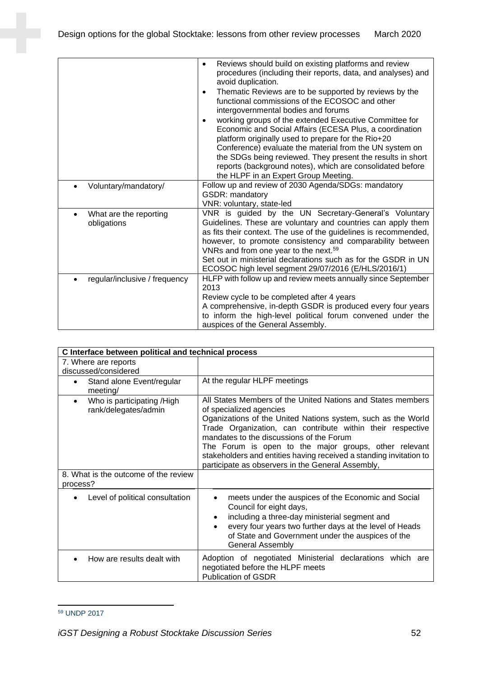|                                     | Reviews should build on existing platforms and review<br>$\bullet$<br>procedures (including their reports, data, and analyses) and<br>avoid duplication.<br>Thematic Reviews are to be supported by reviews by the<br>$\bullet$<br>functional commissions of the ECOSOC and other<br>intergovernmental bodies and forums<br>working groups of the extended Executive Committee for<br>Economic and Social Affairs (ECESA Plus, a coordination<br>platform originally used to prepare for the Rio+20<br>Conference) evaluate the material from the UN system on<br>the SDGs being reviewed. They present the results in short<br>reports (background notes), which are consolidated before<br>the HLPF in an Expert Group Meeting. |
|-------------------------------------|-----------------------------------------------------------------------------------------------------------------------------------------------------------------------------------------------------------------------------------------------------------------------------------------------------------------------------------------------------------------------------------------------------------------------------------------------------------------------------------------------------------------------------------------------------------------------------------------------------------------------------------------------------------------------------------------------------------------------------------|
| Voluntary/mandatory/                | Follow up and review of 2030 Agenda/SDGs: mandatory                                                                                                                                                                                                                                                                                                                                                                                                                                                                                                                                                                                                                                                                               |
|                                     | <b>GSDR: mandatory</b>                                                                                                                                                                                                                                                                                                                                                                                                                                                                                                                                                                                                                                                                                                            |
|                                     | VNR: voluntary, state-led                                                                                                                                                                                                                                                                                                                                                                                                                                                                                                                                                                                                                                                                                                         |
| What are the reporting<br>$\bullet$ | VNR is guided by the UN Secretary-General's Voluntary                                                                                                                                                                                                                                                                                                                                                                                                                                                                                                                                                                                                                                                                             |
| obligations                         | Guidelines. These are voluntary and countries can apply them<br>as fits their context. The use of the guidelines is recommended,                                                                                                                                                                                                                                                                                                                                                                                                                                                                                                                                                                                                  |
|                                     | however, to promote consistency and comparability between                                                                                                                                                                                                                                                                                                                                                                                                                                                                                                                                                                                                                                                                         |
|                                     | VNRs and from one year to the next. <sup>59</sup>                                                                                                                                                                                                                                                                                                                                                                                                                                                                                                                                                                                                                                                                                 |
|                                     | Set out in ministerial declarations such as for the GSDR in UN                                                                                                                                                                                                                                                                                                                                                                                                                                                                                                                                                                                                                                                                    |
|                                     | ECOSOC high level segment 29/07/2016 (E/HLS/2016/1)                                                                                                                                                                                                                                                                                                                                                                                                                                                                                                                                                                                                                                                                               |
| regular/inclusive / frequency       | HLFP with follow up and review meets annually since September                                                                                                                                                                                                                                                                                                                                                                                                                                                                                                                                                                                                                                                                     |
|                                     | 2013                                                                                                                                                                                                                                                                                                                                                                                                                                                                                                                                                                                                                                                                                                                              |
|                                     | Review cycle to be completed after 4 years                                                                                                                                                                                                                                                                                                                                                                                                                                                                                                                                                                                                                                                                                        |
|                                     | A comprehensive, in-depth GSDR is produced every four years                                                                                                                                                                                                                                                                                                                                                                                                                                                                                                                                                                                                                                                                       |
|                                     | to inform the high-level political forum convened under the                                                                                                                                                                                                                                                                                                                                                                                                                                                                                                                                                                                                                                                                       |
|                                     | auspices of the General Assembly.                                                                                                                                                                                                                                                                                                                                                                                                                                                                                                                                                                                                                                                                                                 |

| C Interface between political and technical process             |                                                                                                                                                                                                                                                                                                                                                                                                                                                      |
|-----------------------------------------------------------------|------------------------------------------------------------------------------------------------------------------------------------------------------------------------------------------------------------------------------------------------------------------------------------------------------------------------------------------------------------------------------------------------------------------------------------------------------|
| 7. Where are reports<br>discussed/considered                    |                                                                                                                                                                                                                                                                                                                                                                                                                                                      |
| Stand alone Event/regular<br>٠<br>meeting/                      | At the regular HLPF meetings                                                                                                                                                                                                                                                                                                                                                                                                                         |
| Who is participating /High<br>$\bullet$<br>rank/delegates/admin | All States Members of the United Nations and States members<br>of specialized agencies<br>Oganizations of the United Nations system, such as the World<br>Trade Organization, can contribute within their respective<br>mandates to the discussions of the Forum<br>The Forum is open to the major groups, other relevant<br>stakeholders and entities having received a standing invitation to<br>participate as observers in the General Assembly, |
| 8. What is the outcome of the review<br>process?                |                                                                                                                                                                                                                                                                                                                                                                                                                                                      |
| Level of political consultation<br>$\bullet$                    | meets under the auspices of the Economic and Social<br>$\bullet$<br>Council for eight days,<br>including a three-day ministerial segment and<br>$\bullet$<br>every four years two further days at the level of Heads<br>$\bullet$<br>of State and Government under the auspices of the<br><b>General Assembly</b>                                                                                                                                    |
| How are results dealt with                                      | Adoption of negotiated Ministerial declarations which are<br>negotiated before the HLPF meets<br><b>Publication of GSDR</b>                                                                                                                                                                                                                                                                                                                          |

<sup>59</sup> UNDP 2017

*iGST Designing a Robust Stocktake Discussion Series* 52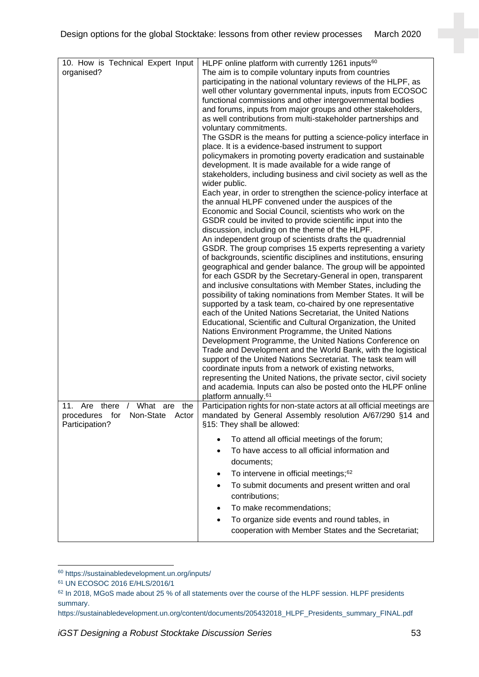| 10. How is Technical Expert Input<br>organised?                                     | HLPF online platform with currently 1261 inputs <sup>60</sup><br>The aim is to compile voluntary inputs from countries<br>participating in the national voluntary reviews of the HLPF, as<br>well other voluntary governmental inputs, inputs from ECOSOC<br>functional commissions and other intergovernmental bodies<br>and forums, inputs from major groups and other stakeholders,<br>as well contributions from multi-stakeholder partnerships and<br>voluntary commitments.<br>The GSDR is the means for putting a science-policy interface in<br>place. It is a evidence-based instrument to support<br>policymakers in promoting poverty eradication and sustainable<br>development. It is made available for a wide range of<br>stakeholders, including business and civil society as well as the<br>wider public.<br>Each year, in order to strengthen the science-policy interface at<br>the annual HLPF convened under the auspices of the<br>Economic and Social Council, scientists who work on the<br>GSDR could be invited to provide scientific input into the<br>discussion, including on the theme of the HLPF.<br>An independent group of scientists drafts the quadrennial<br>GSDR. The group comprises 15 experts representing a variety<br>of backgrounds, scientific disciplines and institutions, ensuring<br>geographical and gender balance. The group will be appointed<br>for each GSDR by the Secretary-General in open, transparent<br>and inclusive consultations with Member States, including the<br>possibility of taking nominations from Member States. It will be<br>supported by a task team, co-chaired by one representative<br>each of the United Nations Secretariat, the United Nations<br>Educational, Scientific and Cultural Organization, the United<br>Nations Environment Programme, the United Nations<br>Development Programme, the United Nations Conference on<br>Trade and Development and the World Bank, with the logistical<br>support of the United Nations Secretariat. The task team will<br>coordinate inputs from a network of existing networks,<br>representing the United Nations, the private sector, civil society<br>and academia. Inputs can also be posted onto the HLPF online<br>platform annually. <sup>61</sup> |
|-------------------------------------------------------------------------------------|--------------------------------------------------------------------------------------------------------------------------------------------------------------------------------------------------------------------------------------------------------------------------------------------------------------------------------------------------------------------------------------------------------------------------------------------------------------------------------------------------------------------------------------------------------------------------------------------------------------------------------------------------------------------------------------------------------------------------------------------------------------------------------------------------------------------------------------------------------------------------------------------------------------------------------------------------------------------------------------------------------------------------------------------------------------------------------------------------------------------------------------------------------------------------------------------------------------------------------------------------------------------------------------------------------------------------------------------------------------------------------------------------------------------------------------------------------------------------------------------------------------------------------------------------------------------------------------------------------------------------------------------------------------------------------------------------------------------------------------------------------------------------------------------------------------------------------------------------------------------------------------------------------------------------------------------------------------------------------------------------------------------------------------------------------------------------------------------------------------------------------------------------------------------------------------------------------------------------------------------------------------------------------------------|
| 11. Are there / What are<br>the<br>procedures for Non-State Actor<br>Participation? | Participation rights for non-state actors at all official meetings are<br>mandated by General Assembly resolution A/67/290 §14 and<br>§15: They shall be allowed:                                                                                                                                                                                                                                                                                                                                                                                                                                                                                                                                                                                                                                                                                                                                                                                                                                                                                                                                                                                                                                                                                                                                                                                                                                                                                                                                                                                                                                                                                                                                                                                                                                                                                                                                                                                                                                                                                                                                                                                                                                                                                                                          |
|                                                                                     | To attend all official meetings of the forum;<br>To have access to all official information and<br>documents;<br>To intervene in official meetings; <sup>62</sup><br>$\bullet$<br>To submit documents and present written and oral<br>contributions;<br>To make recommendations;<br>To organize side events and round tables, in<br>cooperation with Member States and the Secretariat;                                                                                                                                                                                                                                                                                                                                                                                                                                                                                                                                                                                                                                                                                                                                                                                                                                                                                                                                                                                                                                                                                                                                                                                                                                                                                                                                                                                                                                                                                                                                                                                                                                                                                                                                                                                                                                                                                                    |

<sup>60</sup> https://sustainabledevelopment.un.org/inputs/

<sup>61</sup> UN ECOSOC 2016 E/HLS/2016/1

<sup>62</sup> In 2018, MGoS made about 25 % of all statements over the course of the HLPF session. HLPF presidents summary.

https://sustainabledevelopment.un.org/content/documents/205432018\_HLPF\_Presidents\_summary\_FINAL.pdf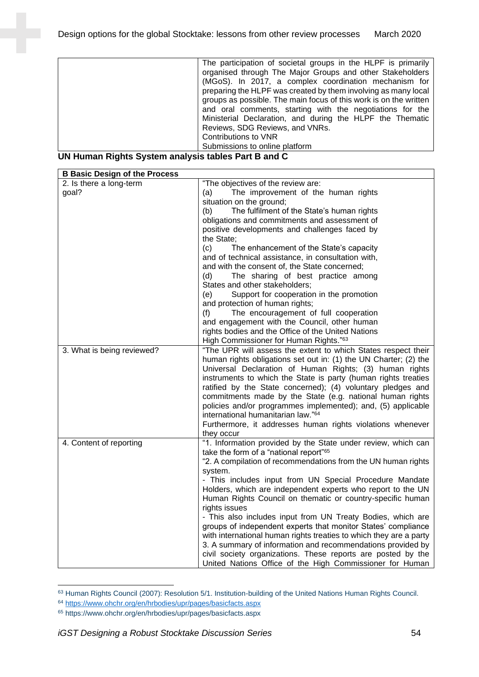|                     | The participation of societal groups in the HLPF is primarily     |
|---------------------|-------------------------------------------------------------------|
|                     | organised through The Major Groups and other Stakeholders         |
|                     | (MGoS). In 2017, a complex coordination mechanism for             |
|                     | preparing the HLPF was created by them involving as many local    |
|                     | groups as possible. The main focus of this work is on the written |
|                     | and oral comments, starting with the negotiations for the         |
|                     | Ministerial Declaration, and during the HLPF the Thematic         |
|                     | Reviews, SDG Reviews, and VNRs.                                   |
|                     | Contributions to VNR                                              |
|                     | Submissions to online platform                                    |
| <b>PULLIPS</b> 2007 |                                                                   |

**UN Human Rights System analysis tables Part B and C**

| <b>B Basic Design of the Process</b> |                                                                                                                                   |
|--------------------------------------|-----------------------------------------------------------------------------------------------------------------------------------|
| 2. Is there a long-term              | "The objectives of the review are:                                                                                                |
| goal?                                | The improvement of the human rights<br>(a)                                                                                        |
|                                      | situation on the ground;                                                                                                          |
|                                      | The fulfilment of the State's human rights<br>(b)                                                                                 |
|                                      | obligations and commitments and assessment of                                                                                     |
|                                      | positive developments and challenges faced by                                                                                     |
|                                      | the State;                                                                                                                        |
|                                      | (c)<br>The enhancement of the State's capacity                                                                                    |
|                                      | and of technical assistance, in consultation with,                                                                                |
|                                      | and with the consent of, the State concerned;                                                                                     |
|                                      | The sharing of best practice among<br>(d)                                                                                         |
|                                      | States and other stakeholders;                                                                                                    |
|                                      | Support for cooperation in the promotion<br>(e)                                                                                   |
|                                      | and protection of human rights;                                                                                                   |
|                                      | The encouragement of full cooperation<br>(f)                                                                                      |
|                                      | and engagement with the Council, other human                                                                                      |
|                                      | rights bodies and the Office of the United Nations                                                                                |
| 3. What is being reviewed?           | High Commissioner for Human Rights."63<br>"The UPR will assess the extent to which States respect their                           |
|                                      | human rights obligations set out in: (1) the UN Charter; (2) the                                                                  |
|                                      | Universal Declaration of Human Rights; (3) human rights                                                                           |
|                                      | instruments to which the State is party (human rights treaties                                                                    |
|                                      | ratified by the State concerned); (4) voluntary pledges and                                                                       |
|                                      | commitments made by the State (e.g. national human rights                                                                         |
|                                      | policies and/or programmes implemented); and, (5) applicable                                                                      |
|                                      | international humanitarian law."64                                                                                                |
|                                      | Furthermore, it addresses human rights violations whenever                                                                        |
|                                      | they occur                                                                                                                        |
| 4. Content of reporting              | "1. Information provided by the State under review, which can                                                                     |
|                                      | take the form of a "national report" <sup>65</sup>                                                                                |
|                                      | "2. A compilation of recommendations from the UN human rights                                                                     |
|                                      | system.                                                                                                                           |
|                                      | - This includes input from UN Special Procedure Mandate                                                                           |
|                                      | Holders, which are independent experts who report to the UN                                                                       |
|                                      | Human Rights Council on thematic or country-specific human                                                                        |
|                                      | rights issues                                                                                                                     |
|                                      | - This also includes input from UN Treaty Bodies, which are                                                                       |
|                                      | groups of independent experts that monitor States' compliance                                                                     |
|                                      | with international human rights treaties to which they are a party<br>3. A summary of information and recommendations provided by |
|                                      | civil society organizations. These reports are posted by the                                                                      |
|                                      | United Nations Office of the High Commissioner for Human                                                                          |
|                                      |                                                                                                                                   |

<sup>63</sup> Human Rights Council (2007): Resolution 5/1. Institution-building of the United Nations Human Rights Council.

<sup>64</sup> <https://www.ohchr.org/en/hrbodies/upr/pages/basicfacts.aspx>

<sup>65</sup> https://www.ohchr.org/en/hrbodies/upr/pages/basicfacts.aspx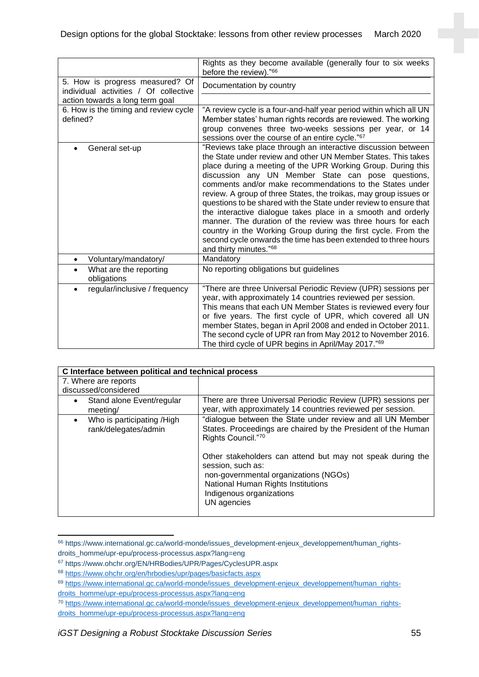|                                                                          | Rights as they become available (generally four to six weeks<br>before the review)."66                                                                                                                                                                                                                                                                                                                                                                                                                                                                                                                                                                                                                                                                             |
|--------------------------------------------------------------------------|--------------------------------------------------------------------------------------------------------------------------------------------------------------------------------------------------------------------------------------------------------------------------------------------------------------------------------------------------------------------------------------------------------------------------------------------------------------------------------------------------------------------------------------------------------------------------------------------------------------------------------------------------------------------------------------------------------------------------------------------------------------------|
| 5. How is progress measured? Of<br>individual activities / Of collective | Documentation by country                                                                                                                                                                                                                                                                                                                                                                                                                                                                                                                                                                                                                                                                                                                                           |
| action towards a long term goal                                          |                                                                                                                                                                                                                                                                                                                                                                                                                                                                                                                                                                                                                                                                                                                                                                    |
| 6. How is the timing and review cycle                                    | "A review cycle is a four-and-half year period within which all UN                                                                                                                                                                                                                                                                                                                                                                                                                                                                                                                                                                                                                                                                                                 |
| defined?                                                                 | Member states' human rights records are reviewed. The working                                                                                                                                                                                                                                                                                                                                                                                                                                                                                                                                                                                                                                                                                                      |
|                                                                          | group convenes three two-weeks sessions per year, or 14<br>sessions over the course of an entire cycle."67                                                                                                                                                                                                                                                                                                                                                                                                                                                                                                                                                                                                                                                         |
| General set-up                                                           | "Reviews take place through an interactive discussion between<br>the State under review and other UN Member States. This takes<br>place during a meeting of the UPR Working Group. During this<br>discussion any UN Member State can pose questions,<br>comments and/or make recommendations to the States under<br>review. A group of three States, the troikas, may group issues or<br>questions to be shared with the State under review to ensure that<br>the interactive dialogue takes place in a smooth and orderly<br>manner. The duration of the review was three hours for each<br>country in the Working Group during the first cycle. From the<br>second cycle onwards the time has been extended to three hours<br>and thirty minutes." <sup>68</sup> |
| Voluntary/mandatory/<br>$\bullet$                                        | Mandatory                                                                                                                                                                                                                                                                                                                                                                                                                                                                                                                                                                                                                                                                                                                                                          |
| What are the reporting<br>obligations                                    | No reporting obligations but guidelines                                                                                                                                                                                                                                                                                                                                                                                                                                                                                                                                                                                                                                                                                                                            |
| regular/inclusive / frequency<br>$\bullet$                               | "There are three Universal Periodic Review (UPR) sessions per<br>year, with approximately 14 countries reviewed per session.<br>This means that each UN Member States is reviewed every four<br>or five years. The first cycle of UPR, which covered all UN<br>member States, began in April 2008 and ended in October 2011.<br>The second cycle of UPR ran from May 2012 to November 2016.<br>The third cycle of UPR begins in April/May 2017." <sup>69</sup>                                                                                                                                                                                                                                                                                                     |

| C Interface between political and technical process             |                                                                                                                                                                                                           |  |
|-----------------------------------------------------------------|-----------------------------------------------------------------------------------------------------------------------------------------------------------------------------------------------------------|--|
| 7. Where are reports<br>discussed/considered                    |                                                                                                                                                                                                           |  |
| Stand alone Event/regular<br>$\bullet$<br>meeting/              | There are three Universal Periodic Review (UPR) sessions per<br>year, with approximately 14 countries reviewed per session.                                                                               |  |
| Who is participating /High<br>$\bullet$<br>rank/delegates/admin | "dialogue between the State under review and all UN Member<br>States. Proceedings are chaired by the President of the Human<br>Rights Council."70                                                         |  |
|                                                                 | Other stakeholders can attend but may not speak during the<br>session, such as:<br>non-governmental organizations (NGOs)<br>National Human Rights Institutions<br>Indigenous organizations<br>UN agencies |  |

<sup>66</sup> https://www.international.gc.ca/world-monde/issues\_development-enjeux\_developpement/human\_rightsdroits\_homme/upr-epu/process-processus.aspx?lang=eng

<sup>67</sup> https://www.ohchr.org/EN/HRBodies/UPR/Pages/CyclesUPR.aspx

<sup>68</sup> <https://www.ohchr.org/en/hrbodies/upr/pages/basicfacts.aspx>

<sup>&</sup>lt;sup>69</sup> [https://www.international.gc.ca/world-monde/issues\\_development-enjeux\\_developpement/human\\_rights](https://www.international.gc.ca/world-monde/issues_development-enjeux_developpement/human_rights-droits_homme/upr-epu/process-processus.aspx?lang=eng)[droits\\_homme/upr-epu/process-processus.aspx?lang=eng](https://www.international.gc.ca/world-monde/issues_development-enjeux_developpement/human_rights-droits_homme/upr-epu/process-processus.aspx?lang=eng)

<sup>70</sup> [https://www.international.gc.ca/world-monde/issues\\_development-enjeux\\_developpement/human\\_rights](https://www.international.gc.ca/world-monde/issues_development-enjeux_developpement/human_rights-droits_homme/upr-epu/process-processus.aspx?lang=eng)[droits\\_homme/upr-epu/process-processus.aspx?lang=eng](https://www.international.gc.ca/world-monde/issues_development-enjeux_developpement/human_rights-droits_homme/upr-epu/process-processus.aspx?lang=eng)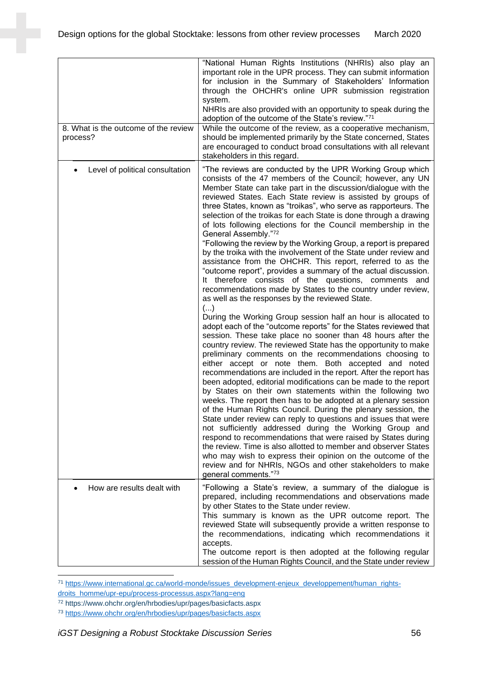| 8. What is the outcome of the review<br>process? | "National Human Rights Institutions (NHRIs) also play an<br>important role in the UPR process. They can submit information<br>for inclusion in the Summary of Stakeholders' Information<br>through the OHCHR's online UPR submission registration<br>system.<br>NHRIs are also provided with an opportunity to speak during the<br>adoption of the outcome of the State's review."71<br>While the outcome of the review, as a cooperative mechanism,<br>should be implemented primarily by the State concerned, States<br>are encouraged to conduct broad consultations with all relevant                                                                                                                                                                                                                                                                                                                                                                                                                                                                                                                                                                                                                                                                                                                                      |
|--------------------------------------------------|--------------------------------------------------------------------------------------------------------------------------------------------------------------------------------------------------------------------------------------------------------------------------------------------------------------------------------------------------------------------------------------------------------------------------------------------------------------------------------------------------------------------------------------------------------------------------------------------------------------------------------------------------------------------------------------------------------------------------------------------------------------------------------------------------------------------------------------------------------------------------------------------------------------------------------------------------------------------------------------------------------------------------------------------------------------------------------------------------------------------------------------------------------------------------------------------------------------------------------------------------------------------------------------------------------------------------------|
| Level of political consultation                  | stakeholders in this regard.<br>"The reviews are conducted by the UPR Working Group which<br>consists of the 47 members of the Council; however, any UN<br>Member State can take part in the discussion/dialogue with the<br>reviewed States. Each State review is assisted by groups of<br>three States, known as "troikas", who serve as rapporteurs. The<br>selection of the troikas for each State is done through a drawing<br>of lots following elections for the Council membership in the<br>General Assembly."72<br>"Following the review by the Working Group, a report is prepared<br>by the troika with the involvement of the State under review and<br>assistance from the OHCHR. This report, referred to as the<br>"outcome report", provides a summary of the actual discussion.                                                                                                                                                                                                                                                                                                                                                                                                                                                                                                                              |
|                                                  | It therefore consists of the questions, comments and<br>recommendations made by States to the country under review,<br>as well as the responses by the reviewed State.<br>()<br>During the Working Group session half an hour is allocated to<br>adopt each of the "outcome reports" for the States reviewed that<br>session. These take place no sooner than 48 hours after the<br>country review. The reviewed State has the opportunity to make<br>preliminary comments on the recommendations choosing to<br>either accept or note them. Both accepted and noted<br>recommendations are included in the report. After the report has<br>been adopted, editorial modifications can be made to the report<br>by States on their own statements within the following two<br>weeks. The report then has to be adopted at a plenary session<br>of the Human Rights Council. During the plenary session, the<br>State under review can reply to questions and issues that were<br>not sufficiently addressed during the Working Group and<br>respond to recommendations that were raised by States during<br>the review. Time is also allotted to member and observer States<br>who may wish to express their opinion on the outcome of the<br>review and for NHRIs, NGOs and other stakeholders to make<br>general comments."73 |
| How are results dealt with                       | "Following a State's review, a summary of the dialogue is<br>prepared, including recommendations and observations made<br>by other States to the State under review.<br>This summary is known as the UPR outcome report. The<br>reviewed State will subsequently provide a written response to<br>the recommendations, indicating which recommendations it<br>accepts.<br>The outcome report is then adopted at the following regular<br>session of the Human Rights Council, and the State under review                                                                                                                                                                                                                                                                                                                                                                                                                                                                                                                                                                                                                                                                                                                                                                                                                       |

71 [https://www.international.gc.ca/world-monde/issues\\_development-enjeux\\_developpement/human\\_rights-](https://www.international.gc.ca/world-monde/issues_development-enjeux_developpement/human_rights-droits_homme/upr-epu/process-processus.aspx?lang=eng)

[droits\\_homme/upr-epu/process-processus.aspx?lang=eng](https://www.international.gc.ca/world-monde/issues_development-enjeux_developpement/human_rights-droits_homme/upr-epu/process-processus.aspx?lang=eng)

<sup>72</sup> https://www.ohchr.org/en/hrbodies/upr/pages/basicfacts.aspx

<sup>73</sup> <https://www.ohchr.org/en/hrbodies/upr/pages/basicfacts.aspx>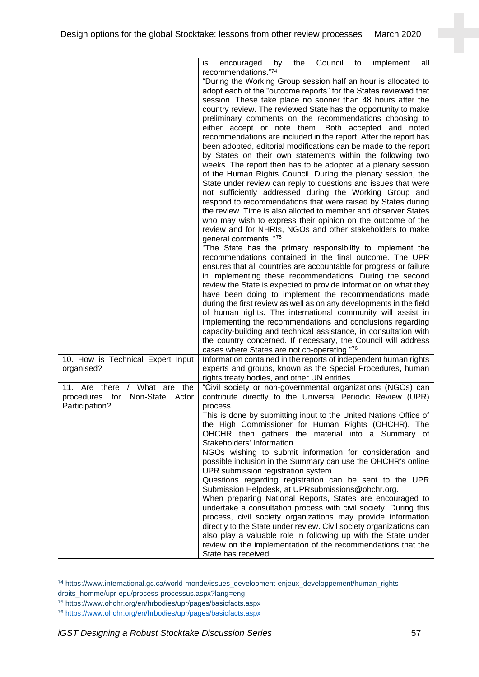|                                                                                                 | Council<br>implement<br>all<br>is<br>by<br>the<br>encouraged<br>to                                                                                                                                                                                                                                                                                                                                                                                                                                                                                                                                                                                                                 |
|-------------------------------------------------------------------------------------------------|------------------------------------------------------------------------------------------------------------------------------------------------------------------------------------------------------------------------------------------------------------------------------------------------------------------------------------------------------------------------------------------------------------------------------------------------------------------------------------------------------------------------------------------------------------------------------------------------------------------------------------------------------------------------------------|
|                                                                                                 | recommendations."74<br>"During the Working Group session half an hour is allocated to<br>adopt each of the "outcome reports" for the States reviewed that<br>session. These take place no sooner than 48 hours after the<br>country review. The reviewed State has the opportunity to make<br>preliminary comments on the recommendations choosing to<br>either accept or note them. Both accepted and noted<br>recommendations are included in the report. After the report has<br>been adopted, editorial modifications can be made to the report<br>by States on their own statements within the following two<br>weeks. The report then has to be adopted at a plenary session |
|                                                                                                 | of the Human Rights Council. During the plenary session, the<br>State under review can reply to questions and issues that were<br>not sufficiently addressed during the Working Group and<br>respond to recommendations that were raised by States during<br>the review. Time is also allotted to member and observer States<br>who may wish to express their opinion on the outcome of the<br>review and for NHRIs, NGOs and other stakeholders to make<br>general comments. "75                                                                                                                                                                                                  |
|                                                                                                 | "The State has the primary responsibility to implement the<br>recommendations contained in the final outcome. The UPR<br>ensures that all countries are accountable for progress or failure<br>in implementing these recommendations. During the second<br>review the State is expected to provide information on what they<br>have been doing to implement the recommendations made<br>during the first review as well as on any developments in the field<br>of human rights. The international community will assist in<br>implementing the recommendations and conclusions regarding                                                                                           |
|                                                                                                 | capacity-building and technical assistance, in consultation with<br>the country concerned. If necessary, the Council will address<br>cases where States are not co-operating."76                                                                                                                                                                                                                                                                                                                                                                                                                                                                                                   |
| 10. How is Technical Expert Input<br>organised?                                                 | Information contained in the reports of independent human rights<br>experts and groups, known as the Special Procedures, human<br>rights treaty bodies, and other UN entities                                                                                                                                                                                                                                                                                                                                                                                                                                                                                                      |
| / What are<br>the<br>11. Are there<br>for<br>procedures<br>Non-State<br>Actor<br>Participation? | "Civil society or non-governmental organizations (NGOs) can<br>contribute directly to the Universal Periodic Review (UPR)<br>process.                                                                                                                                                                                                                                                                                                                                                                                                                                                                                                                                              |
|                                                                                                 | This is done by submitting input to the United Nations Office of<br>the High Commissioner for Human Rights (OHCHR). The<br>OHCHR then gathers the material into a Summary of<br>Stakeholders' Information.                                                                                                                                                                                                                                                                                                                                                                                                                                                                         |
|                                                                                                 | NGOs wishing to submit information for consideration and<br>possible inclusion in the Summary can use the OHCHR's online<br>UPR submission registration system.<br>Questions regarding registration can be sent to the UPR                                                                                                                                                                                                                                                                                                                                                                                                                                                         |
|                                                                                                 | Submission Helpdesk, at UPRsubmissions@ohchr.org.<br>When preparing National Reports, States are encouraged to<br>undertake a consultation process with civil society. During this<br>process, civil society organizations may provide information<br>directly to the State under review. Civil society organizations can<br>also play a valuable role in following up with the State under<br>review on the implementation of the recommendations that the<br>State has received.                                                                                                                                                                                                 |

<sup>74</sup> https://www.international.gc.ca/world-monde/issues\_development-enjeux\_developpement/human\_rights-

droits\_homme/upr-epu/process-processus.aspx?lang=eng

<sup>75</sup> https://www.ohchr.org/en/hrbodies/upr/pages/basicfacts.aspx

<sup>76</sup> <https://www.ohchr.org/en/hrbodies/upr/pages/basicfacts.aspx>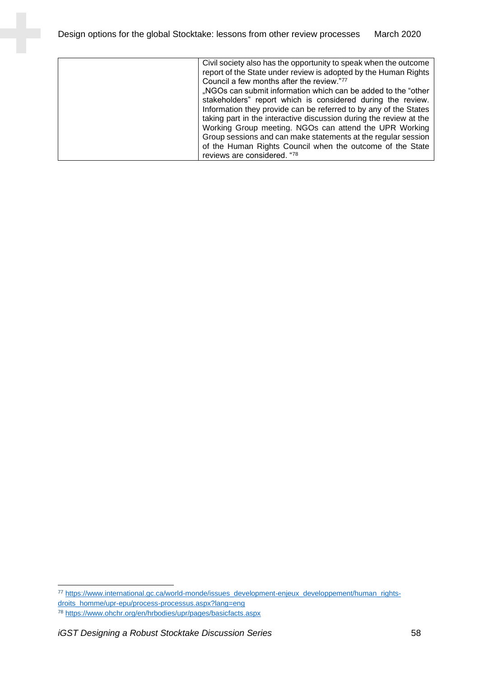| Civil society also has the opportunity to speak when the outcome<br>report of the State under review is adopted by the Human Rights<br>Council a few months after the review."77<br>"NGOs can submit information which can be added to the "other<br>stakeholders" report which is considered during the review.<br>Information they provide can be referred to by any of the States<br>taking part in the interactive discussion during the review at the<br>Working Group meeting. NGOs can attend the UPR Working<br>Group sessions and can make statements at the regular session<br>of the Human Rights Council when the outcome of the State<br>reviews are considered. "78 |
|-----------------------------------------------------------------------------------------------------------------------------------------------------------------------------------------------------------------------------------------------------------------------------------------------------------------------------------------------------------------------------------------------------------------------------------------------------------------------------------------------------------------------------------------------------------------------------------------------------------------------------------------------------------------------------------|
|-----------------------------------------------------------------------------------------------------------------------------------------------------------------------------------------------------------------------------------------------------------------------------------------------------------------------------------------------------------------------------------------------------------------------------------------------------------------------------------------------------------------------------------------------------------------------------------------------------------------------------------------------------------------------------------|

<sup>77</sup> [https://www.international.gc.ca/world-monde/issues\\_development-enjeux\\_developpement/human\\_rights](https://www.international.gc.ca/world-monde/issues_development-enjeux_developpement/human_rights-droits_homme/upr-epu/process-processus.aspx?lang=eng)[droits\\_homme/upr-epu/process-processus.aspx?lang=eng](https://www.international.gc.ca/world-monde/issues_development-enjeux_developpement/human_rights-droits_homme/upr-epu/process-processus.aspx?lang=eng)

<sup>78</sup> <https://www.ohchr.org/en/hrbodies/upr/pages/basicfacts.aspx>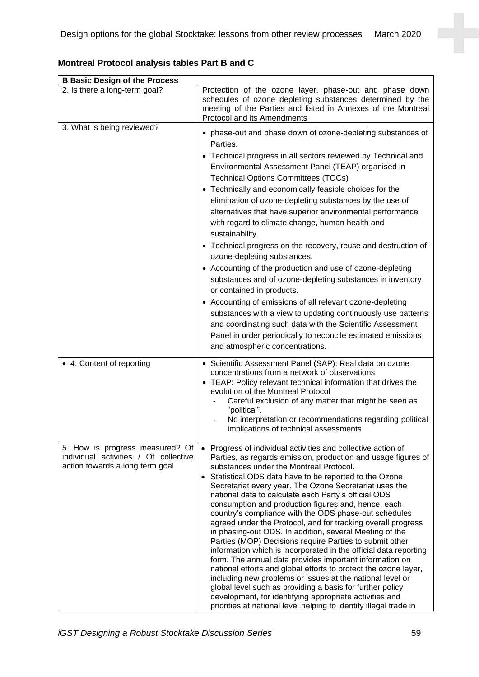| <b>B Basic Design of the Process</b>                                                                        |                                                                                                                                                                                                                                                                                                                                                                                                                                                                                                                                                                                                                                                                                                                                                                                                                                                                                                                                                                                                                                                                                                                                    |  |  |
|-------------------------------------------------------------------------------------------------------------|------------------------------------------------------------------------------------------------------------------------------------------------------------------------------------------------------------------------------------------------------------------------------------------------------------------------------------------------------------------------------------------------------------------------------------------------------------------------------------------------------------------------------------------------------------------------------------------------------------------------------------------------------------------------------------------------------------------------------------------------------------------------------------------------------------------------------------------------------------------------------------------------------------------------------------------------------------------------------------------------------------------------------------------------------------------------------------------------------------------------------------|--|--|
| 2. Is there a long-term goal?                                                                               | Protection of the ozone layer, phase-out and phase down<br>schedules of ozone depleting substances determined by the<br>meeting of the Parties and listed in Annexes of the Montreal<br>Protocol and its Amendments                                                                                                                                                                                                                                                                                                                                                                                                                                                                                                                                                                                                                                                                                                                                                                                                                                                                                                                |  |  |
| 3. What is being reviewed?                                                                                  | • phase-out and phase down of ozone-depleting substances of<br>Parties.<br>• Technical progress in all sectors reviewed by Technical and<br>Environmental Assessment Panel (TEAP) organised in<br><b>Technical Options Committees (TOCs)</b><br>• Technically and economically feasible choices for the<br>elimination of ozone-depleting substances by the use of<br>alternatives that have superior environmental performance<br>with regard to climate change, human health and<br>sustainability.<br>• Technical progress on the recovery, reuse and destruction of<br>ozone-depleting substances.<br>• Accounting of the production and use of ozone-depleting<br>substances and of ozone-depleting substances in inventory<br>or contained in products.<br>• Accounting of emissions of all relevant ozone-depleting<br>substances with a view to updating continuously use patterns<br>and coordinating such data with the Scientific Assessment<br>Panel in order periodically to reconcile estimated emissions<br>and atmospheric concentrations.                                                                         |  |  |
| • 4. Content of reporting                                                                                   | • Scientific Assessment Panel (SAP): Real data on ozone<br>concentrations from a network of observations<br>• TEAP: Policy relevant technical information that drives the<br>evolution of the Montreal Protocol<br>Careful exclusion of any matter that might be seen as<br>"political".<br>No interpretation or recommendations regarding political<br>implications of technical assessments                                                                                                                                                                                                                                                                                                                                                                                                                                                                                                                                                                                                                                                                                                                                      |  |  |
| 5. How is progress measured? Of<br>individual activities / Of collective<br>action towards a long term goal | Progress of individual activities and collective action of<br>$\bullet$<br>Parties, as regards emission, production and usage figures of<br>substances under the Montreal Protocol.<br>• Statistical ODS data have to be reported to the Ozone<br>Secretariat every year. The Ozone Secretariat uses the<br>national data to calculate each Party's official ODS<br>consumption and production figures and, hence, each<br>country's compliance with the ODS phase-out schedules<br>agreed under the Protocol, and for tracking overall progress<br>in phasing-out ODS. In addition, several Meeting of the<br>Parties (MOP) Decisions require Parties to submit other<br>information which is incorporated in the official data reporting<br>form. The annual data provides important information on<br>national efforts and global efforts to protect the ozone layer,<br>including new problems or issues at the national level or<br>global level such as providing a basis for further policy<br>development, for identifying appropriate activities and<br>priorities at national level helping to identify illegal trade in |  |  |

**Montreal Protocol analysis tables Part B and C**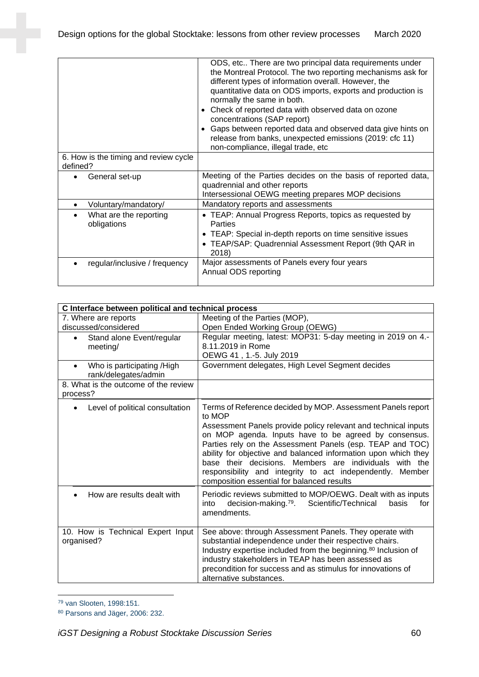| 6. How is the timing and review cycle              | ODS, etc There are two principal data requirements under<br>the Montreal Protocol. The two reporting mechanisms ask for<br>different types of information overall. However, the<br>quantitative data on ODS imports, exports and production is<br>normally the same in both.<br>Check of reported data with observed data on ozone<br>concentrations (SAP report)<br>Gaps between reported data and observed data give hints on<br>release from banks, unexpected emissions (2019: cfc 11)<br>non-compliance, illegal trade, etc |
|----------------------------------------------------|----------------------------------------------------------------------------------------------------------------------------------------------------------------------------------------------------------------------------------------------------------------------------------------------------------------------------------------------------------------------------------------------------------------------------------------------------------------------------------------------------------------------------------|
| defined?                                           |                                                                                                                                                                                                                                                                                                                                                                                                                                                                                                                                  |
| General set-up                                     | Meeting of the Parties decides on the basis of reported data,<br>quadrennial and other reports<br>Intersessional OEWG meeting prepares MOP decisions                                                                                                                                                                                                                                                                                                                                                                             |
| Voluntary/mandatory/<br>٠                          | Mandatory reports and assessments                                                                                                                                                                                                                                                                                                                                                                                                                                                                                                |
| What are the reporting<br>$\bullet$<br>obligations | • TEAP: Annual Progress Reports, topics as requested by<br><b>Parties</b><br>• TEAP: Special in-depth reports on time sensitive issues<br>• TEAP/SAP: Quadrennial Assessment Report (9th QAR in<br>2018)                                                                                                                                                                                                                                                                                                                         |
| regular/inclusive / frequency                      | Major assessments of Panels every four years<br>Annual ODS reporting                                                                                                                                                                                                                                                                                                                                                                                                                                                             |

| C Interface between political and technical process             |                                                                                                                                                                                                                                     |  |  |
|-----------------------------------------------------------------|-------------------------------------------------------------------------------------------------------------------------------------------------------------------------------------------------------------------------------------|--|--|
| 7. Where are reports                                            | Meeting of the Parties (MOP),                                                                                                                                                                                                       |  |  |
| discussed/considered                                            | Open Ended Working Group (OEWG)                                                                                                                                                                                                     |  |  |
| Stand alone Event/regular<br>$\bullet$                          | Regular meeting, latest: MOP31: 5-day meeting in 2019 on 4.-                                                                                                                                                                        |  |  |
| meeting/                                                        | 8.11.2019 in Rome                                                                                                                                                                                                                   |  |  |
|                                                                 | OEWG 41, 1.-5. July 2019                                                                                                                                                                                                            |  |  |
| Who is participating /High<br>$\bullet$<br>rank/delegates/admin | Government delegates, High Level Segment decides                                                                                                                                                                                    |  |  |
| 8. What is the outcome of the review<br>process?                |                                                                                                                                                                                                                                     |  |  |
| Level of political consultation                                 | Terms of Reference decided by MOP. Assessment Panels report<br>to MOP                                                                                                                                                               |  |  |
|                                                                 | Assessment Panels provide policy relevant and technical inputs<br>on MOP agenda. Inputs have to be agreed by consensus.<br>Parties rely on the Assessment Panels (esp. TEAP and TOC)                                                |  |  |
|                                                                 | ability for objective and balanced information upon which they<br>base their decisions. Members are individuals with the<br>responsibility and integrity to act independently. Member<br>composition essential for balanced results |  |  |
| How are results dealt with                                      | Periodic reviews submitted to MOP/OEWG. Dealt with as inputs<br>decision-making. <sup>79</sup> . Scientific/Technical<br>basis<br>for<br>into<br>amendments.                                                                        |  |  |
| 10. How is Technical Expert Input<br>organised?                 | See above: through Assessment Panels. They operate with<br>substantial independence under their respective chairs.                                                                                                                  |  |  |
|                                                                 | Industry expertise included from the beginning. <sup>80</sup> Inclusion of<br>industry stakeholders in TEAP has been assessed as                                                                                                    |  |  |
|                                                                 | precondition for success and as stimulus for innovations of<br>alternative substances.                                                                                                                                              |  |  |
|                                                                 |                                                                                                                                                                                                                                     |  |  |

<sup>79</sup> van Slooten, 1998:151.

<sup>80</sup> Parsons and Jäger, 2006: 232.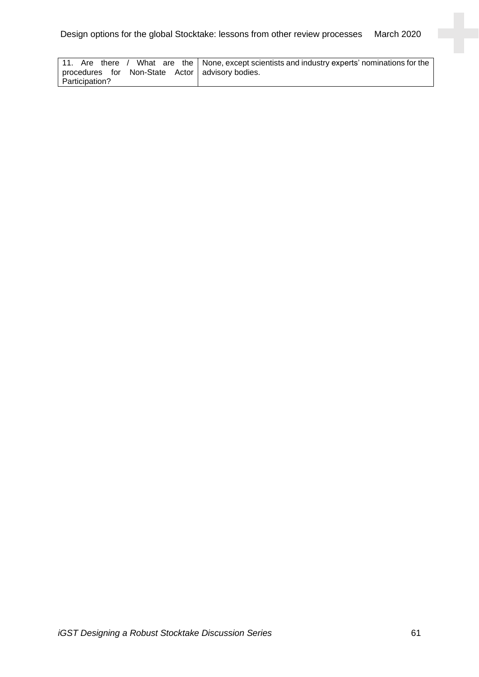|                                                   | 11. Are there / What are the None, except scientists and industry experts' nominations for the |
|---------------------------------------------------|------------------------------------------------------------------------------------------------|
| procedures for Non-State Actor   advisory bodies. |                                                                                                |
| Participation?                                    |                                                                                                |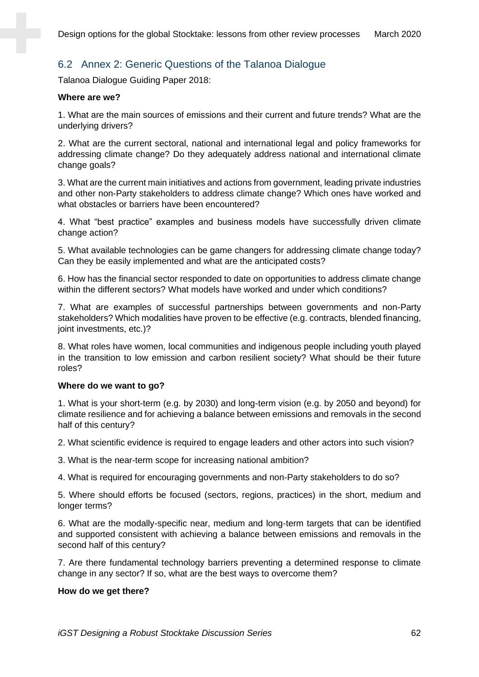## 6.2 Annex 2: Generic Questions of the Talanoa Dialogue

Talanoa Dialogue Guiding Paper 2018:

#### **Where are we?**

1. What are the main sources of emissions and their current and future trends? What are the underlying drivers?

2. What are the current sectoral, national and international legal and policy frameworks for addressing climate change? Do they adequately address national and international climate change goals?

3. What are the current main initiatives and actions from government, leading private industries and other non-Party stakeholders to address climate change? Which ones have worked and what obstacles or barriers have been encountered?

4. What "best practice" examples and business models have successfully driven climate change action?

5. What available technologies can be game changers for addressing climate change today? Can they be easily implemented and what are the anticipated costs?

6. How has the financial sector responded to date on opportunities to address climate change within the different sectors? What models have worked and under which conditions?

7. What are examples of successful partnerships between governments and non-Party stakeholders? Which modalities have proven to be effective (e.g. contracts, blended financing, joint investments, etc.)?

8. What roles have women, local communities and indigenous people including youth played in the transition to low emission and carbon resilient society? What should be their future roles?

#### **Where do we want to go?**

1. What is your short-term (e.g. by 2030) and long-term vision (e.g. by 2050 and beyond) for climate resilience and for achieving a balance between emissions and removals in the second half of this century?

2. What scientific evidence is required to engage leaders and other actors into such vision?

3. What is the near-term scope for increasing national ambition?

4. What is required for encouraging governments and non-Party stakeholders to do so?

5. Where should efforts be focused (sectors, regions, practices) in the short, medium and longer terms?

6. What are the modally-specific near, medium and long-term targets that can be identified and supported consistent with achieving a balance between emissions and removals in the second half of this century?

7. Are there fundamental technology barriers preventing a determined response to climate change in any sector? If so, what are the best ways to overcome them?

#### **How do we get there?**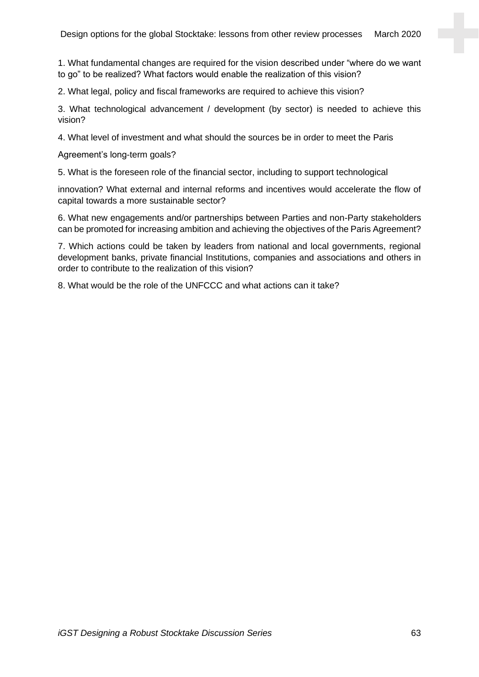1. What fundamental changes are required for the vision described under "where do we want to go" to be realized? What factors would enable the realization of this vision?

2. What legal, policy and fiscal frameworks are required to achieve this vision?

3. What technological advancement / development (by sector) is needed to achieve this vision?

4. What level of investment and what should the sources be in order to meet the Paris

Agreement's long-term goals?

5. What is the foreseen role of the financial sector, including to support technological

innovation? What external and internal reforms and incentives would accelerate the flow of capital towards a more sustainable sector?

6. What new engagements and/or partnerships between Parties and non-Party stakeholders can be promoted for increasing ambition and achieving the objectives of the Paris Agreement?

7. Which actions could be taken by leaders from national and local governments, regional development banks, private financial Institutions, companies and associations and others in order to contribute to the realization of this vision?

8. What would be the role of the UNFCCC and what actions can it take?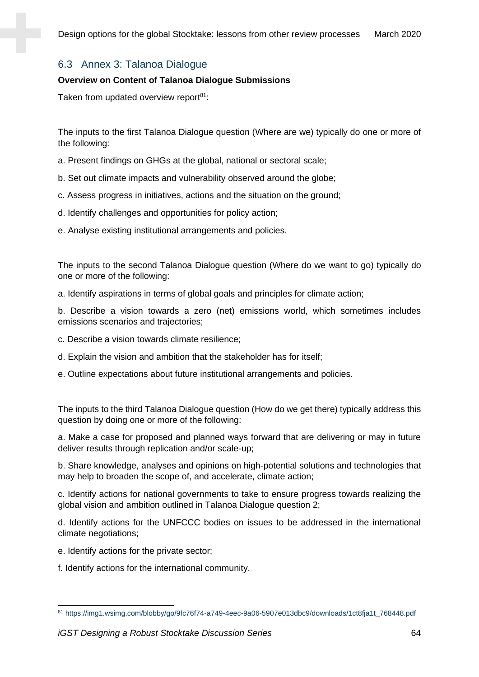## 6.3 Annex 3: Talanoa Dialogue

#### **Overview on Content of Talanoa Dialogue Submissions**

Taken from updated overview report $81$ :

The inputs to the first Talanoa Dialogue question (Where are we) typically do one or more of the following:

- a. Present findings on GHGs at the global, national or sectoral scale;
- b. Set out climate impacts and vulnerability observed around the globe;
- c. Assess progress in initiatives, actions and the situation on the ground;
- d. Identify challenges and opportunities for policy action;
- e. Analyse existing institutional arrangements and policies.

The inputs to the second Talanoa Dialogue question (Where do we want to go) typically do one or more of the following:

a. Identify aspirations in terms of global goals and principles for climate action;

b. Describe a vision towards a zero (net) emissions world, which sometimes includes emissions scenarios and trajectories;

- c. Describe a vision towards climate resilience;
- d. Explain the vision and ambition that the stakeholder has for itself;
- e. Outline expectations about future institutional arrangements and policies.

The inputs to the third Talanoa Dialogue question (How do we get there) typically address this question by doing one or more of the following:

a. Make a case for proposed and planned ways forward that are delivering or may in future deliver results through replication and/or scale-up;

b. Share knowledge, analyses and opinions on high-potential solutions and technologies that may help to broaden the scope of, and accelerate, climate action;

c. Identify actions for national governments to take to ensure progress towards realizing the global vision and ambition outlined in Talanoa Dialogue question 2;

d. Identify actions for the UNFCCC bodies on issues to be addressed in the international climate negotiations;

- e. Identify actions for the private sector;
- f. Identify actions for the international community.

<sup>81</sup> https://img1.wsimg.com/blobby/go/9fc76f74-a749-4eec-9a06-5907e013dbc9/downloads/1ct8fja1t\_768448.pdf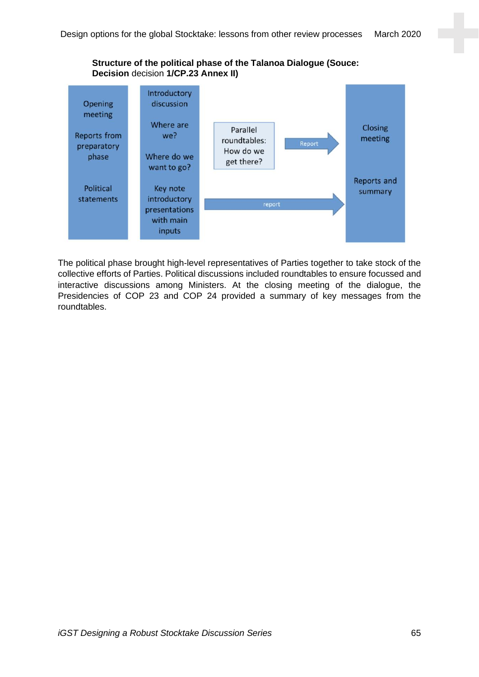**Structure of the political phase of the Talanoa Dialogue (Souce: Decision** decision **1/CP.23 Annex II)**



The political phase brought high-level representatives of Parties together to take stock of the collective efforts of Parties. Political discussions included roundtables to ensure focussed and interactive discussions among Ministers. At the closing meeting of the dialogue, the Presidencies of COP 23 and COP 24 provided a summary of key messages from the roundtables.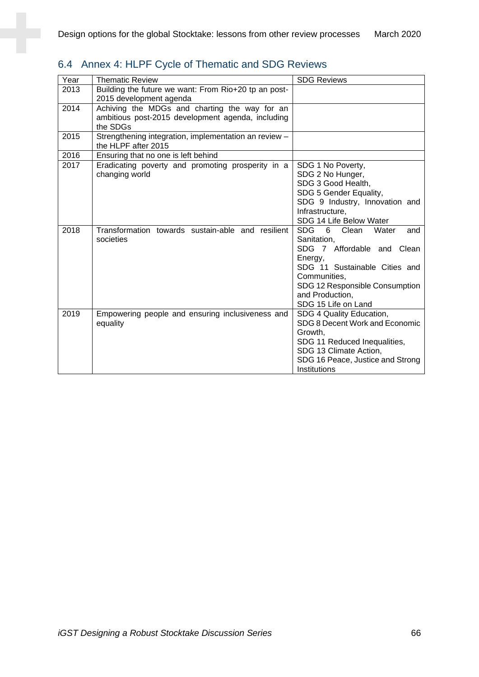| 6.4 Annex 4: HLPF Cycle of Thematic and SDG Reviews |  |  |
|-----------------------------------------------------|--|--|
|                                                     |  |  |

| Year | <b>Thematic Review</b>                                | <b>SDG Reviews</b>                       |
|------|-------------------------------------------------------|------------------------------------------|
| 2013 | Building the future we want: From Rio+20 tp an post-  |                                          |
|      | 2015 development agenda                               |                                          |
| 2014 | Achiving the MDGs and charting the way for an         |                                          |
|      | ambitious post-2015 development agenda, including     |                                          |
|      | the SDGs                                              |                                          |
| 2015 | Strengthening integration, implementation an review - |                                          |
|      | the HLPF after 2015                                   |                                          |
| 2016 | Ensuring that no one is left behind                   |                                          |
| 2017 | Eradicating poverty and promoting prosperity in a     | SDG 1 No Poverty,                        |
|      | changing world                                        | SDG 2 No Hunger,                         |
|      |                                                       | SDG 3 Good Health,                       |
|      |                                                       | SDG 5 Gender Equality,                   |
|      |                                                       | SDG 9 Industry, Innovation and           |
|      |                                                       | Infrastructure,                          |
|      |                                                       | SDG 14 Life Below Water                  |
| 2018 | Transformation towards sustain-able and resilient     | <b>SDG</b><br>6<br>Clean<br>Water<br>and |
|      | societies                                             | Sanitation,                              |
|      |                                                       | SDG 7 Affordable and Clean               |
|      |                                                       | Energy,                                  |
|      |                                                       | SDG 11 Sustainable Cities and            |
|      |                                                       | Communities,                             |
|      |                                                       | SDG 12 Responsible Consumption           |
|      |                                                       | and Production,<br>SDG 15 Life on Land   |
| 2019 | Empowering people and ensuring inclusiveness and      | SDG 4 Quality Education,                 |
|      | equality                                              | SDG 8 Decent Work and Economic           |
|      |                                                       | Growth,                                  |
|      |                                                       | SDG 11 Reduced Inequalities,             |
|      |                                                       | SDG 13 Climate Action,                   |
|      |                                                       | SDG 16 Peace, Justice and Strong         |
|      |                                                       | Institutions                             |
|      |                                                       |                                          |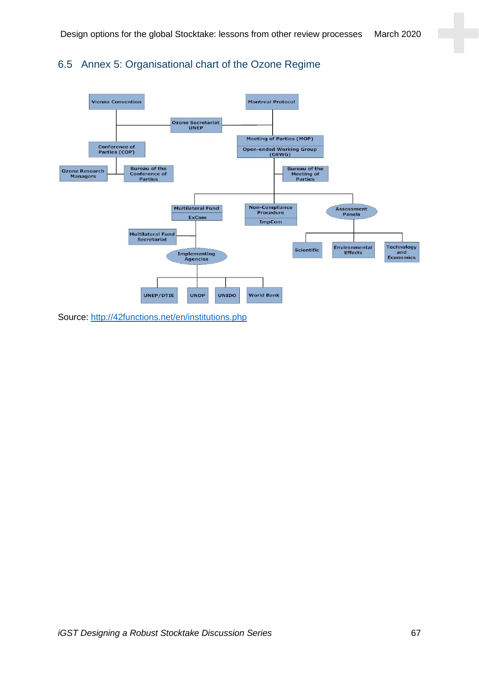## 6.5 Annex 5: Organisational chart of the Ozone Regime



Source:<http://42functions.net/en/institutions.php>